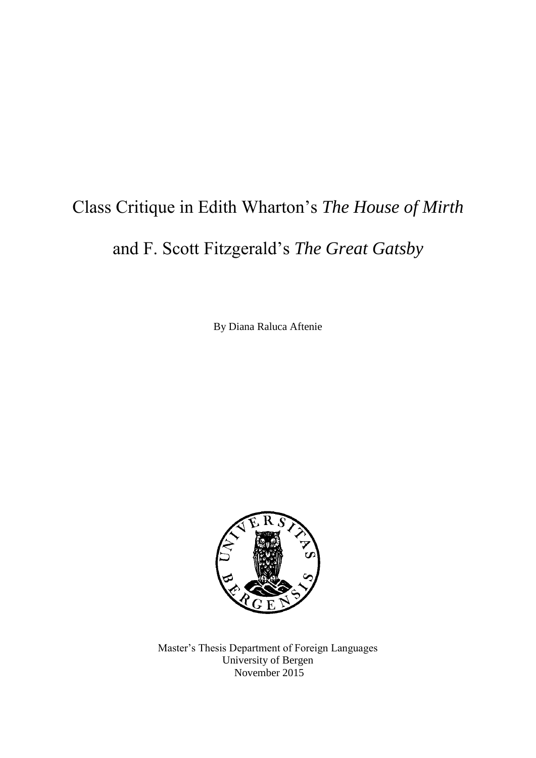# Class Critique in Edith Wharton's *The House of Mirth*

### and F. Scott Fitzgerald's *The Great Gatsby*

By Diana Raluca Aftenie



Master's Thesis Department of Foreign Languages University of Bergen November 2015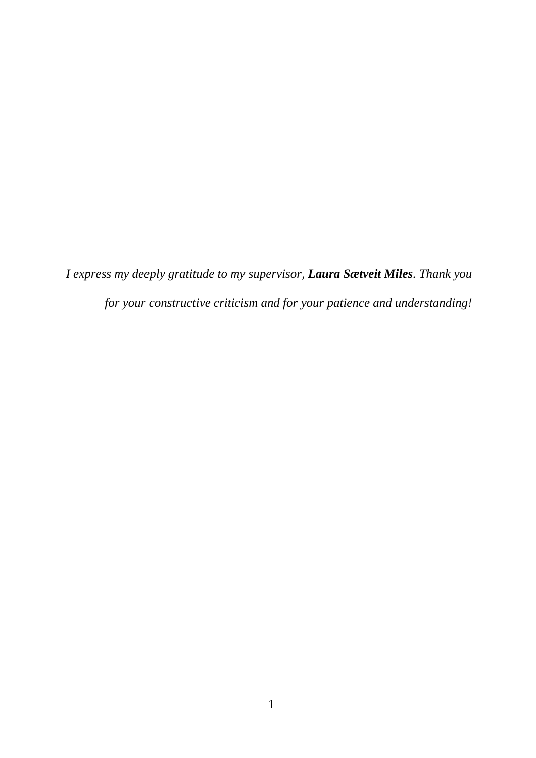*I express my deeply gratitude to my supervisor, Laura Sætveit Miles. Thank you for your constructive criticism and for your patience and understanding!*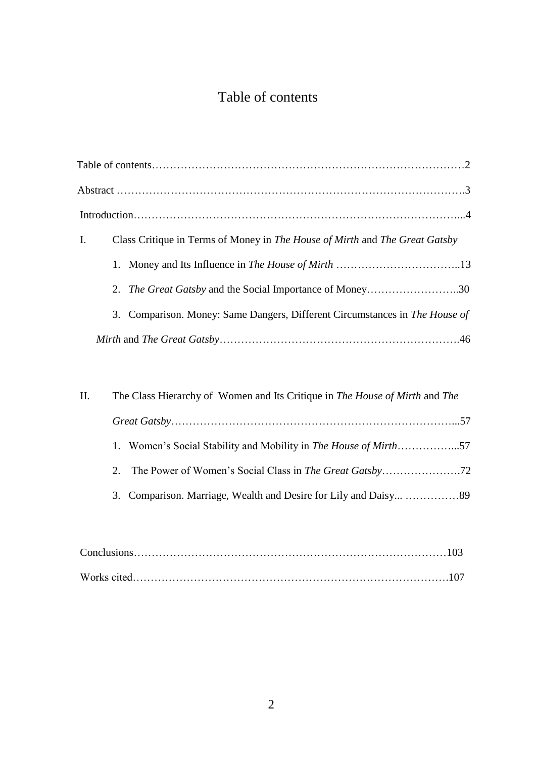### Table of contents

| Ι. | Class Critique in Terms of Money in The House of Mirth and The Great Gatsby |  |
|----|-----------------------------------------------------------------------------|--|
|    |                                                                             |  |
|    | 2. <i>The Great Gatsby</i> and the Social Importance of Money30             |  |
|    | 3. Comparison. Money: Same Dangers, Different Circumstances in The House of |  |
|    |                                                                             |  |

| П. | The Class Hierarchy of Women and Its Critique in The House of Mirth and The |  |
|----|-----------------------------------------------------------------------------|--|
|    |                                                                             |  |
|    | 1. Women's Social Stability and Mobility in The House of Mirth57            |  |
|    |                                                                             |  |
|    |                                                                             |  |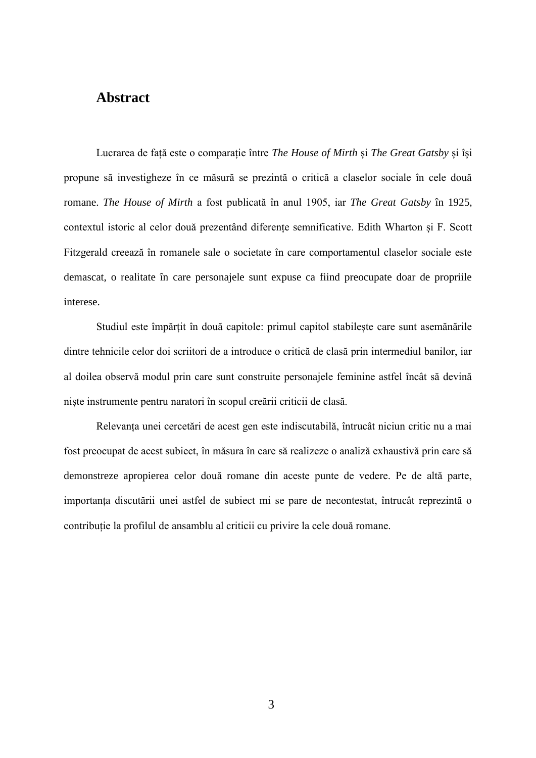#### **Abstract**

Lucrarea de față este o comparație între *The House of Mirth* și *The Great Gatsby* și își propune să investigheze în ce măsură se prezintă o critică a claselor sociale în cele două romane. *The House of Mirth* a fost publicată în anul 1905, iar *The Great Gatsby* în 1925, contextul istoric al celor două prezentând diferențe semnificative. Edith Wharton și F. Scott Fitzgerald creează în romanele sale o societate în care comportamentul claselor sociale este demascat, o realitate în care personajele sunt expuse ca fiind preocupate doar de propriile interese.

Studiul este împărțit în două capitole: primul capitol stabilește care sunt asemănările dintre tehnicile celor doi scriitori de a introduce o critică de clasă prin intermediul banilor, iar al doilea observă modul prin care sunt construite personajele feminine astfel încât să devină niște instrumente pentru naratori în scopul creării criticii de clasă.

Relevanța unei cercetări de acest gen este indiscutabilă, întrucât niciun critic nu a mai fost preocupat de acest subiect, în măsura în care să realizeze o analiză exhaustivă prin care să demonstreze apropierea celor două romane din aceste punte de vedere. Pe de altă parte, importanța discutării unei astfel de subiect mi se pare de necontestat, întrucât reprezintă o contribuție la profilul de ansamblu al criticii cu privire la cele două romane.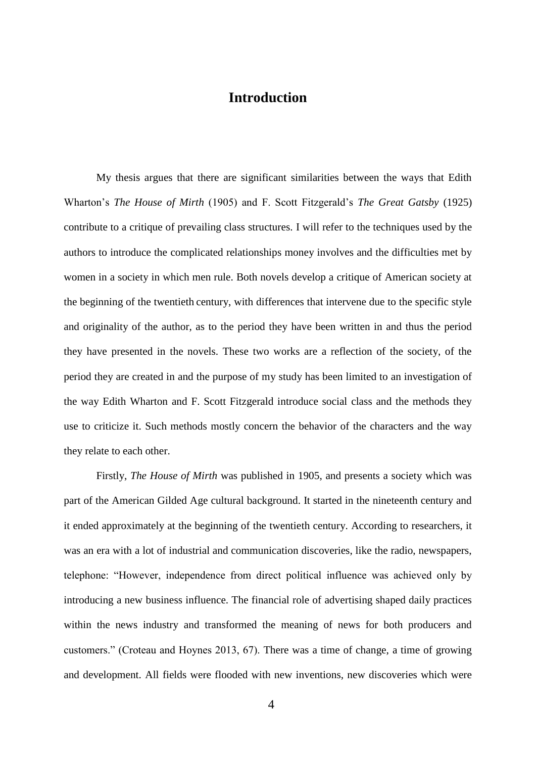#### **Introduction**

My thesis argues that there are significant similarities between the ways that Edith Wharton's *The House of Mirth* (1905) and F. Scott Fitzgerald's *The Great Gatsby* (1925) contribute to a critique of prevailing class structures*.* I will refer to the techniques used by the authors to introduce the complicated relationships money involves and the difficulties met by women in a society in which men rule. Both novels develop a critique of American society at the beginning of the twentieth century, with differences that intervene due to the specific style and originality of the author, as to the period they have been written in and thus the period they have presented in the novels. These two works are a reflection of the society, of the period they are created in and the purpose of my study has been limited to an investigation of the way Edith Wharton and F. Scott Fitzgerald introduce social class and the methods they use to criticize it. Such methods mostly concern the behavior of the characters and the way they relate to each other.

Firstly, *The House of Mirth* was published in 1905, and presents a society which was part of the American Gilded Age cultural background. It started in the nineteenth century and it ended approximately at the beginning of the twentieth century. According to researchers, it was an era with a lot of industrial and communication discoveries, like the radio, newspapers, telephone: "However, independence from direct political influence was achieved only by introducing a new business influence. The financial role of advertising shaped daily practices within the news industry and transformed the meaning of news for both producers and customers." (Croteau and Hoynes 2013, 67). There was a time of change, a time of growing and development. All fields were flooded with new inventions, new discoveries which were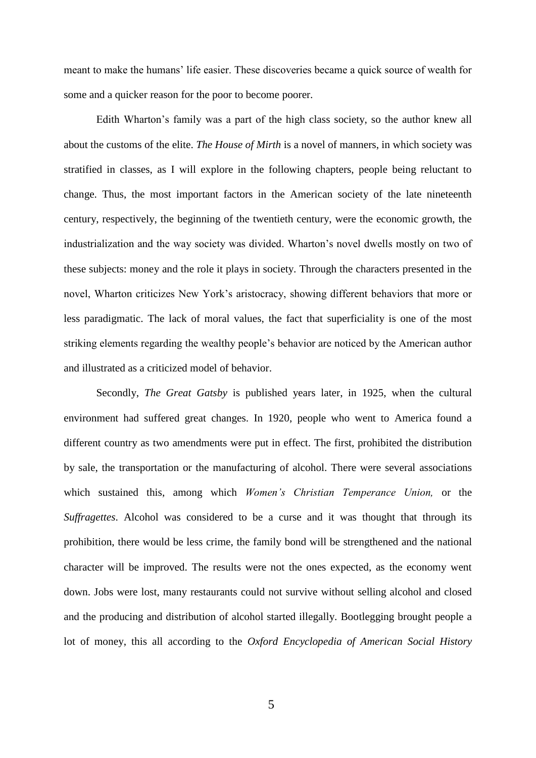meant to make the humans' life easier. These discoveries became a quick source of wealth for some and a quicker reason for the poor to become poorer.

Edith Wharton's family was a part of the high class society, so the author knew all about the customs of the elite. *The House of Mirth* is a novel of manners, in which society was stratified in classes, as I will explore in the following chapters, people being reluctant to change. Thus, the most important factors in the American society of the late nineteenth century, respectively, the beginning of the twentieth century, were the economic growth, the industrialization and the way society was divided. Wharton's novel dwells mostly on two of these subjects: money and the role it plays in society. Through the characters presented in the novel, Wharton criticizes New York's aristocracy, showing different behaviors that more or less paradigmatic. The lack of moral values, the fact that superficiality is one of the most striking elements regarding the wealthy people's behavior are noticed by the American author and illustrated as a criticized model of behavior.

Secondly, *The Great Gatsby* is published years later, in 1925, when the cultural environment had suffered great changes. In 1920, people who went to America found a different country as two amendments were put in effect. The first, prohibited the distribution by sale, the transportation or the manufacturing of alcohol. There were several associations which sustained this, among which *Women's Christian Temperance Union,* or the *Suffragettes*. Alcohol was considered to be a curse and it was thought that through its prohibition, there would be less crime, the family bond will be strengthened and the national character will be improved. The results were not the ones expected, as the economy went down. Jobs were lost, many restaurants could not survive without selling alcohol and closed and the producing and distribution of alcohol started illegally. Bootlegging brought people a lot of money, this all according to the *Oxford Encyclopedia of American Social History*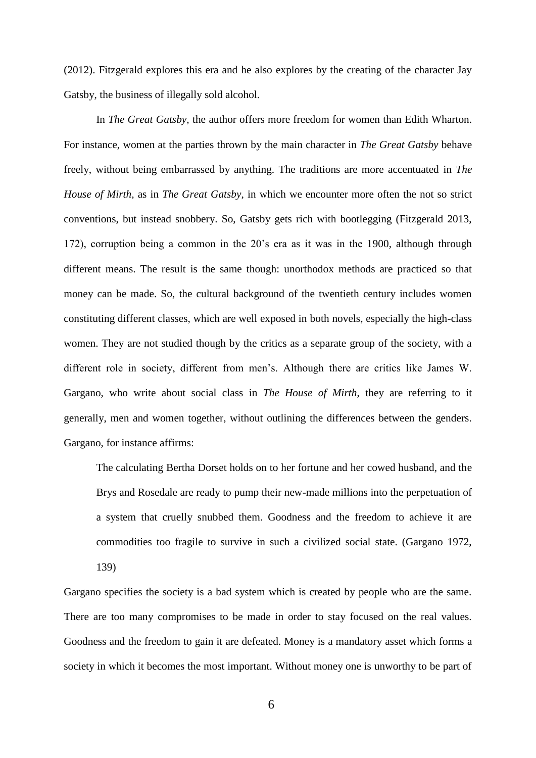(2012). Fitzgerald explores this era and he also explores by the creating of the character Jay Gatsby, the business of illegally sold alcohol.

In *The Great Gatsby,* the author offers more freedom for women than Edith Wharton. For instance, women at the parties thrown by the main character in *The Great Gatsby* behave freely, without being embarrassed by anything. The traditions are more accentuated in *The House of Mirth,* as in *The Great Gatsby,* in which we encounter more often the not so strict conventions, but instead snobbery. So, Gatsby gets rich with bootlegging (Fitzgerald 2013, 172), corruption being a common in the 20's era as it was in the 1900, although through different means. The result is the same though: unorthodox methods are practiced so that money can be made. So, the cultural background of the twentieth century includes women constituting different classes, which are well exposed in both novels, especially the high-class women. They are not studied though by the critics as a separate group of the society, with a different role in society, different from men's. Although there are critics like James W. Gargano, who write about social class in *The House of Mirth*, they are referring to it generally, men and women together, without outlining the differences between the genders. Gargano, for instance affirms:

The calculating Bertha Dorset holds on to her fortune and her cowed husband, and the Brys and Rosedale are ready to pump their new-made millions into the perpetuation of a system that cruelly snubbed them. Goodness and the freedom to achieve it are commodities too fragile to survive in such a civilized social state. (Gargano 1972, 139)

Gargano specifies the society is a bad system which is created by people who are the same. There are too many compromises to be made in order to stay focused on the real values. Goodness and the freedom to gain it are defeated. Money is a mandatory asset which forms a society in which it becomes the most important. Without money one is unworthy to be part of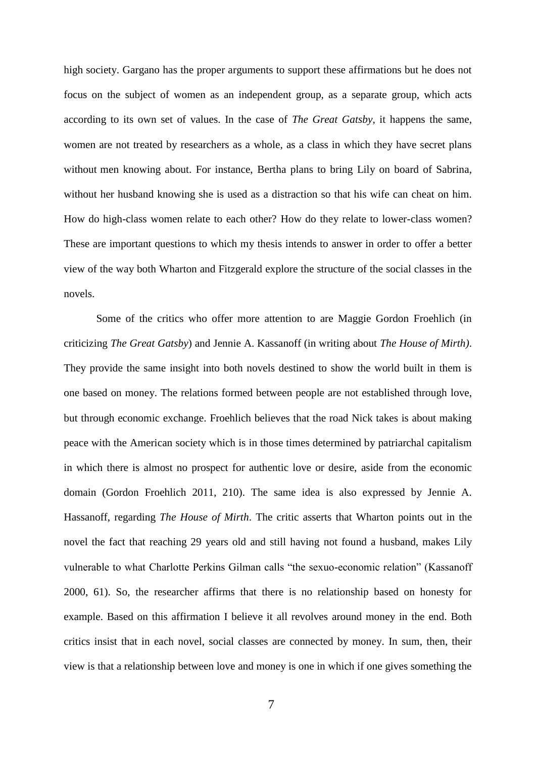high society. Gargano has the proper arguments to support these affirmations but he does not focus on the subject of women as an independent group, as a separate group, which acts according to its own set of values. In the case of *The Great Gatsby*, it happens the same, women are not treated by researchers as a whole, as a class in which they have secret plans without men knowing about. For instance, Bertha plans to bring Lily on board of Sabrina, without her husband knowing she is used as a distraction so that his wife can cheat on him. How do high-class women relate to each other? How do they relate to lower-class women? These are important questions to which my thesis intends to answer in order to offer a better view of the way both Wharton and Fitzgerald explore the structure of the social classes in the novels.

Some of the critics who offer more attention to are Maggie Gordon Froehlich (in criticizing *The Great Gatsby*) and Jennie A. Kassanoff (in writing about *The House of Mirth)*. They provide the same insight into both novels destined to show the world built in them is one based on money. The relations formed between people are not established through love, but through economic exchange. Froehlich believes that the road Nick takes is about making peace with the American society which is in those times determined by patriarchal capitalism in which there is almost no prospect for authentic love or desire, aside from the economic domain (Gordon Froehlich 2011, 210). The same idea is also expressed by Jennie A. Hassanoff, regarding *The House of Mirth*. The critic asserts that Wharton points out in the novel the fact that reaching 29 years old and still having not found a husband, makes Lily vulnerable to what Charlotte Perkins Gilman calls "the sexuo-economic relation" (Kassanoff 2000, 61). So, the researcher affirms that there is no relationship based on honesty for example. Based on this affirmation I believe it all revolves around money in the end. Both critics insist that in each novel, social classes are connected by money. In sum, then, their view is that a relationship between love and money is one in which if one gives something the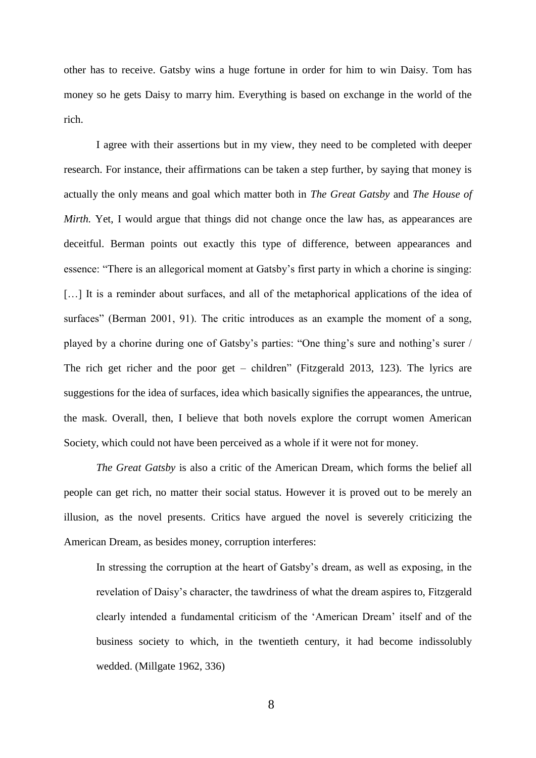other has to receive. Gatsby wins a huge fortune in order for him to win Daisy. Tom has money so he gets Daisy to marry him. Everything is based on exchange in the world of the rich.

I agree with their assertions but in my view, they need to be completed with deeper research. For instance, their affirmations can be taken a step further, by saying that money is actually the only means and goal which matter both in *The Great Gatsby* and *The House of Mirth.* Yet, I would argue that things did not change once the law has, as appearances are deceitful. Berman points out exactly this type of difference, between appearances and essence: "There is an allegorical moment at Gatsby's first party in which a chorine is singing: [...] It is a reminder about surfaces, and all of the metaphorical applications of the idea of surfaces" (Berman 2001, 91). The critic introduces as an example the moment of a song, played by a chorine during one of Gatsby's parties: "One thing's sure and nothing's surer / The rich get richer and the poor get – children" (Fitzgerald 2013, 123). The lyrics are suggestions for the idea of surfaces, idea which basically signifies the appearances, the untrue, the mask. Overall, then, I believe that both novels explore the corrupt women American Society, which could not have been perceived as a whole if it were not for money.

*The Great Gatsby* is also a critic of the American Dream, which forms the belief all people can get rich, no matter their social status. However it is proved out to be merely an illusion, as the novel presents. Critics have argued the novel is severely criticizing the American Dream, as besides money, corruption interferes:

In stressing the corruption at the heart of Gatsby's dream, as well as exposing, in the revelation of Daisy's character, the tawdriness of what the dream aspires to, Fitzgerald clearly intended a fundamental criticism of the 'American Dream' itself and of the business society to which, in the twentieth century, it had become indissolubly wedded. (Millgate 1962, 336)

8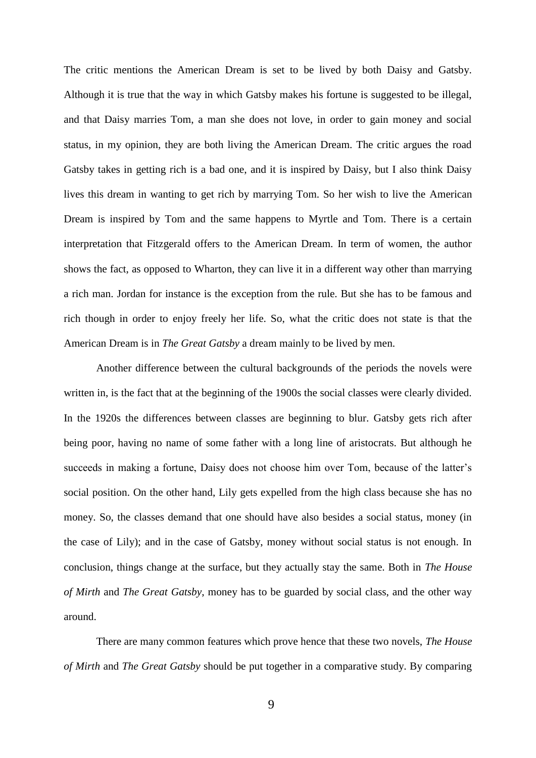The critic mentions the American Dream is set to be lived by both Daisy and Gatsby. Although it is true that the way in which Gatsby makes his fortune is suggested to be illegal, and that Daisy marries Tom, a man she does not love, in order to gain money and social status, in my opinion, they are both living the American Dream. The critic argues the road Gatsby takes in getting rich is a bad one, and it is inspired by Daisy, but I also think Daisy lives this dream in wanting to get rich by marrying Tom. So her wish to live the American Dream is inspired by Tom and the same happens to Myrtle and Tom. There is a certain interpretation that Fitzgerald offers to the American Dream. In term of women, the author shows the fact, as opposed to Wharton, they can live it in a different way other than marrying a rich man. Jordan for instance is the exception from the rule. But she has to be famous and rich though in order to enjoy freely her life. So, what the critic does not state is that the American Dream is in *The Great Gatsby* a dream mainly to be lived by men.

Another difference between the cultural backgrounds of the periods the novels were written in, is the fact that at the beginning of the 1900s the social classes were clearly divided. In the 1920s the differences between classes are beginning to blur. Gatsby gets rich after being poor, having no name of some father with a long line of aristocrats. But although he succeeds in making a fortune, Daisy does not choose him over Tom, because of the latter's social position. On the other hand, Lily gets expelled from the high class because she has no money. So, the classes demand that one should have also besides a social status, money (in the case of Lily); and in the case of Gatsby, money without social status is not enough. In conclusion, things change at the surface, but they actually stay the same. Both in *The House of Mirth* and *The Great Gatsby*, money has to be guarded by social class, and the other way around.

There are many common features which prove hence that these two novels, *The House of Mirth* and *The Great Gatsby* should be put together in a comparative study. By comparing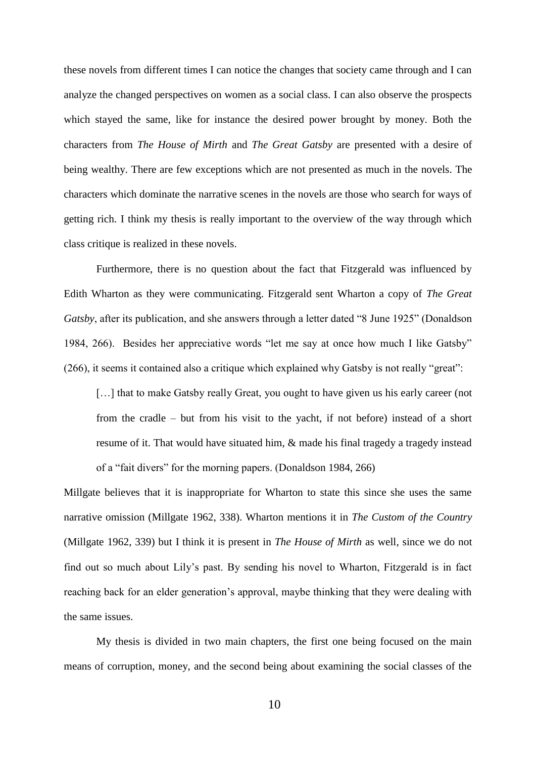these novels from different times I can notice the changes that society came through and I can analyze the changed perspectives on women as a social class. I can also observe the prospects which stayed the same, like for instance the desired power brought by money. Both the characters from *The House of Mirth* and *The Great Gatsby* are presented with a desire of being wealthy. There are few exceptions which are not presented as much in the novels. The characters which dominate the narrative scenes in the novels are those who search for ways of getting rich. I think my thesis is really important to the overview of the way through which class critique is realized in these novels.

Furthermore, there is no question about the fact that Fitzgerald was influenced by Edith Wharton as they were communicating. Fitzgerald sent Wharton a copy of *The Great Gatsby*, after its publication, and she answers through a letter dated "8 June 1925" (Donaldson 1984, 266). Besides her appreciative words "let me say at once how much I like Gatsby" (266), it seems it contained also a critique which explained why Gatsby is not really "great":

[...] that to make Gatsby really Great, you ought to have given us his early career (not from the cradle – but from his visit to the yacht, if not before) instead of a short resume of it. That would have situated him, & made his final tragedy a tragedy instead of a "fait divers" for the morning papers. (Donaldson 1984, 266)

Millgate believes that it is inappropriate for Wharton to state this since she uses the same narrative omission (Millgate 1962, 338). Wharton mentions it in *The Custom of the Country* (Millgate 1962, 339) but I think it is present in *The House of Mirth* as well*,* since we do not find out so much about Lily's past. By sending his novel to Wharton, Fitzgerald is in fact reaching back for an elder generation's approval, maybe thinking that they were dealing with the same issues.

My thesis is divided in two main chapters, the first one being focused on the main means of corruption, money, and the second being about examining the social classes of the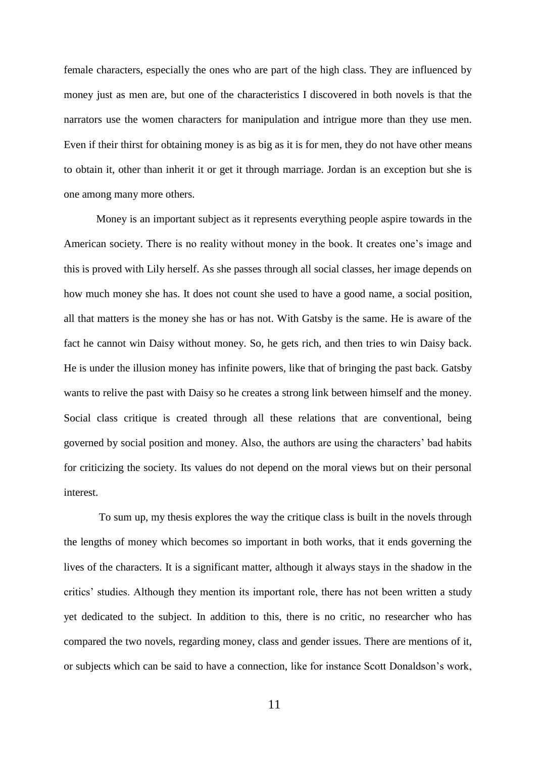female characters, especially the ones who are part of the high class. They are influenced by money just as men are, but one of the characteristics I discovered in both novels is that the narrators use the women characters for manipulation and intrigue more than they use men. Even if their thirst for obtaining money is as big as it is for men, they do not have other means to obtain it, other than inherit it or get it through marriage. Jordan is an exception but she is one among many more others.

Money is an important subject as it represents everything people aspire towards in the American society. There is no reality without money in the book. It creates one's image and this is proved with Lily herself. As she passes through all social classes, her image depends on how much money she has. It does not count she used to have a good name, a social position, all that matters is the money she has or has not. With Gatsby is the same. He is aware of the fact he cannot win Daisy without money. So, he gets rich, and then tries to win Daisy back. He is under the illusion money has infinite powers, like that of bringing the past back. Gatsby wants to relive the past with Daisy so he creates a strong link between himself and the money. Social class critique is created through all these relations that are conventional, being governed by social position and money. Also, the authors are using the characters' bad habits for criticizing the society. Its values do not depend on the moral views but on their personal interest.

To sum up, my thesis explores the way the critique class is built in the novels through the lengths of money which becomes so important in both works, that it ends governing the lives of the characters. It is a significant matter, although it always stays in the shadow in the critics' studies. Although they mention its important role, there has not been written a study yet dedicated to the subject. In addition to this, there is no critic, no researcher who has compared the two novels, regarding money, class and gender issues. There are mentions of it, or subjects which can be said to have a connection, like for instance Scott Donaldson's work,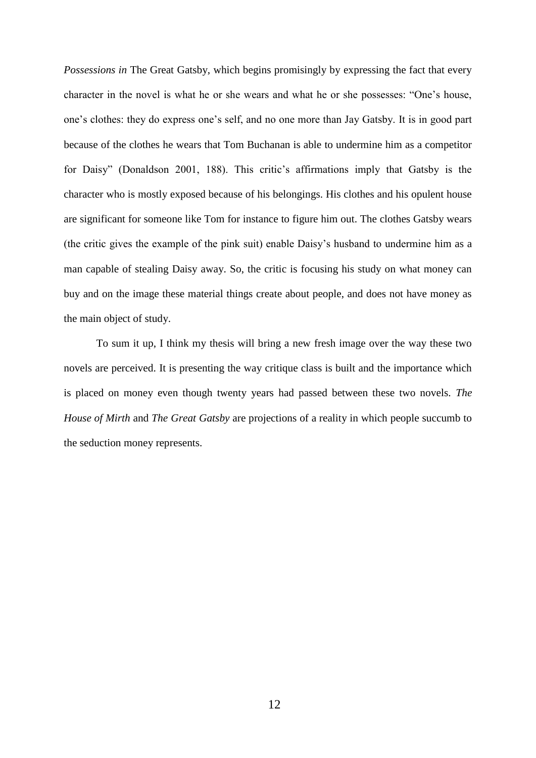*Possessions in* The Great Gatsby, which begins promisingly by expressing the fact that every character in the novel is what he or she wears and what he or she possesses: "One's house, one's clothes: they do express one's self, and no one more than Jay Gatsby. It is in good part because of the clothes he wears that Tom Buchanan is able to undermine him as a competitor for Daisy" (Donaldson 2001, 188). This critic's affirmations imply that Gatsby is the character who is mostly exposed because of his belongings. His clothes and his opulent house are significant for someone like Tom for instance to figure him out. The clothes Gatsby wears (the critic gives the example of the pink suit) enable Daisy's husband to undermine him as a man capable of stealing Daisy away. So, the critic is focusing his study on what money can buy and on the image these material things create about people, and does not have money as the main object of study.

To sum it up, I think my thesis will bring a new fresh image over the way these two novels are perceived. It is presenting the way critique class is built and the importance which is placed on money even though twenty years had passed between these two novels. *The House of Mirth* and *The Great Gatsby* are projections of a reality in which people succumb to the seduction money represents.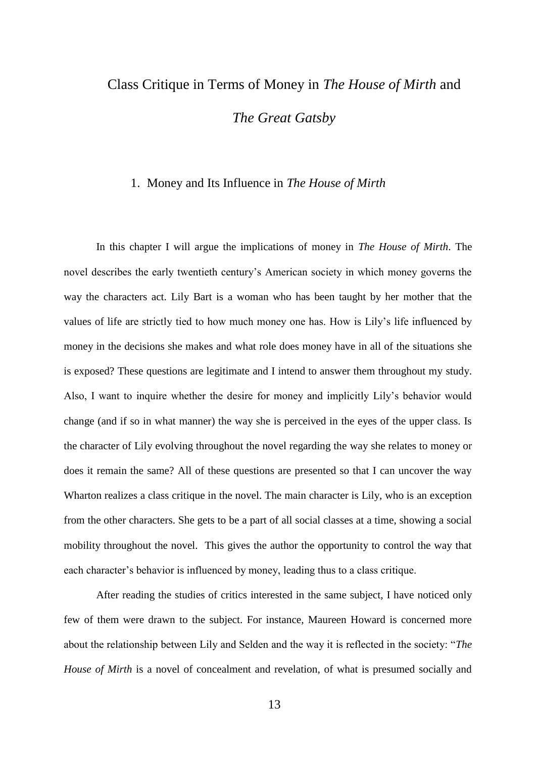## Class Critique in Terms of Money in *The House of Mirth* and *The Great Gatsby*

#### 1. Money and Its Influence in *The House of Mirth*

In this chapter I will argue the implications of money in *The House of Mirth*. The novel describes the early twentieth century's American society in which money governs the way the characters act. Lily Bart is a woman who has been taught by her mother that the values of life are strictly tied to how much money one has. How is Lily's life influenced by money in the decisions she makes and what role does money have in all of the situations she is exposed? These questions are legitimate and I intend to answer them throughout my study. Also, I want to inquire whether the desire for money and implicitly Lily's behavior would change (and if so in what manner) the way she is perceived in the eyes of the upper class. Is the character of Lily evolving throughout the novel regarding the way she relates to money or does it remain the same? All of these questions are presented so that I can uncover the way Wharton realizes a class critique in the novel. The main character is Lily, who is an exception from the other characters. She gets to be a part of all social classes at a time, showing a social mobility throughout the novel. This gives the author the opportunity to control the way that each character's behavior is influenced by money, leading thus to a class critique.

After reading the studies of critics interested in the same subject, I have noticed only few of them were drawn to the subject. For instance, Maureen Howard is concerned more about the relationship between Lily and Selden and the way it is reflected in the society: "*The House of Mirth* is a novel of concealment and revelation, of what is presumed socially and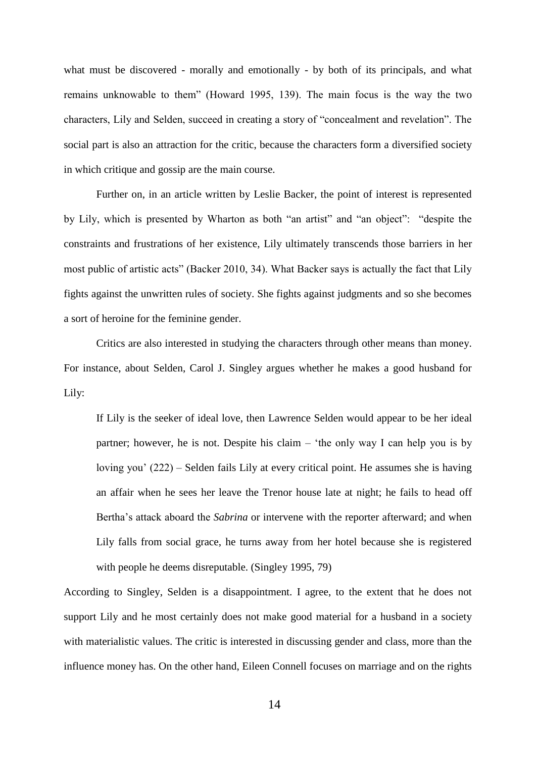what must be discovered - morally and emotionally - by both of its principals, and what remains unknowable to them" (Howard 1995, 139). The main focus is the way the two characters, Lily and Selden, succeed in creating a story of "concealment and revelation". The social part is also an attraction for the critic, because the characters form a diversified society in which critique and gossip are the main course.

Further on, in an article written by Leslie Backer, the point of interest is represented by Lily, which is presented by Wharton as both "an artist" and "an object": "despite the constraints and frustrations of her existence, Lily ultimately transcends those barriers in her most public of artistic acts" (Backer 2010, 34). What Backer says is actually the fact that Lily fights against the unwritten rules of society. She fights against judgments and so she becomes a sort of heroine for the feminine gender.

Critics are also interested in studying the characters through other means than money. For instance, about Selden, Carol J. Singley argues whether he makes a good husband for Lily:

If Lily is the seeker of ideal love, then Lawrence Selden would appear to be her ideal partner; however, he is not. Despite his claim – 'the only way I can help you is by loving you' (222) – Selden fails Lily at every critical point. He assumes she is having an affair when he sees her leave the Trenor house late at night; he fails to head off Bertha's attack aboard the *Sabrina* or intervene with the reporter afterward; and when Lily falls from social grace, he turns away from her hotel because she is registered with people he deems disreputable. (Singley 1995, 79)

According to Singley, Selden is a disappointment. I agree, to the extent that he does not support Lily and he most certainly does not make good material for a husband in a society with materialistic values. The critic is interested in discussing gender and class, more than the influence money has. On the other hand, Eileen Connell focuses on marriage and on the rights

14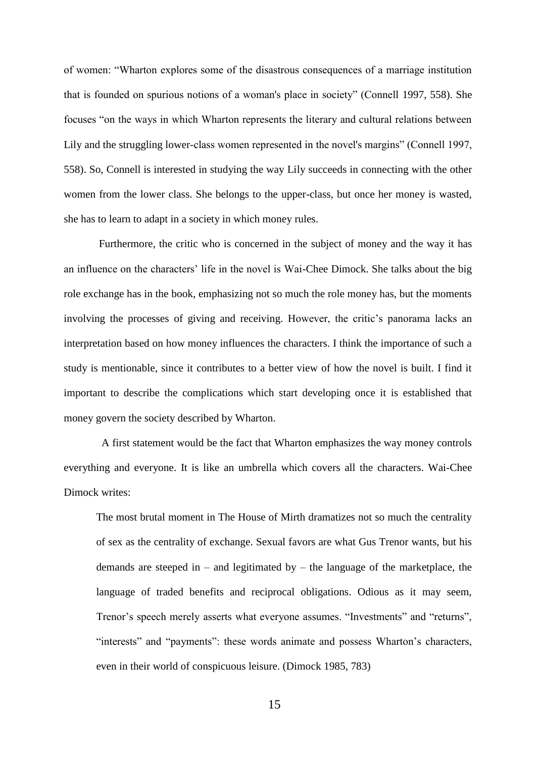of women: "Wharton explores some of the disastrous consequences of a marriage institution that is founded on spurious notions of a woman's place in society" (Connell 1997, 558). She focuses "on the ways in which Wharton represents the literary and cultural relations between Lily and the struggling lower-class women represented in the novel's margins" (Connell 1997, 558). So, Connell is interested in studying the way Lily succeeds in connecting with the other women from the lower class. She belongs to the upper-class, but once her money is wasted, she has to learn to adapt in a society in which money rules.

Furthermore, the critic who is concerned in the subject of money and the way it has an influence on the characters' life in the novel is Wai-Chee Dimock. She talks about the big role exchange has in the book, emphasizing not so much the role money has, but the moments involving the processes of giving and receiving. However, the critic's panorama lacks an interpretation based on how money influences the characters. I think the importance of such a study is mentionable, since it contributes to a better view of how the novel is built. I find it important to describe the complications which start developing once it is established that money govern the society described by Wharton.

 A first statement would be the fact that Wharton emphasizes the way money controls everything and everyone. It is like an umbrella which covers all the characters. Wai-Chee Dimock writes:

The most brutal moment in The House of Mirth dramatizes not so much the centrality of sex as the centrality of exchange. Sexual favors are what Gus Trenor wants, but his demands are steeped in – and legitimated by – the language of the marketplace, the language of traded benefits and reciprocal obligations. Odious as it may seem, Trenor's speech merely asserts what everyone assumes. "Investments" and "returns", "interests" and "payments": these words animate and possess Wharton's characters, even in their world of conspicuous leisure. (Dimock 1985, 783)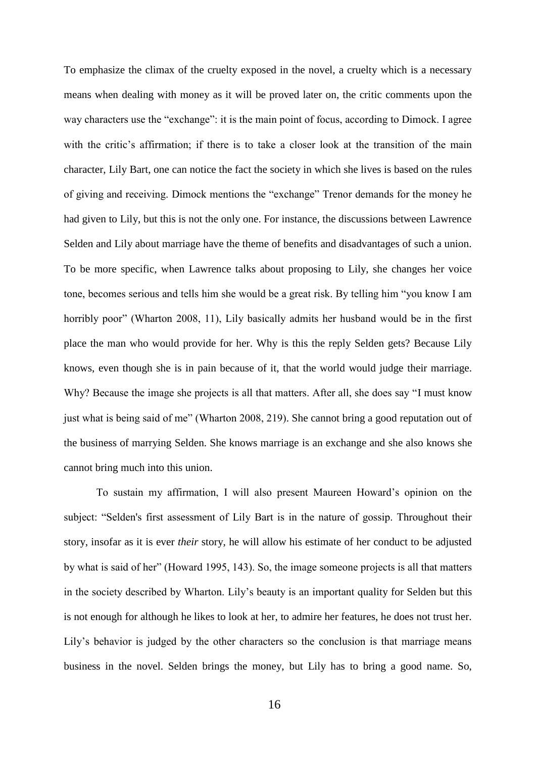To emphasize the climax of the cruelty exposed in the novel, a cruelty which is a necessary means when dealing with money as it will be proved later on, the critic comments upon the way characters use the "exchange": it is the main point of focus, according to Dimock. I agree with the critic's affirmation; if there is to take a closer look at the transition of the main character, Lily Bart, one can notice the fact the society in which she lives is based on the rules of giving and receiving. Dimock mentions the "exchange" Trenor demands for the money he had given to Lily, but this is not the only one. For instance, the discussions between Lawrence Selden and Lily about marriage have the theme of benefits and disadvantages of such a union. To be more specific, when Lawrence talks about proposing to Lily, she changes her voice tone, becomes serious and tells him she would be a great risk. By telling him "you know I am horribly poor" (Wharton 2008, 11), Lily basically admits her husband would be in the first place the man who would provide for her. Why is this the reply Selden gets? Because Lily knows, even though she is in pain because of it, that the world would judge their marriage. Why? Because the image she projects is all that matters. After all, she does say "I must know just what is being said of me" (Wharton 2008, 219). She cannot bring a good reputation out of the business of marrying Selden. She knows marriage is an exchange and she also knows she cannot bring much into this union.

To sustain my affirmation, I will also present Maureen Howard's opinion on the subject: "Selden's first assessment of Lily Bart is in the nature of gossip. Throughout their story, insofar as it is ever *their* story, he will allow his estimate of her conduct to be adjusted by what is said of her" (Howard 1995, 143). So, the image someone projects is all that matters in the society described by Wharton. Lily's beauty is an important quality for Selden but this is not enough for although he likes to look at her, to admire her features, he does not trust her. Lily's behavior is judged by the other characters so the conclusion is that marriage means business in the novel. Selden brings the money, but Lily has to bring a good name. So,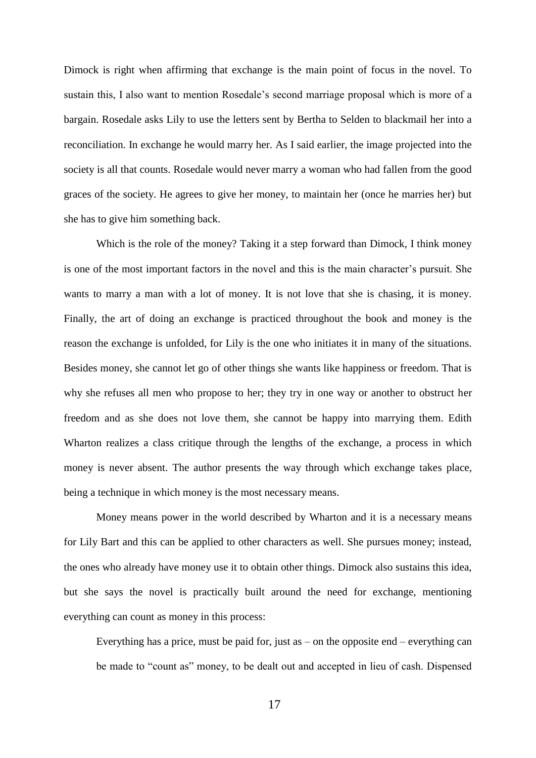Dimock is right when affirming that exchange is the main point of focus in the novel. To sustain this, I also want to mention Rosedale's second marriage proposal which is more of a bargain. Rosedale asks Lily to use the letters sent by Bertha to Selden to blackmail her into a reconciliation. In exchange he would marry her. As I said earlier, the image projected into the society is all that counts. Rosedale would never marry a woman who had fallen from the good graces of the society. He agrees to give her money, to maintain her (once he marries her) but she has to give him something back.

Which is the role of the money? Taking it a step forward than Dimock, I think money is one of the most important factors in the novel and this is the main character's pursuit. She wants to marry a man with a lot of money. It is not love that she is chasing, it is money. Finally, the art of doing an exchange is practiced throughout the book and money is the reason the exchange is unfolded, for Lily is the one who initiates it in many of the situations. Besides money, she cannot let go of other things she wants like happiness or freedom. That is why she refuses all men who propose to her; they try in one way or another to obstruct her freedom and as she does not love them, she cannot be happy into marrying them. Edith Wharton realizes a class critique through the lengths of the exchange, a process in which money is never absent. The author presents the way through which exchange takes place, being a technique in which money is the most necessary means.

Money means power in the world described by Wharton and it is a necessary means for Lily Bart and this can be applied to other characters as well. She pursues money; instead, the ones who already have money use it to obtain other things. Dimock also sustains this idea, but she says the novel is practically built around the need for exchange, mentioning everything can count as money in this process:

Everything has a price, must be paid for, just as  $-$  on the opposite end  $-$  everything can be made to "count as" money, to be dealt out and accepted in lieu of cash. Dispensed

17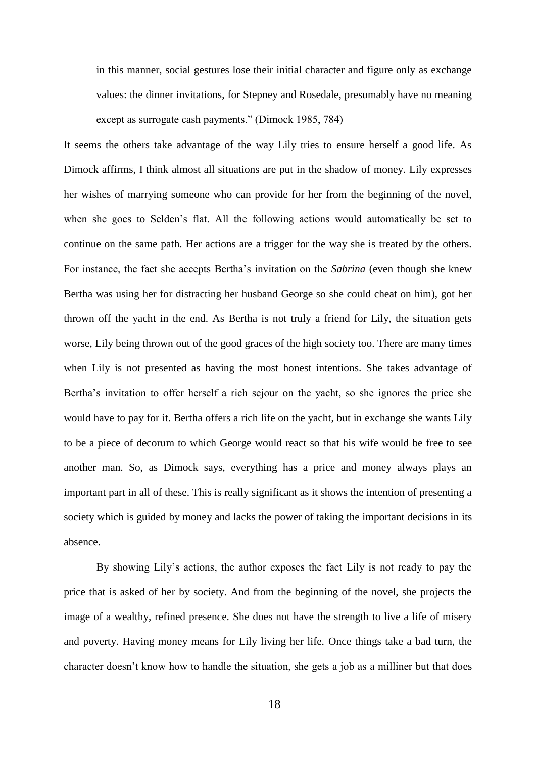in this manner, social gestures lose their initial character and figure only as exchange values: the dinner invitations, for Stepney and Rosedale, presumably have no meaning except as surrogate cash payments." (Dimock 1985, 784)

It seems the others take advantage of the way Lily tries to ensure herself a good life. As Dimock affirms, I think almost all situations are put in the shadow of money. Lily expresses her wishes of marrying someone who can provide for her from the beginning of the novel, when she goes to Selden's flat. All the following actions would automatically be set to continue on the same path. Her actions are a trigger for the way she is treated by the others. For instance, the fact she accepts Bertha's invitation on the *Sabrina* (even though she knew Bertha was using her for distracting her husband George so she could cheat on him), got her thrown off the yacht in the end. As Bertha is not truly a friend for Lily, the situation gets worse, Lily being thrown out of the good graces of the high society too. There are many times when Lily is not presented as having the most honest intentions. She takes advantage of Bertha's invitation to offer herself a rich sejour on the yacht, so she ignores the price she would have to pay for it. Bertha offers a rich life on the yacht, but in exchange she wants Lily to be a piece of decorum to which George would react so that his wife would be free to see another man. So, as Dimock says, everything has a price and money always plays an important part in all of these. This is really significant as it shows the intention of presenting a society which is guided by money and lacks the power of taking the important decisions in its absence.

By showing Lily's actions, the author exposes the fact Lily is not ready to pay the price that is asked of her by society. And from the beginning of the novel, she projects the image of a wealthy, refined presence. She does not have the strength to live a life of misery and poverty. Having money means for Lily living her life. Once things take a bad turn, the character doesn't know how to handle the situation, she gets a job as a milliner but that does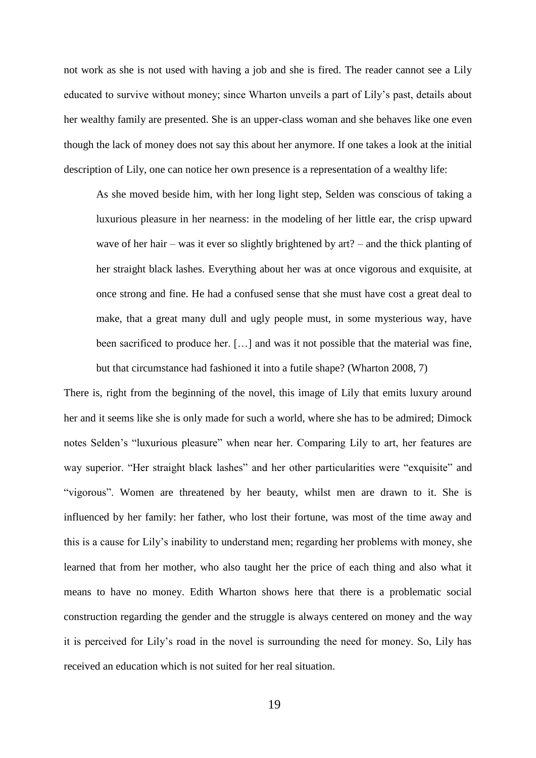not work as she is not used with having a job and she is fired. The reader cannot see a Lily educated to survive without money; since Wharton unveils a part of Lily's past, details about her wealthy family are presented. She is an upper-class woman and she behaves like one even though the lack of money does not say this about her anymore. If one takes a look at the initial description of Lily, one can notice her own presence is a representation of a wealthy life:

As she moved beside him, with her long light step, Selden was conscious of taking a luxurious pleasure in her nearness: in the modeling of her little ear, the crisp upward wave of her hair – was it ever so slightly brightened by art? – and the thick planting of her straight black lashes. Everything about her was at once vigorous and exquisite, at once strong and fine. He had a confused sense that she must have cost a great deal to make, that a great many dull and ugly people must, in some mysterious way, have been sacrificed to produce her. […] and was it not possible that the material was fine, but that circumstance had fashioned it into a futile shape? (Wharton 2008, 7)

There is, right from the beginning of the novel, this image of Lily that emits luxury around her and it seems like she is only made for such a world, where she has to be admired; Dimock notes Selden's "luxurious pleasure" when near her. Comparing Lily to art, her features are way superior. "Her straight black lashes" and her other particularities were "exquisite" and "vigorous". Women are threatened by her beauty, whilst men are drawn to it. She is influenced by her family: her father, who lost their fortune, was most of the time away and this is a cause for Lily's inability to understand men; regarding her problems with money, she learned that from her mother, who also taught her the price of each thing and also what it means to have no money. Edith Wharton shows here that there is a problematic social construction regarding the gender and the struggle is always centered on money and the way it is perceived for Lily's road in the novel is surrounding the need for money. So, Lily has received an education which is not suited for her real situation.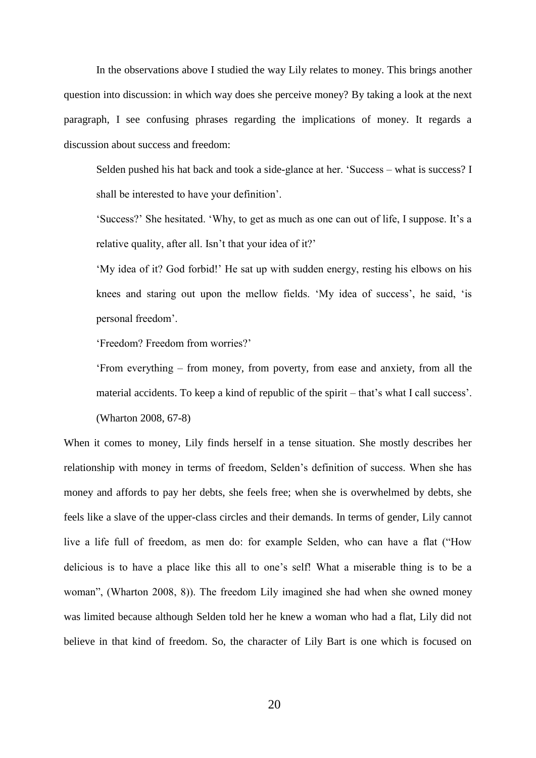In the observations above I studied the way Lily relates to money. This brings another question into discussion: in which way does she perceive money? By taking a look at the next paragraph, I see confusing phrases regarding the implications of money. It regards a discussion about success and freedom:

Selden pushed his hat back and took a side-glance at her. 'Success – what is success? I shall be interested to have your definition'.

'Success?' She hesitated. 'Why, to get as much as one can out of life, I suppose. It's a relative quality, after all. Isn't that your idea of it?'

'My idea of it? God forbid!' He sat up with sudden energy, resting his elbows on his knees and staring out upon the mellow fields. 'My idea of success', he said, 'is personal freedom'.

'Freedom? Freedom from worries?'

'From everything – from money, from poverty, from ease and anxiety, from all the material accidents. To keep a kind of republic of the spirit – that's what I call success'. (Wharton 2008, 67-8)

When it comes to money, Lily finds herself in a tense situation. She mostly describes her relationship with money in terms of freedom, Selden's definition of success. When she has money and affords to pay her debts, she feels free; when she is overwhelmed by debts, she feels like a slave of the upper-class circles and their demands. In terms of gender, Lily cannot live a life full of freedom, as men do: for example Selden, who can have a flat ("How delicious is to have a place like this all to one's self! What a miserable thing is to be a woman", (Wharton 2008, 8)). The freedom Lily imagined she had when she owned money was limited because although Selden told her he knew a woman who had a flat, Lily did not believe in that kind of freedom. So, the character of Lily Bart is one which is focused on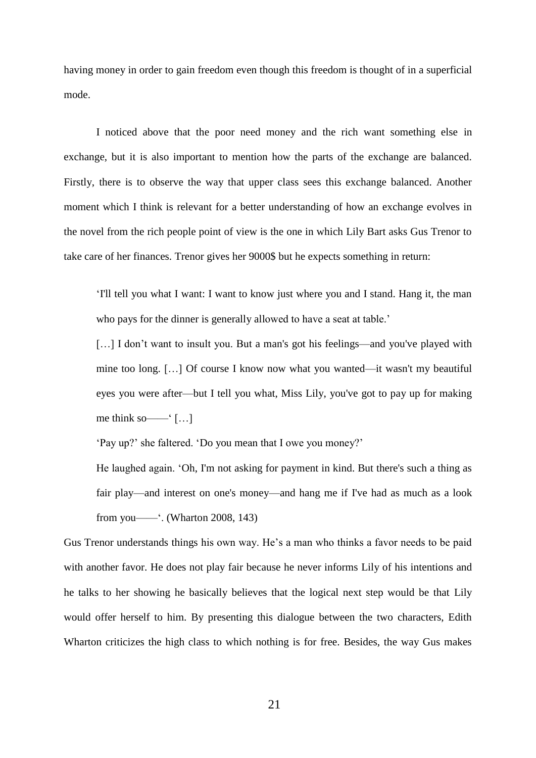having money in order to gain freedom even though this freedom is thought of in a superficial mode.

I noticed above that the poor need money and the rich want something else in exchange, but it is also important to mention how the parts of the exchange are balanced. Firstly, there is to observe the way that upper class sees this exchange balanced. Another moment which I think is relevant for a better understanding of how an exchange evolves in the novel from the rich people point of view is the one in which Lily Bart asks Gus Trenor to take care of her finances. Trenor gives her 9000\$ but he expects something in return:

'I'll tell you what I want: I want to know just where you and I stand. Hang it, the man who pays for the dinner is generally allowed to have a seat at table.'

[...] I don't want to insult you. But a man's got his feelings—and you've played with mine too long. […] Of course I know now what you wanted—it wasn't my beautiful eyes you were after—but I tell you what, Miss Lily, you've got to pay up for making me think so  $\frac{m}{m}$  [...]

'Pay up?' she faltered. 'Do you mean that I owe you money?'

He laughed again. 'Oh, I'm not asking for payment in kind. But there's such a thing as fair play—and interest on one's money—and hang me if I've had as much as a look from you——'. (Wharton 2008, 143)

Gus Trenor understands things his own way. He's a man who thinks a favor needs to be paid with another favor. He does not play fair because he never informs Lily of his intentions and he talks to her showing he basically believes that the logical next step would be that Lily would offer herself to him. By presenting this dialogue between the two characters, Edith Wharton criticizes the high class to which nothing is for free. Besides, the way Gus makes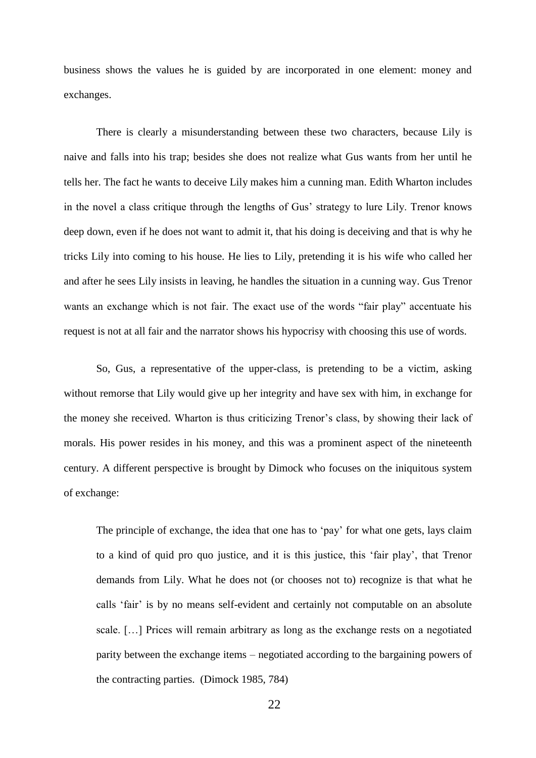business shows the values he is guided by are incorporated in one element: money and exchanges.

There is clearly a misunderstanding between these two characters, because Lily is naive and falls into his trap; besides she does not realize what Gus wants from her until he tells her. The fact he wants to deceive Lily makes him a cunning man. Edith Wharton includes in the novel a class critique through the lengths of Gus' strategy to lure Lily. Trenor knows deep down, even if he does not want to admit it, that his doing is deceiving and that is why he tricks Lily into coming to his house. He lies to Lily, pretending it is his wife who called her and after he sees Lily insists in leaving, he handles the situation in a cunning way. Gus Trenor wants an exchange which is not fair. The exact use of the words "fair play" accentuate his request is not at all fair and the narrator shows his hypocrisy with choosing this use of words.

So, Gus, a representative of the upper-class, is pretending to be a victim, asking without remorse that Lily would give up her integrity and have sex with him, in exchange for the money she received. Wharton is thus criticizing Trenor's class, by showing their lack of morals. His power resides in his money, and this was a prominent aspect of the nineteenth century. A different perspective is brought by Dimock who focuses on the iniquitous system of exchange:

The principle of exchange, the idea that one has to 'pay' for what one gets, lays claim to a kind of quid pro quo justice, and it is this justice, this 'fair play', that Trenor demands from Lily. What he does not (or chooses not to) recognize is that what he calls 'fair' is by no means self-evident and certainly not computable on an absolute scale. […] Prices will remain arbitrary as long as the exchange rests on a negotiated parity between the exchange items – negotiated according to the bargaining powers of the contracting parties. (Dimock 1985, 784)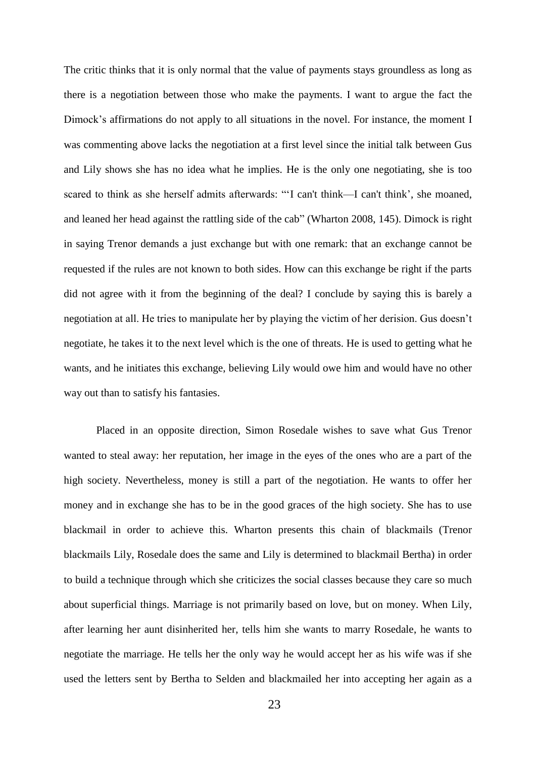The critic thinks that it is only normal that the value of payments stays groundless as long as there is a negotiation between those who make the payments. I want to argue the fact the Dimock's affirmations do not apply to all situations in the novel. For instance, the moment I was commenting above lacks the negotiation at a first level since the initial talk between Gus and Lily shows she has no idea what he implies. He is the only one negotiating, she is too scared to think as she herself admits afterwards: "'I can't think—I can't think', she moaned, and leaned her head against the rattling side of the cab" (Wharton 2008, 145). Dimock is right in saying Trenor demands a just exchange but with one remark: that an exchange cannot be requested if the rules are not known to both sides. How can this exchange be right if the parts did not agree with it from the beginning of the deal? I conclude by saying this is barely a negotiation at all. He tries to manipulate her by playing the victim of her derision. Gus doesn't negotiate, he takes it to the next level which is the one of threats. He is used to getting what he wants, and he initiates this exchange, believing Lily would owe him and would have no other way out than to satisfy his fantasies.

Placed in an opposite direction, Simon Rosedale wishes to save what Gus Trenor wanted to steal away: her reputation, her image in the eyes of the ones who are a part of the high society. Nevertheless, money is still a part of the negotiation. He wants to offer her money and in exchange she has to be in the good graces of the high society. She has to use blackmail in order to achieve this. Wharton presents this chain of blackmails (Trenor blackmails Lily, Rosedale does the same and Lily is determined to blackmail Bertha) in order to build a technique through which she criticizes the social classes because they care so much about superficial things. Marriage is not primarily based on love, but on money. When Lily, after learning her aunt disinherited her, tells him she wants to marry Rosedale, he wants to negotiate the marriage. He tells her the only way he would accept her as his wife was if she used the letters sent by Bertha to Selden and blackmailed her into accepting her again as a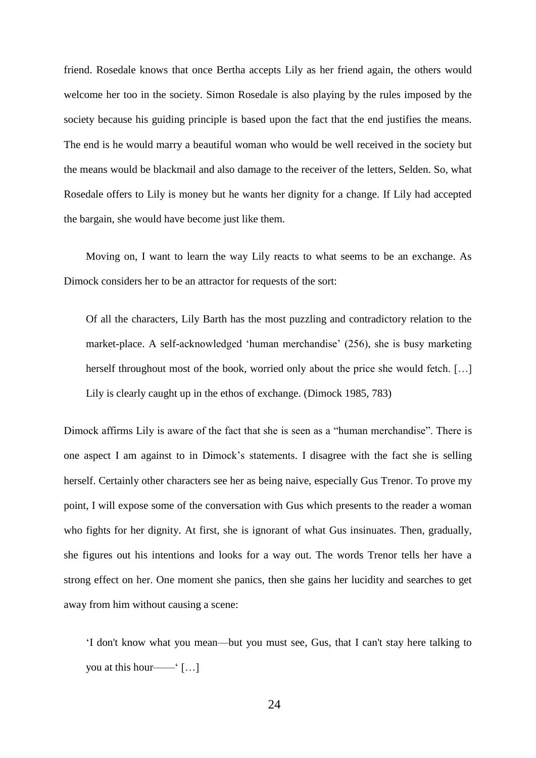friend. Rosedale knows that once Bertha accepts Lily as her friend again, the others would welcome her too in the society. Simon Rosedale is also playing by the rules imposed by the society because his guiding principle is based upon the fact that the end justifies the means*.* The end is he would marry a beautiful woman who would be well received in the society but the means would be blackmail and also damage to the receiver of the letters, Selden. So, what Rosedale offers to Lily is money but he wants her dignity for a change. If Lily had accepted the bargain, she would have become just like them.

Moving on, I want to learn the way Lily reacts to what seems to be an exchange. As Dimock considers her to be an attractor for requests of the sort:

Of all the characters, Lily Barth has the most puzzling and contradictory relation to the market-place. A self-acknowledged 'human merchandise' (256), she is busy marketing herself throughout most of the book, worried only about the price she would fetch. [...] Lily is clearly caught up in the ethos of exchange. (Dimock 1985, 783)

Dimock affirms Lily is aware of the fact that she is seen as a "human merchandise". There is one aspect I am against to in Dimock's statements. I disagree with the fact she is selling herself. Certainly other characters see her as being naive, especially Gus Trenor. To prove my point, I will expose some of the conversation with Gus which presents to the reader a woman who fights for her dignity. At first, she is ignorant of what Gus insinuates. Then, gradually, she figures out his intentions and looks for a way out. The words Trenor tells her have a strong effect on her. One moment she panics, then she gains her lucidity and searches to get away from him without causing a scene:

'I don't know what you mean—but you must see, Gus, that I can't stay here talking to you at this hour——' […]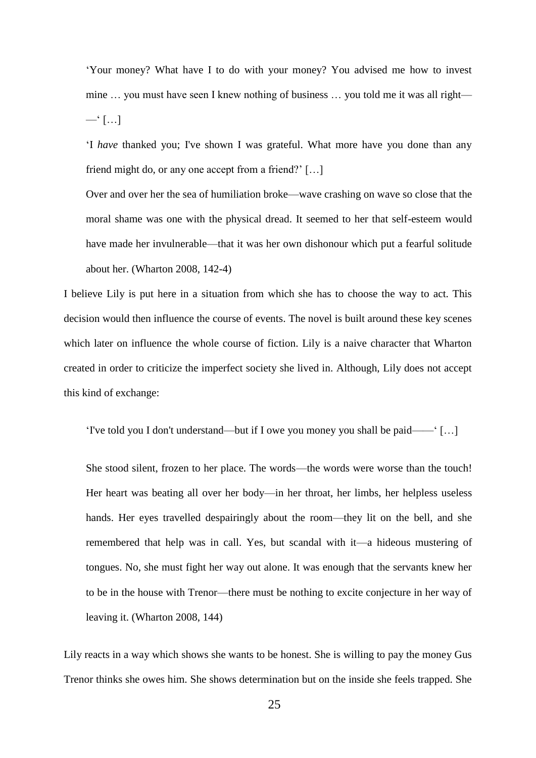'Your money? What have I to do with your money? You advised me how to invest mine … you must have seen I knew nothing of business … you told me it was all right—  $-\infty$  [...]

'I *have* thanked you; I've shown I was grateful. What more have you done than any friend might do, or any one accept from a friend?' […]

Over and over her the sea of humiliation broke—wave crashing on wave so close that the moral shame was one with the physical dread. It seemed to her that self-esteem would have made her invulnerable—that it was her own dishonour which put a fearful solitude about her. (Wharton 2008, 142-4)

I believe Lily is put here in a situation from which she has to choose the way to act. This decision would then influence the course of events. The novel is built around these key scenes which later on influence the whole course of fiction. Lily is a naive character that Wharton created in order to criticize the imperfect society she lived in. Although, Lily does not accept this kind of exchange:

'I've told you I don't understand—but if I owe you money you shall be paid——' […]

She stood silent, frozen to her place. The words—the words were worse than the touch! Her heart was beating all over her body—in her throat, her limbs, her helpless useless hands. Her eyes travelled despairingly about the room—they lit on the bell, and she remembered that help was in call. Yes, but scandal with it—a hideous mustering of tongues. No, she must fight her way out alone. It was enough that the servants knew her to be in the house with Trenor—there must be nothing to excite conjecture in her way of leaving it. (Wharton 2008, 144)

Lily reacts in a way which shows she wants to be honest. She is willing to pay the money Gus Trenor thinks she owes him. She shows determination but on the inside she feels trapped. She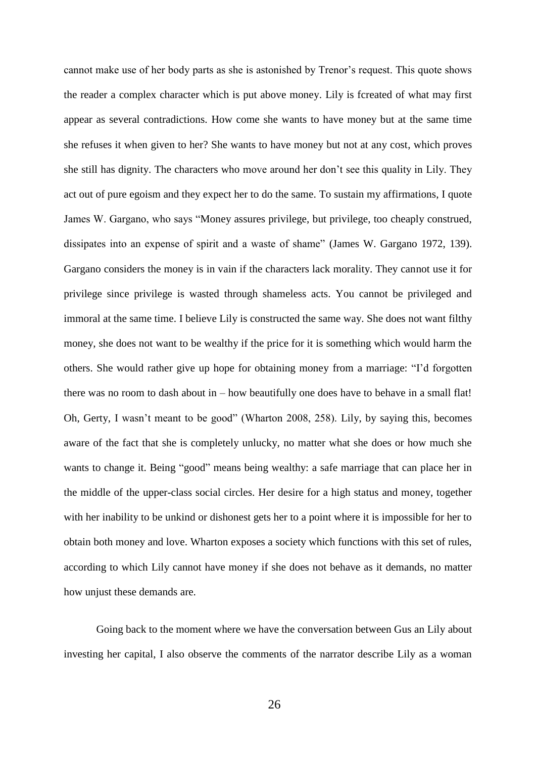cannot make use of her body parts as she is astonished by Trenor's request. This quote shows the reader a complex character which is put above money. Lily is fcreated of what may first appear as several contradictions. How come she wants to have money but at the same time she refuses it when given to her? She wants to have money but not at any cost, which proves she still has dignity. The characters who move around her don't see this quality in Lily. They act out of pure egoism and they expect her to do the same. To sustain my affirmations, I quote James W. Gargano, who says "Money assures privilege, but privilege, too cheaply construed, dissipates into an expense of spirit and a waste of shame" (James W. Gargano 1972, 139). Gargano considers the money is in vain if the characters lack morality. They cannot use it for privilege since privilege is wasted through shameless acts. You cannot be privileged and immoral at the same time. I believe Lily is constructed the same way. She does not want filthy money, she does not want to be wealthy if the price for it is something which would harm the others. She would rather give up hope for obtaining money from a marriage: "I'd forgotten there was no room to dash about in – how beautifully one does have to behave in a small flat! Oh, Gerty, I wasn't meant to be good" (Wharton 2008, 258). Lily, by saying this, becomes aware of the fact that she is completely unlucky, no matter what she does or how much she wants to change it. Being "good" means being wealthy: a safe marriage that can place her in the middle of the upper-class social circles. Her desire for a high status and money, together with her inability to be unkind or dishonest gets her to a point where it is impossible for her to obtain both money and love. Wharton exposes a society which functions with this set of rules, according to which Lily cannot have money if she does not behave as it demands, no matter how unjust these demands are.

Going back to the moment where we have the conversation between Gus an Lily about investing her capital, I also observe the comments of the narrator describe Lily as a woman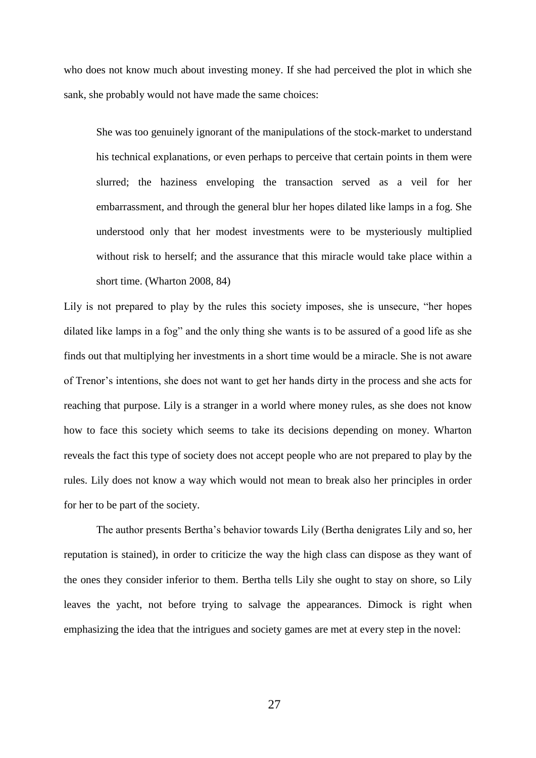who does not know much about investing money. If she had perceived the plot in which she sank, she probably would not have made the same choices:

She was too genuinely ignorant of the manipulations of the stock-market to understand his technical explanations, or even perhaps to perceive that certain points in them were slurred; the haziness enveloping the transaction served as a veil for her embarrassment, and through the general blur her hopes dilated like lamps in a fog. She understood only that her modest investments were to be mysteriously multiplied without risk to herself; and the assurance that this miracle would take place within a short time. (Wharton 2008, 84)

Lily is not prepared to play by the rules this society imposes, she is unsecure, "her hopes dilated like lamps in a fog" and the only thing she wants is to be assured of a good life as she finds out that multiplying her investments in a short time would be a miracle. She is not aware of Trenor's intentions, she does not want to get her hands dirty in the process and she acts for reaching that purpose. Lily is a stranger in a world where money rules, as she does not know how to face this society which seems to take its decisions depending on money. Wharton reveals the fact this type of society does not accept people who are not prepared to play by the rules. Lily does not know a way which would not mean to break also her principles in order for her to be part of the society.

The author presents Bertha's behavior towards Lily (Bertha denigrates Lily and so, her reputation is stained), in order to criticize the way the high class can dispose as they want of the ones they consider inferior to them. Bertha tells Lily she ought to stay on shore, so Lily leaves the yacht, not before trying to salvage the appearances. Dimock is right when emphasizing the idea that the intrigues and society games are met at every step in the novel: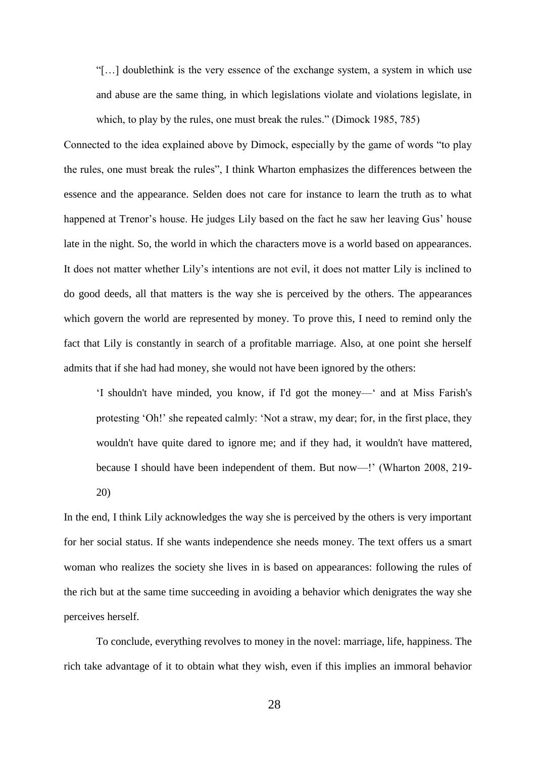"[…] doublethink is the very essence of the exchange system, a system in which use and abuse are the same thing, in which legislations violate and violations legislate, in which, to play by the rules, one must break the rules." (Dimock 1985, 785)

Connected to the idea explained above by Dimock, especially by the game of words "to play the rules, one must break the rules", I think Wharton emphasizes the differences between the essence and the appearance. Selden does not care for instance to learn the truth as to what happened at Trenor's house. He judges Lily based on the fact he saw her leaving Gus' house late in the night. So, the world in which the characters move is a world based on appearances. It does not matter whether Lily's intentions are not evil, it does not matter Lily is inclined to do good deeds, all that matters is the way she is perceived by the others. The appearances which govern the world are represented by money. To prove this, I need to remind only the fact that Lily is constantly in search of a profitable marriage. Also, at one point she herself admits that if she had had money, she would not have been ignored by the others:

'I shouldn't have minded, you know, if I'd got the money—' and at Miss Farish's protesting 'Oh!' she repeated calmly: 'Not a straw, my dear; for, in the first place, they wouldn't have quite dared to ignore me; and if they had, it wouldn't have mattered, because I should have been independent of them. But now—!' (Wharton 2008, 219- 20)

In the end, I think Lily acknowledges the way she is perceived by the others is very important for her social status. If she wants independence she needs money. The text offers us a smart woman who realizes the society she lives in is based on appearances: following the rules of the rich but at the same time succeeding in avoiding a behavior which denigrates the way she perceives herself.

To conclude, everything revolves to money in the novel: marriage, life, happiness. The rich take advantage of it to obtain what they wish, even if this implies an immoral behavior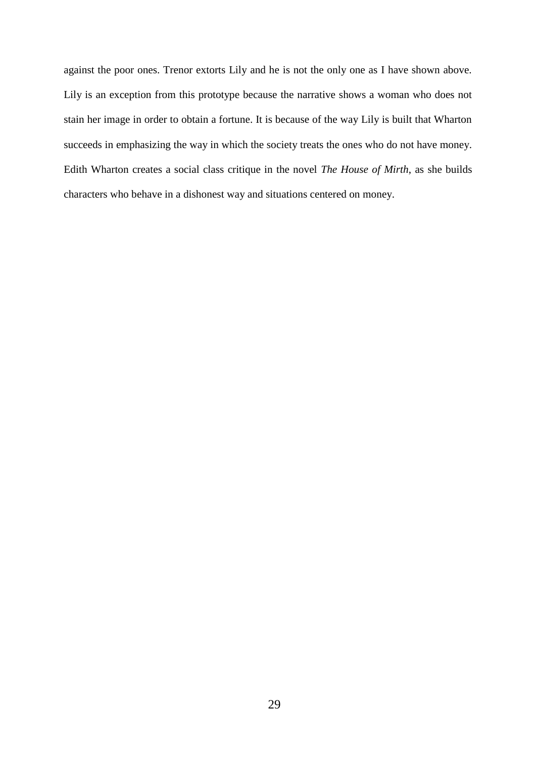against the poor ones. Trenor extorts Lily and he is not the only one as I have shown above. Lily is an exception from this prototype because the narrative shows a woman who does not stain her image in order to obtain a fortune. It is because of the way Lily is built that Wharton succeeds in emphasizing the way in which the society treats the ones who do not have money. Edith Wharton creates a social class critique in the novel *The House of Mirth*, as she builds characters who behave in a dishonest way and situations centered on money.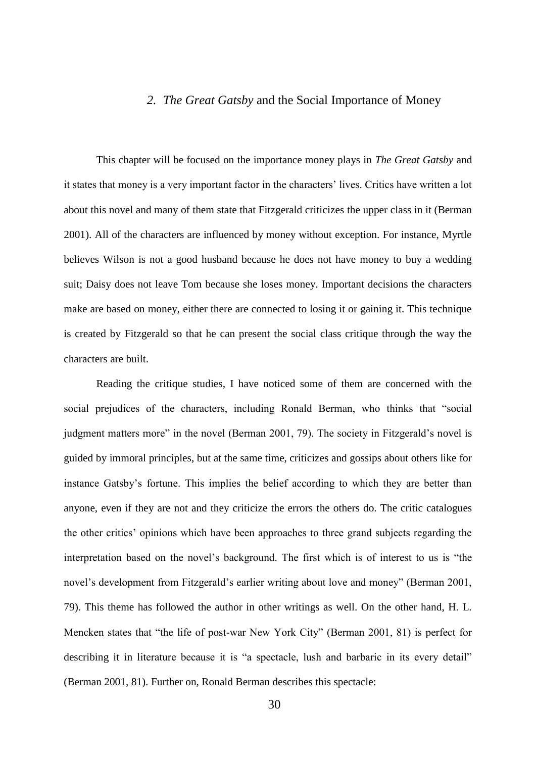#### *2. The Great Gatsby* and the Social Importance of Money

This chapter will be focused on the importance money plays in *The Great Gatsby* and it states that money is a very important factor in the characters' lives. Critics have written a lot about this novel and many of them state that Fitzgerald criticizes the upper class in it (Berman 2001). All of the characters are influenced by money without exception. For instance, Myrtle believes Wilson is not a good husband because he does not have money to buy a wedding suit; Daisy does not leave Tom because she loses money. Important decisions the characters make are based on money, either there are connected to losing it or gaining it. This technique is created by Fitzgerald so that he can present the social class critique through the way the characters are built.

Reading the critique studies, I have noticed some of them are concerned with the social prejudices of the characters, including Ronald Berman, who thinks that "social judgment matters more" in the novel (Berman 2001, 79). The society in Fitzgerald's novel is guided by immoral principles, but at the same time, criticizes and gossips about others like for instance Gatsby's fortune. This implies the belief according to which they are better than anyone, even if they are not and they criticize the errors the others do. The critic catalogues the other critics' opinions which have been approaches to three grand subjects regarding the interpretation based on the novel's background. The first which is of interest to us is "the novel's development from Fitzgerald's earlier writing about love and money" (Berman 2001, 79). This theme has followed the author in other writings as well. On the other hand, H. L. Mencken states that "the life of post-war New York City" (Berman 2001, 81) is perfect for describing it in literature because it is "a spectacle, lush and barbaric in its every detail" (Berman 2001, 81). Further on, Ronald Berman describes this spectacle: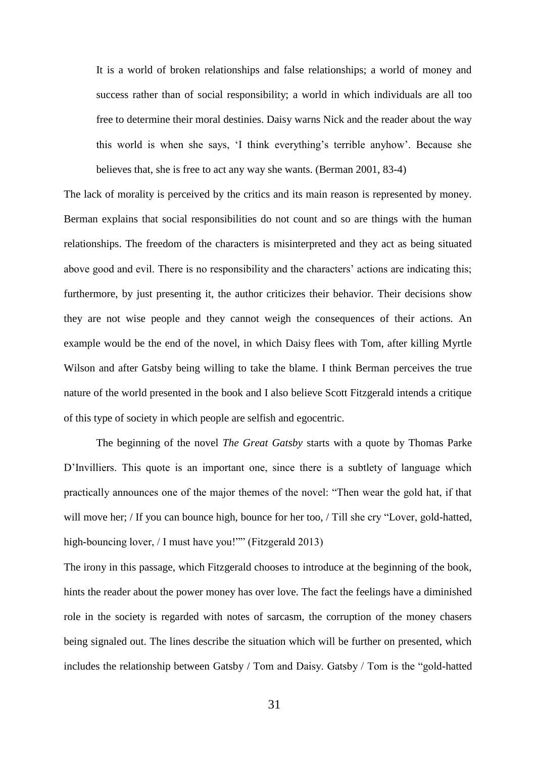It is a world of broken relationships and false relationships; a world of money and success rather than of social responsibility; a world in which individuals are all too free to determine their moral destinies. Daisy warns Nick and the reader about the way this world is when she says, 'I think everything's terrible anyhow'. Because she believes that, she is free to act any way she wants. (Berman 2001, 83-4)

The lack of morality is perceived by the critics and its main reason is represented by money. Berman explains that social responsibilities do not count and so are things with the human relationships. The freedom of the characters is misinterpreted and they act as being situated above good and evil. There is no responsibility and the characters' actions are indicating this; furthermore, by just presenting it, the author criticizes their behavior. Their decisions show they are not wise people and they cannot weigh the consequences of their actions. An example would be the end of the novel, in which Daisy flees with Tom, after killing Myrtle Wilson and after Gatsby being willing to take the blame. I think Berman perceives the true nature of the world presented in the book and I also believe Scott Fitzgerald intends a critique of this type of society in which people are selfish and egocentric.

The beginning of the novel *The Great Gatsby* starts with a quote by Thomas Parke D'Invilliers. This quote is an important one, since there is a subtlety of language which practically announces one of the major themes of the novel: "Then wear the gold hat, if that will move her; / If you can bounce high, bounce for her too, / Till she cry "Lover, gold-hatted, high-bouncing lover, / I must have you!"" (Fitzgerald 2013)

The irony in this passage, which Fitzgerald chooses to introduce at the beginning of the book, hints the reader about the power money has over love. The fact the feelings have a diminished role in the society is regarded with notes of sarcasm, the corruption of the money chasers being signaled out. The lines describe the situation which will be further on presented, which includes the relationship between Gatsby / Tom and Daisy. Gatsby / Tom is the "gold-hatted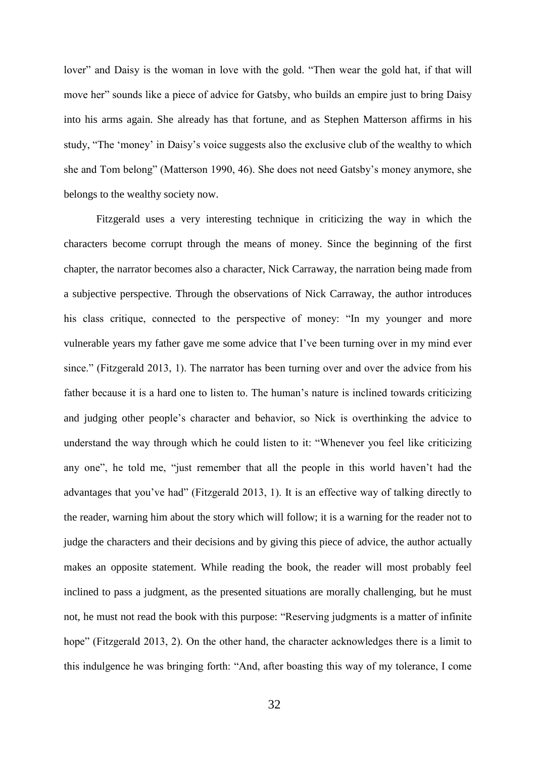lover" and Daisy is the woman in love with the gold. "Then wear the gold hat, if that will move her" sounds like a piece of advice for Gatsby, who builds an empire just to bring Daisy into his arms again. She already has that fortune, and as Stephen Matterson affirms in his study, "The 'money' in Daisy's voice suggests also the exclusive club of the wealthy to which she and Tom belong" (Matterson 1990, 46). She does not need Gatsby's money anymore, she belongs to the wealthy society now.

Fitzgerald uses a very interesting technique in criticizing the way in which the characters become corrupt through the means of money. Since the beginning of the first chapter, the narrator becomes also a character, Nick Carraway, the narration being made from a subjective perspective. Through the observations of Nick Carraway, the author introduces his class critique, connected to the perspective of money: "In my younger and more vulnerable years my father gave me some advice that I've been turning over in my mind ever since." (Fitzgerald 2013, 1). The narrator has been turning over and over the advice from his father because it is a hard one to listen to. The human's nature is inclined towards criticizing and judging other people's character and behavior, so Nick is overthinking the advice to understand the way through which he could listen to it: "Whenever you feel like criticizing any one", he told me, "just remember that all the people in this world haven't had the advantages that you've had" (Fitzgerald 2013, 1). It is an effective way of talking directly to the reader, warning him about the story which will follow; it is a warning for the reader not to judge the characters and their decisions and by giving this piece of advice, the author actually makes an opposite statement. While reading the book, the reader will most probably feel inclined to pass a judgment, as the presented situations are morally challenging, but he must not, he must not read the book with this purpose: "Reserving judgments is a matter of infinite hope" (Fitzgerald 2013, 2). On the other hand, the character acknowledges there is a limit to this indulgence he was bringing forth: "And, after boasting this way of my tolerance, I come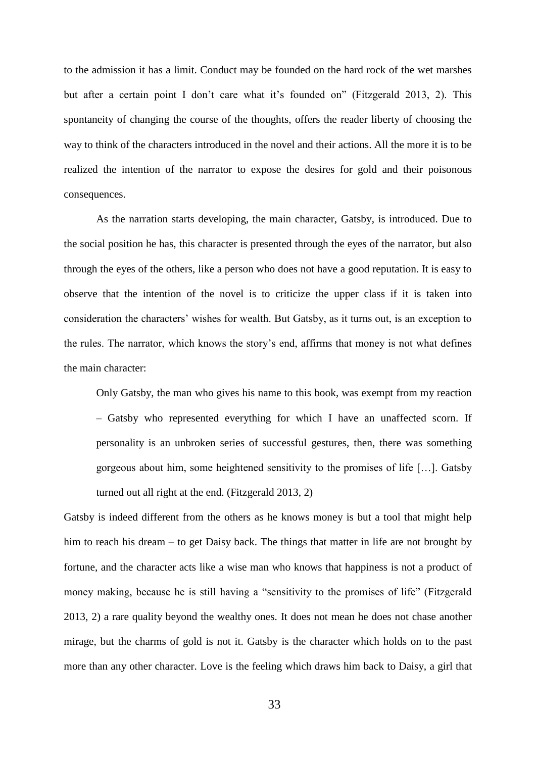to the admission it has a limit. Conduct may be founded on the hard rock of the wet marshes but after a certain point I don't care what it's founded on" (Fitzgerald 2013, 2). This spontaneity of changing the course of the thoughts, offers the reader liberty of choosing the way to think of the characters introduced in the novel and their actions. All the more it is to be realized the intention of the narrator to expose the desires for gold and their poisonous consequences.

As the narration starts developing, the main character, Gatsby, is introduced. Due to the social position he has, this character is presented through the eyes of the narrator, but also through the eyes of the others, like a person who does not have a good reputation. It is easy to observe that the intention of the novel is to criticize the upper class if it is taken into consideration the characters' wishes for wealth. But Gatsby, as it turns out, is an exception to the rules. The narrator, which knows the story's end, affirms that money is not what defines the main character:

Only Gatsby, the man who gives his name to this book, was exempt from my reaction – Gatsby who represented everything for which I have an unaffected scorn. If personality is an unbroken series of successful gestures, then, there was something gorgeous about him, some heightened sensitivity to the promises of life […]. Gatsby turned out all right at the end. (Fitzgerald 2013, 2)

Gatsby is indeed different from the others as he knows money is but a tool that might help him to reach his dream – to get Daisy back. The things that matter in life are not brought by fortune, and the character acts like a wise man who knows that happiness is not a product of money making, because he is still having a "sensitivity to the promises of life" (Fitzgerald 2013, 2) a rare quality beyond the wealthy ones. It does not mean he does not chase another mirage, but the charms of gold is not it. Gatsby is the character which holds on to the past more than any other character. Love is the feeling which draws him back to Daisy, a girl that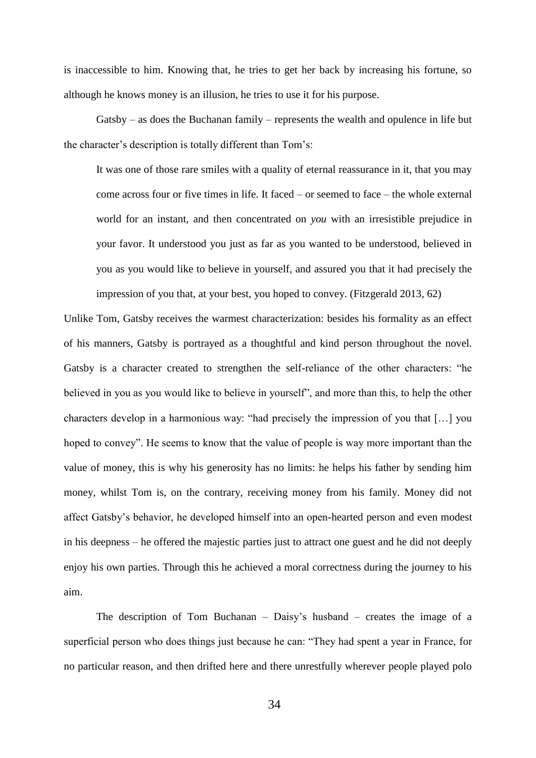is inaccessible to him. Knowing that, he tries to get her back by increasing his fortune, so although he knows money is an illusion, he tries to use it for his purpose.

Gatsby – as does the Buchanan family – represents the wealth and opulence in life but the character's description is totally different than Tom's:

It was one of those rare smiles with a quality of eternal reassurance in it, that you may come across four or five times in life. It faced – or seemed to face – the whole external world for an instant, and then concentrated on *you* with an irresistible prejudice in your favor. It understood you just as far as you wanted to be understood, believed in you as you would like to believe in yourself, and assured you that it had precisely the impression of you that, at your best, you hoped to convey. (Fitzgerald 2013, 62)

Unlike Tom, Gatsby receives the warmest characterization: besides his formality as an effect of his manners, Gatsby is portrayed as a thoughtful and kind person throughout the novel. Gatsby is a character created to strengthen the self-reliance of the other characters: "he believed in you as you would like to believe in yourself", and more than this, to help the other characters develop in a harmonious way: "had precisely the impression of you that […] you hoped to convey". He seems to know that the value of people is way more important than the value of money, this is why his generosity has no limits: he helps his father by sending him money, whilst Tom is, on the contrary, receiving money from his family. Money did not affect Gatsby's behavior, he developed himself into an open-hearted person and even modest in his deepness – he offered the majestic parties just to attract one guest and he did not deeply enjoy his own parties. Through this he achieved a moral correctness during the journey to his aim.

The description of Tom Buchanan – Daisy's husband – creates the image of a superficial person who does things just because he can: "They had spent a year in France, for no particular reason, and then drifted here and there unrestfully wherever people played polo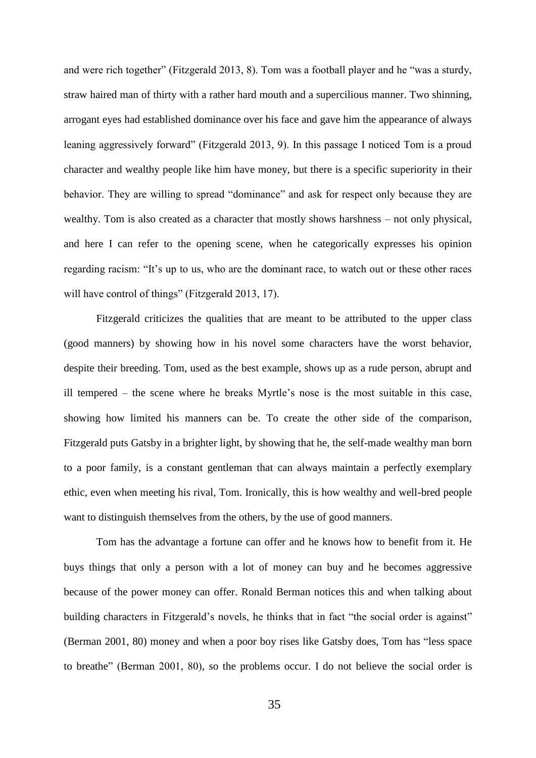and were rich together" (Fitzgerald 2013, 8). Tom was a football player and he "was a sturdy, straw haired man of thirty with a rather hard mouth and a supercilious manner. Two shinning, arrogant eyes had established dominance over his face and gave him the appearance of always leaning aggressively forward" (Fitzgerald 2013, 9). In this passage I noticed Tom is a proud character and wealthy people like him have money, but there is a specific superiority in their behavior. They are willing to spread "dominance" and ask for respect only because they are wealthy. Tom is also created as a character that mostly shows harshness – not only physical, and here I can refer to the opening scene, when he categorically expresses his opinion regarding racism: "It's up to us, who are the dominant race, to watch out or these other races will have control of things" (Fitzgerald 2013, 17).

Fitzgerald criticizes the qualities that are meant to be attributed to the upper class (good manners) by showing how in his novel some characters have the worst behavior, despite their breeding. Tom, used as the best example, shows up as a rude person, abrupt and ill tempered – the scene where he breaks Myrtle's nose is the most suitable in this case, showing how limited his manners can be. To create the other side of the comparison, Fitzgerald puts Gatsby in a brighter light, by showing that he, the self-made wealthy man born to a poor family, is a constant gentleman that can always maintain a perfectly exemplary ethic, even when meeting his rival, Tom. Ironically, this is how wealthy and well-bred people want to distinguish themselves from the others, by the use of good manners.

Tom has the advantage a fortune can offer and he knows how to benefit from it. He buys things that only a person with a lot of money can buy and he becomes aggressive because of the power money can offer. Ronald Berman notices this and when talking about building characters in Fitzgerald's novels, he thinks that in fact "the social order is against" (Berman 2001, 80) money and when a poor boy rises like Gatsby does, Tom has "less space to breathe" (Berman 2001, 80), so the problems occur. I do not believe the social order is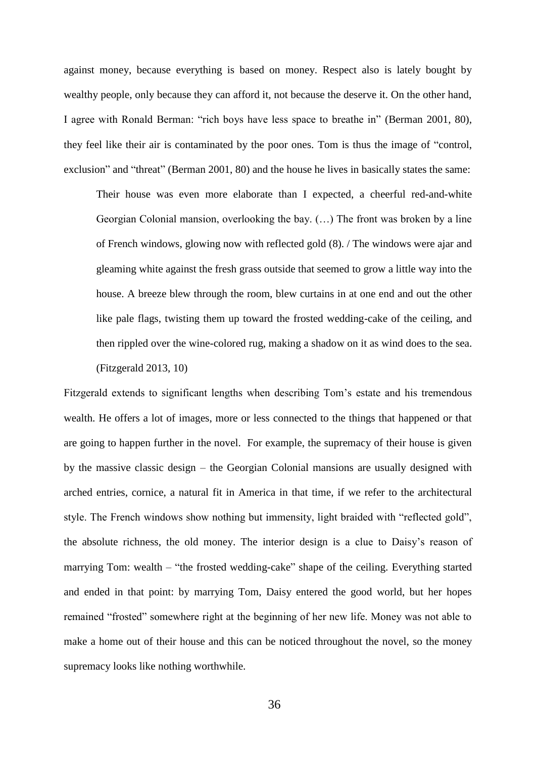against money, because everything is based on money. Respect also is lately bought by wealthy people, only because they can afford it, not because the deserve it. On the other hand, I agree with Ronald Berman: "rich boys have less space to breathe in" (Berman 2001, 80), they feel like their air is contaminated by the poor ones. Tom is thus the image of "control, exclusion" and "threat" (Berman 2001, 80) and the house he lives in basically states the same:

Their house was even more elaborate than I expected, a cheerful red-and-white Georgian Colonial mansion, overlooking the bay. (…) The front was broken by a line of French windows, glowing now with reflected gold (8). / The windows were ajar and gleaming white against the fresh grass outside that seemed to grow a little way into the house. A breeze blew through the room, blew curtains in at one end and out the other like pale flags, twisting them up toward the frosted wedding-cake of the ceiling, and then rippled over the wine-colored rug, making a shadow on it as wind does to the sea. (Fitzgerald 2013, 10)

Fitzgerald extends to significant lengths when describing Tom's estate and his tremendous wealth. He offers a lot of images, more or less connected to the things that happened or that are going to happen further in the novel. For example, the supremacy of their house is given by the massive classic design – the Georgian Colonial mansions are usually designed with arched entries, cornice, a natural fit in America in that time, if we refer to the architectural style. The French windows show nothing but immensity, light braided with "reflected gold", the absolute richness, the old money. The interior design is a clue to Daisy's reason of marrying Tom: wealth – "the frosted wedding-cake" shape of the ceiling. Everything started and ended in that point: by marrying Tom, Daisy entered the good world, but her hopes remained "frosted" somewhere right at the beginning of her new life. Money was not able to make a home out of their house and this can be noticed throughout the novel, so the money supremacy looks like nothing worthwhile.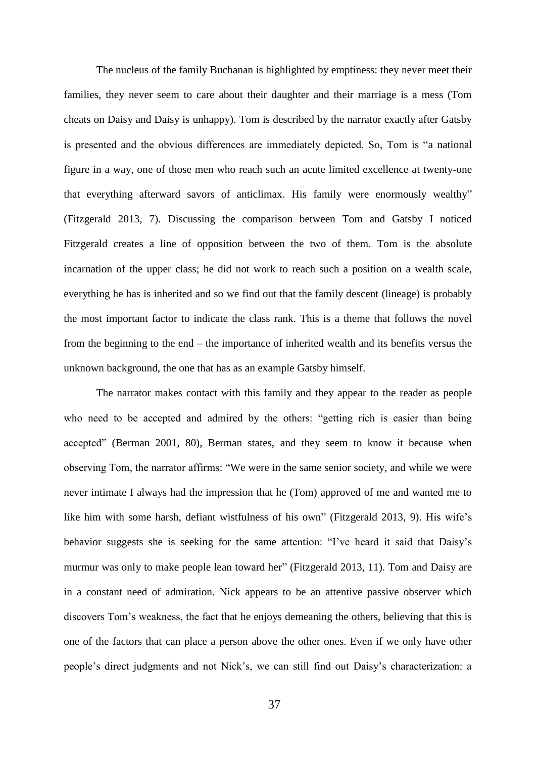The nucleus of the family Buchanan is highlighted by emptiness: they never meet their families, they never seem to care about their daughter and their marriage is a mess (Tom cheats on Daisy and Daisy is unhappy). Tom is described by the narrator exactly after Gatsby is presented and the obvious differences are immediately depicted. So, Tom is "a national figure in a way, one of those men who reach such an acute limited excellence at twenty-one that everything afterward savors of anticlimax. His family were enormously wealthy" (Fitzgerald 2013, 7). Discussing the comparison between Tom and Gatsby I noticed Fitzgerald creates a line of opposition between the two of them. Tom is the absolute incarnation of the upper class; he did not work to reach such a position on a wealth scale, everything he has is inherited and so we find out that the family descent (lineage) is probably the most important factor to indicate the class rank. This is a theme that follows the novel from the beginning to the end – the importance of inherited wealth and its benefits versus the unknown background, the one that has as an example Gatsby himself.

The narrator makes contact with this family and they appear to the reader as people who need to be accepted and admired by the others: "getting rich is easier than being accepted" (Berman 2001, 80), Berman states, and they seem to know it because when observing Tom, the narrator affirms: "We were in the same senior society, and while we were never intimate I always had the impression that he (Tom) approved of me and wanted me to like him with some harsh, defiant wistfulness of his own" (Fitzgerald 2013, 9). His wife's behavior suggests she is seeking for the same attention: "I've heard it said that Daisy's murmur was only to make people lean toward her" (Fitzgerald 2013, 11). Tom and Daisy are in a constant need of admiration. Nick appears to be an attentive passive observer which discovers Tom's weakness, the fact that he enjoys demeaning the others, believing that this is one of the factors that can place a person above the other ones. Even if we only have other people's direct judgments and not Nick's, we can still find out Daisy's characterization: a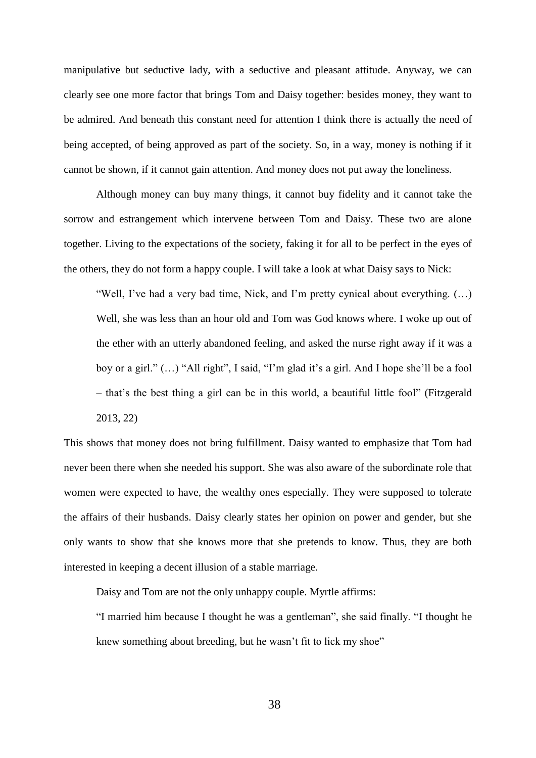manipulative but seductive lady, with a seductive and pleasant attitude. Anyway, we can clearly see one more factor that brings Tom and Daisy together: besides money, they want to be admired. And beneath this constant need for attention I think there is actually the need of being accepted, of being approved as part of the society. So, in a way, money is nothing if it cannot be shown, if it cannot gain attention. And money does not put away the loneliness.

Although money can buy many things, it cannot buy fidelity and it cannot take the sorrow and estrangement which intervene between Tom and Daisy. These two are alone together. Living to the expectations of the society, faking it for all to be perfect in the eyes of the others, they do not form a happy couple. I will take a look at what Daisy says to Nick:

"Well, I've had a very bad time, Nick, and I'm pretty cynical about everything. (…) Well, she was less than an hour old and Tom was God knows where. I woke up out of the ether with an utterly abandoned feeling, and asked the nurse right away if it was a boy or a girl." (…) "All right", I said, "I'm glad it's a girl. And I hope she'll be a fool – that's the best thing a girl can be in this world, a beautiful little fool" (Fitzgerald 2013, 22)

This shows that money does not bring fulfillment. Daisy wanted to emphasize that Tom had never been there when she needed his support. She was also aware of the subordinate role that women were expected to have, the wealthy ones especially. They were supposed to tolerate the affairs of their husbands. Daisy clearly states her opinion on power and gender, but she only wants to show that she knows more that she pretends to know. Thus, they are both interested in keeping a decent illusion of a stable marriage.

Daisy and Tom are not the only unhappy couple. Myrtle affirms:

"I married him because I thought he was a gentleman", she said finally. "I thought he knew something about breeding, but he wasn't fit to lick my shoe"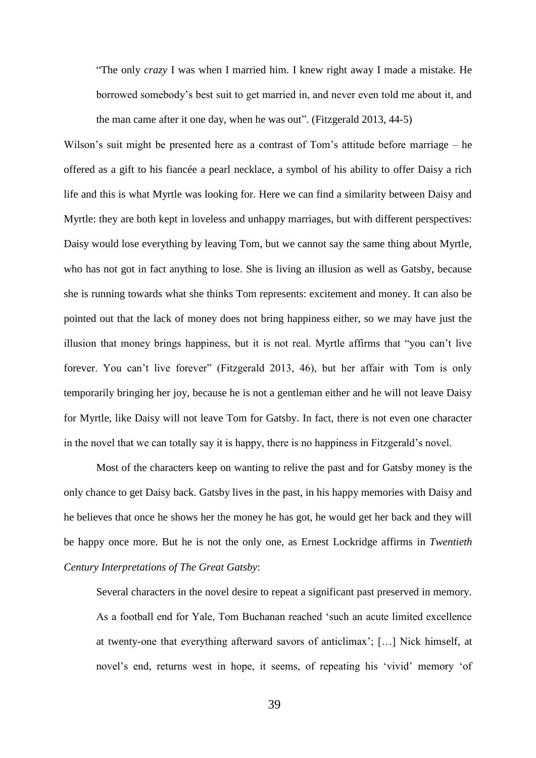"The only *crazy* I was when I married him. I knew right away I made a mistake. He borrowed somebody's best suit to get married in, and never even told me about it, and the man came after it one day, when he was out". (Fitzgerald 2013, 44-5)

Wilson's suit might be presented here as a contrast of Tom's attitude before marriage – he offered as a gift to his fiancée a pearl necklace, a symbol of his ability to offer Daisy a rich life and this is what Myrtle was looking for. Here we can find a similarity between Daisy and Myrtle: they are both kept in loveless and unhappy marriages, but with different perspectives: Daisy would lose everything by leaving Tom, but we cannot say the same thing about Myrtle, who has not got in fact anything to lose. She is living an illusion as well as Gatsby, because she is running towards what she thinks Tom represents: excitement and money. It can also be pointed out that the lack of money does not bring happiness either, so we may have just the illusion that money brings happiness, but it is not real. Myrtle affirms that "you can't live forever. You can't live forever" (Fitzgerald 2013, 46), but her affair with Tom is only temporarily bringing her joy, because he is not a gentleman either and he will not leave Daisy for Myrtle, like Daisy will not leave Tom for Gatsby. In fact, there is not even one character in the novel that we can totally say it is happy, there is no happiness in Fitzgerald's novel.

Most of the characters keep on wanting to relive the past and for Gatsby money is the only chance to get Daisy back. Gatsby lives in the past, in his happy memories with Daisy and he believes that once he shows her the money he has got, he would get her back and they will be happy once more. But he is not the only one, as Ernest Lockridge affirms in *Twentieth Century Interpretations of The Great Gatsby*:

Several characters in the novel desire to repeat a significant past preserved in memory. As a football end for Yale, Tom Buchanan reached 'such an acute limited excellence at twenty-one that everything afterward savors of anticlimax'; […] Nick himself, at novel's end, returns west in hope, it seems, of repeating his 'vivid' memory 'of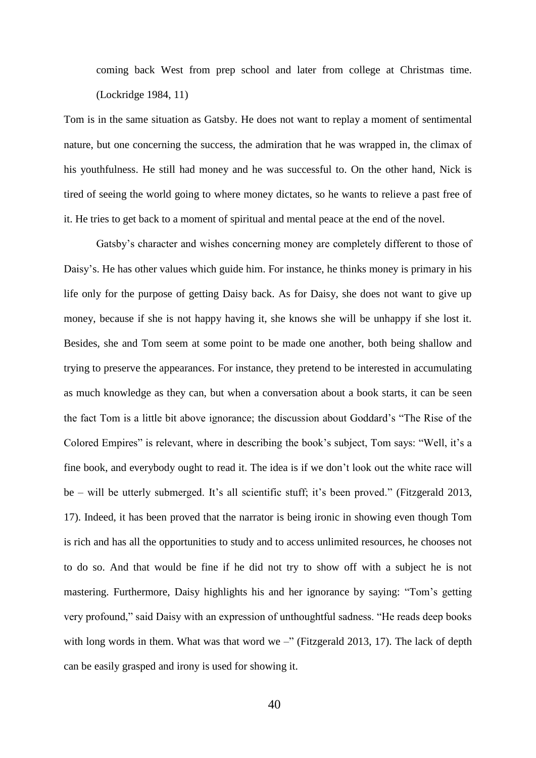coming back West from prep school and later from college at Christmas time. (Lockridge 1984, 11)

Tom is in the same situation as Gatsby. He does not want to replay a moment of sentimental nature, but one concerning the success, the admiration that he was wrapped in, the climax of his youthfulness. He still had money and he was successful to. On the other hand, Nick is tired of seeing the world going to where money dictates, so he wants to relieve a past free of it. He tries to get back to a moment of spiritual and mental peace at the end of the novel.

Gatsby's character and wishes concerning money are completely different to those of Daisy's. He has other values which guide him. For instance, he thinks money is primary in his life only for the purpose of getting Daisy back. As for Daisy, she does not want to give up money, because if she is not happy having it, she knows she will be unhappy if she lost it. Besides, she and Tom seem at some point to be made one another, both being shallow and trying to preserve the appearances. For instance, they pretend to be interested in accumulating as much knowledge as they can, but when a conversation about a book starts, it can be seen the fact Tom is a little bit above ignorance; the discussion about Goddard's "The Rise of the Colored Empires" is relevant, where in describing the book's subject, Tom says: "Well, it's a fine book, and everybody ought to read it. The idea is if we don't look out the white race will be – will be utterly submerged. It's all scientific stuff; it's been proved." (Fitzgerald 2013, 17). Indeed, it has been proved that the narrator is being ironic in showing even though Tom is rich and has all the opportunities to study and to access unlimited resources, he chooses not to do so. And that would be fine if he did not try to show off with a subject he is not mastering. Furthermore, Daisy highlights his and her ignorance by saying: "Tom's getting very profound," said Daisy with an expression of unthoughtful sadness. "He reads deep books with long words in them. What was that word we  $-$ " (Fitzgerald 2013, 17). The lack of depth can be easily grasped and irony is used for showing it.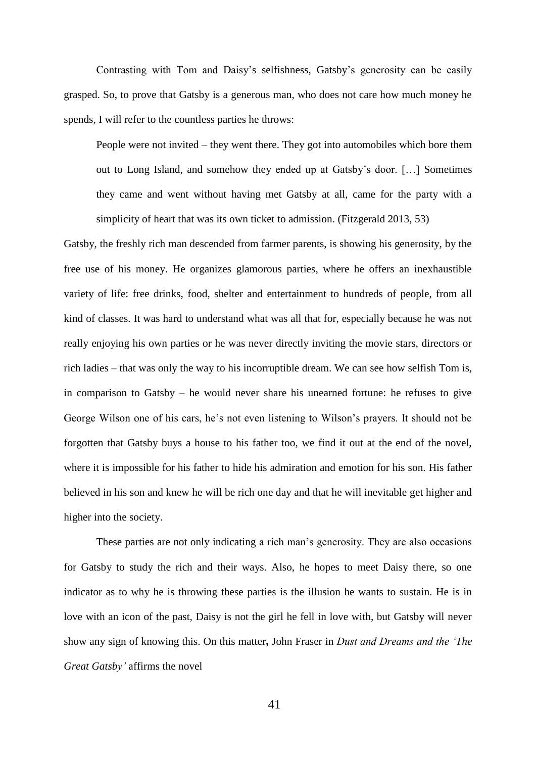Contrasting with Tom and Daisy's selfishness, Gatsby's generosity can be easily grasped. So, to prove that Gatsby is a generous man, who does not care how much money he spends, I will refer to the countless parties he throws:

People were not invited – they went there. They got into automobiles which bore them out to Long Island, and somehow they ended up at Gatsby's door. […] Sometimes they came and went without having met Gatsby at all, came for the party with a simplicity of heart that was its own ticket to admission. (Fitzgerald 2013, 53)

Gatsby, the freshly rich man descended from farmer parents, is showing his generosity, by the free use of his money. He organizes glamorous parties, where he offers an inexhaustible variety of life: free drinks, food, shelter and entertainment to hundreds of people, from all kind of classes. It was hard to understand what was all that for, especially because he was not really enjoying his own parties or he was never directly inviting the movie stars, directors or rich ladies – that was only the way to his incorruptible dream. We can see how selfish Tom is, in comparison to Gatsby – he would never share his unearned fortune: he refuses to give George Wilson one of his cars, he's not even listening to Wilson's prayers. It should not be forgotten that Gatsby buys a house to his father too, we find it out at the end of the novel, where it is impossible for his father to hide his admiration and emotion for his son. His father believed in his son and knew he will be rich one day and that he will inevitable get higher and higher into the society.

These parties are not only indicating a rich man's generosity. They are also occasions for Gatsby to study the rich and their ways. Also, he hopes to meet Daisy there, so one indicator as to why he is throwing these parties is the illusion he wants to sustain. He is in love with an icon of the past, Daisy is not the girl he fell in love with, but Gatsby will never show any sign of knowing this. On this matter**,** John Fraser in *Dust and Dreams and the 'The Great Gatsby'* affirms the novel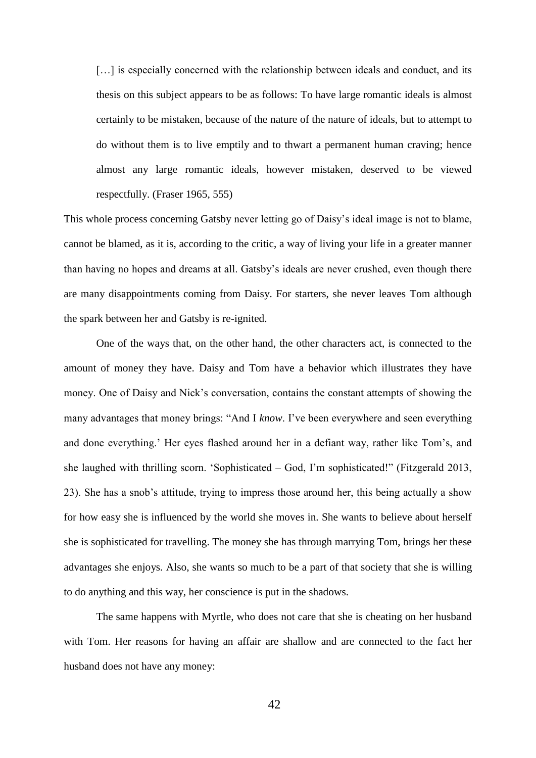[...] is especially concerned with the relationship between ideals and conduct, and its thesis on this subject appears to be as follows: To have large romantic ideals is almost certainly to be mistaken, because of the nature of the nature of ideals, but to attempt to do without them is to live emptily and to thwart a permanent human craving; hence almost any large romantic ideals, however mistaken, deserved to be viewed respectfully. (Fraser 1965, 555)

This whole process concerning Gatsby never letting go of Daisy's ideal image is not to blame, cannot be blamed, as it is, according to the critic, a way of living your life in a greater manner than having no hopes and dreams at all. Gatsby's ideals are never crushed, even though there are many disappointments coming from Daisy. For starters, she never leaves Tom although the spark between her and Gatsby is re-ignited.

One of the ways that, on the other hand, the other characters act, is connected to the amount of money they have. Daisy and Tom have a behavior which illustrates they have money. One of Daisy and Nick's conversation, contains the constant attempts of showing the many advantages that money brings: "And I *know*. I've been everywhere and seen everything and done everything.' Her eyes flashed around her in a defiant way, rather like Tom's, and she laughed with thrilling scorn. 'Sophisticated – God, I'm sophisticated!" (Fitzgerald 2013, 23). She has a snob's attitude, trying to impress those around her, this being actually a show for how easy she is influenced by the world she moves in. She wants to believe about herself she is sophisticated for travelling. The money she has through marrying Tom, brings her these advantages she enjoys. Also, she wants so much to be a part of that society that she is willing to do anything and this way, her conscience is put in the shadows.

The same happens with Myrtle, who does not care that she is cheating on her husband with Tom. Her reasons for having an affair are shallow and are connected to the fact her husband does not have any money: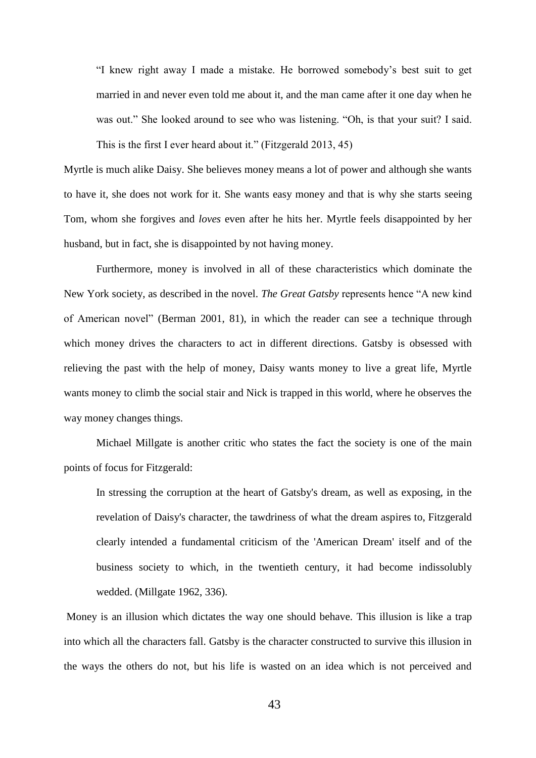"I knew right away I made a mistake. He borrowed somebody's best suit to get married in and never even told me about it, and the man came after it one day when he was out." She looked around to see who was listening. "Oh, is that your suit? I said. This is the first I ever heard about it." (Fitzgerald 2013, 45)

Myrtle is much alike Daisy. She believes money means a lot of power and although she wants to have it, she does not work for it. She wants easy money and that is why she starts seeing Tom, whom she forgives and *loves* even after he hits her. Myrtle feels disappointed by her husband, but in fact, she is disappointed by not having money.

Furthermore, money is involved in all of these characteristics which dominate the New York society, as described in the novel. *The Great Gatsby* represents hence "A new kind of American novel" (Berman 2001, 81), in which the reader can see a technique through which money drives the characters to act in different directions. Gatsby is obsessed with relieving the past with the help of money, Daisy wants money to live a great life, Myrtle wants money to climb the social stair and Nick is trapped in this world, where he observes the way money changes things.

Michael Millgate is another critic who states the fact the society is one of the main points of focus for Fitzgerald:

In stressing the corruption at the heart of Gatsby's dream, as well as exposing, in the revelation of Daisy's character, the tawdriness of what the dream aspires to, Fitzgerald clearly intended a fundamental criticism of the 'American Dream' itself and of the business society to which, in the twentieth century, it had become indissolubly wedded. (Millgate 1962, 336).

Money is an illusion which dictates the way one should behave. This illusion is like a trap into which all the characters fall. Gatsby is the character constructed to survive this illusion in the ways the others do not, but his life is wasted on an idea which is not perceived and

43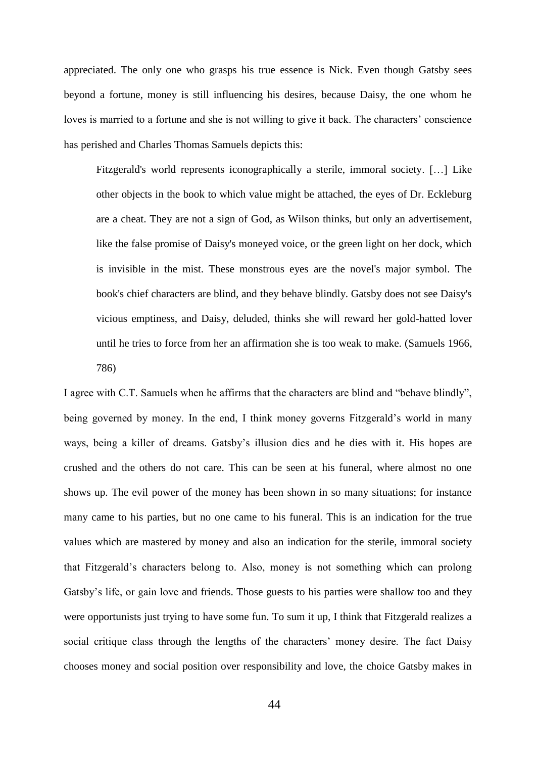appreciated. The only one who grasps his true essence is Nick. Even though Gatsby sees beyond a fortune, money is still influencing his desires, because Daisy, the one whom he loves is married to a fortune and she is not willing to give it back. The characters' conscience has perished and Charles Thomas Samuels depicts this:

Fitzgerald's world represents iconographically a sterile, immoral society. […] Like other objects in the book to which value might be attached, the eyes of Dr. Eckleburg are a cheat. They are not a sign of God, as Wilson thinks, but only an advertisement, like the false promise of Daisy's moneyed voice, or the green light on her dock, which is invisible in the mist. These monstrous eyes are the novel's major symbol. The book's chief characters are blind, and they behave blindly. Gatsby does not see Daisy's vicious emptiness, and Daisy, deluded, thinks she will reward her gold-hatted lover until he tries to force from her an affirmation she is too weak to make. (Samuels 1966, 786)

I agree with C.T. Samuels when he affirms that the characters are blind and "behave blindly", being governed by money. In the end, I think money governs Fitzgerald's world in many ways, being a killer of dreams. Gatsby's illusion dies and he dies with it. His hopes are crushed and the others do not care. This can be seen at his funeral, where almost no one shows up. The evil power of the money has been shown in so many situations; for instance many came to his parties, but no one came to his funeral. This is an indication for the true values which are mastered by money and also an indication for the sterile, immoral society that Fitzgerald's characters belong to. Also, money is not something which can prolong Gatsby's life, or gain love and friends. Those guests to his parties were shallow too and they were opportunists just trying to have some fun. To sum it up, I think that Fitzgerald realizes a social critique class through the lengths of the characters' money desire. The fact Daisy chooses money and social position over responsibility and love, the choice Gatsby makes in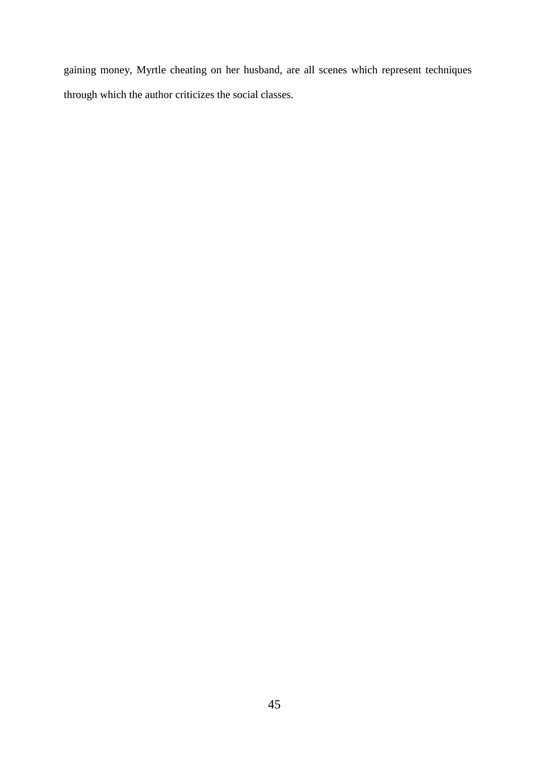gaining money, Myrtle cheating on her husband, are all scenes which represent techniques through which the author criticizes the social classes.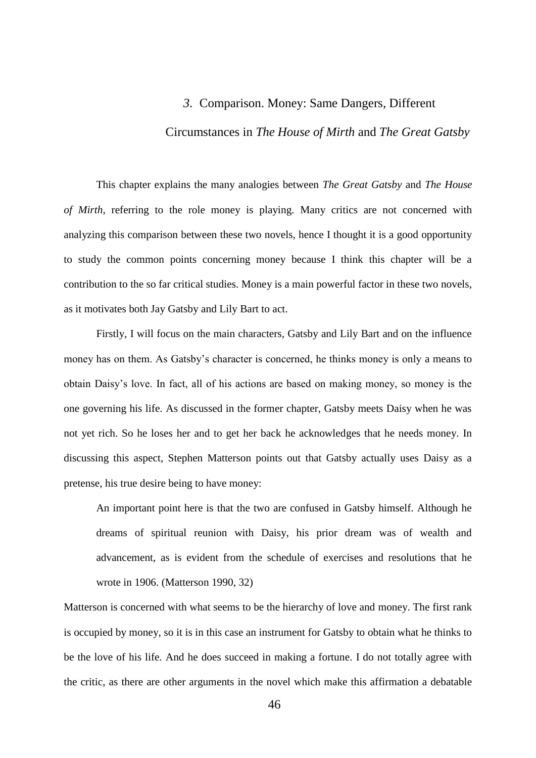## *3.* Comparison. Money: Same Dangers, Different

## Circumstances in *The House of Mirth* and *The Great Gatsby*

This chapter explains the many analogies between *The Great Gatsby* and *The House of Mirth,* referring to the role money is playing. Many critics are not concerned with analyzing this comparison between these two novels, hence I thought it is a good opportunity to study the common points concerning money because I think this chapter will be a contribution to the so far critical studies. Money is a main powerful factor in these two novels, as it motivates both Jay Gatsby and Lily Bart to act.

Firstly, I will focus on the main characters, Gatsby and Lily Bart and on the influence money has on them. As Gatsby's character is concerned, he thinks money is only a means to obtain Daisy's love. In fact, all of his actions are based on making money, so money is the one governing his life. As discussed in the former chapter, Gatsby meets Daisy when he was not yet rich. So he loses her and to get her back he acknowledges that he needs money. In discussing this aspect, Stephen Matterson points out that Gatsby actually uses Daisy as a pretense, his true desire being to have money:

An important point here is that the two are confused in Gatsby himself. Although he dreams of spiritual reunion with Daisy, his prior dream was of wealth and advancement, as is evident from the schedule of exercises and resolutions that he wrote in 1906. (Matterson 1990, 32)

Matterson is concerned with what seems to be the hierarchy of love and money. The first rank is occupied by money, so it is in this case an instrument for Gatsby to obtain what he thinks to be the love of his life. And he does succeed in making a fortune. I do not totally agree with the critic, as there are other arguments in the novel which make this affirmation a debatable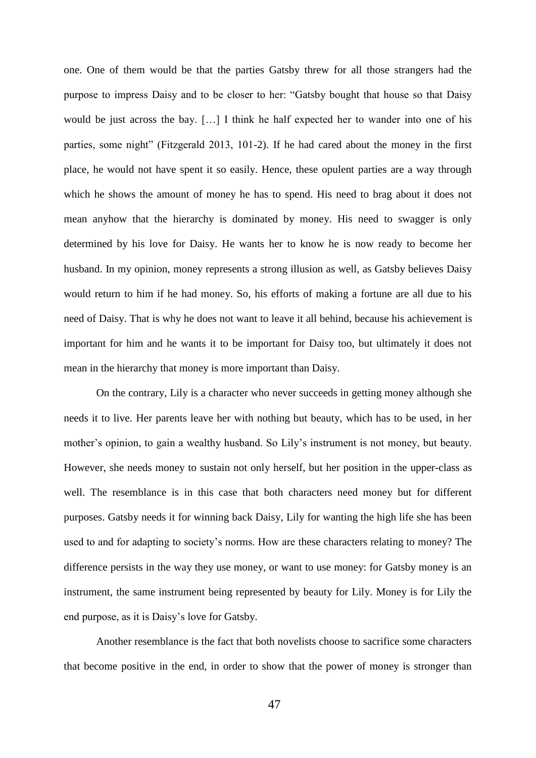one. One of them would be that the parties Gatsby threw for all those strangers had the purpose to impress Daisy and to be closer to her: "Gatsby bought that house so that Daisy would be just across the bay. […] I think he half expected her to wander into one of his parties, some night" (Fitzgerald 2013, 101-2). If he had cared about the money in the first place, he would not have spent it so easily. Hence, these opulent parties are a way through which he shows the amount of money he has to spend. His need to brag about it does not mean anyhow that the hierarchy is dominated by money. His need to swagger is only determined by his love for Daisy. He wants her to know he is now ready to become her husband. In my opinion, money represents a strong illusion as well, as Gatsby believes Daisy would return to him if he had money. So, his efforts of making a fortune are all due to his need of Daisy. That is why he does not want to leave it all behind, because his achievement is important for him and he wants it to be important for Daisy too, but ultimately it does not mean in the hierarchy that money is more important than Daisy.

On the contrary, Lily is a character who never succeeds in getting money although she needs it to live. Her parents leave her with nothing but beauty, which has to be used, in her mother's opinion, to gain a wealthy husband. So Lily's instrument is not money, but beauty. However, she needs money to sustain not only herself, but her position in the upper-class as well. The resemblance is in this case that both characters need money but for different purposes. Gatsby needs it for winning back Daisy, Lily for wanting the high life she has been used to and for adapting to society's norms. How are these characters relating to money? The difference persists in the way they use money, or want to use money: for Gatsby money is an instrument, the same instrument being represented by beauty for Lily. Money is for Lily the end purpose, as it is Daisy's love for Gatsby.

Another resemblance is the fact that both novelists choose to sacrifice some characters that become positive in the end, in order to show that the power of money is stronger than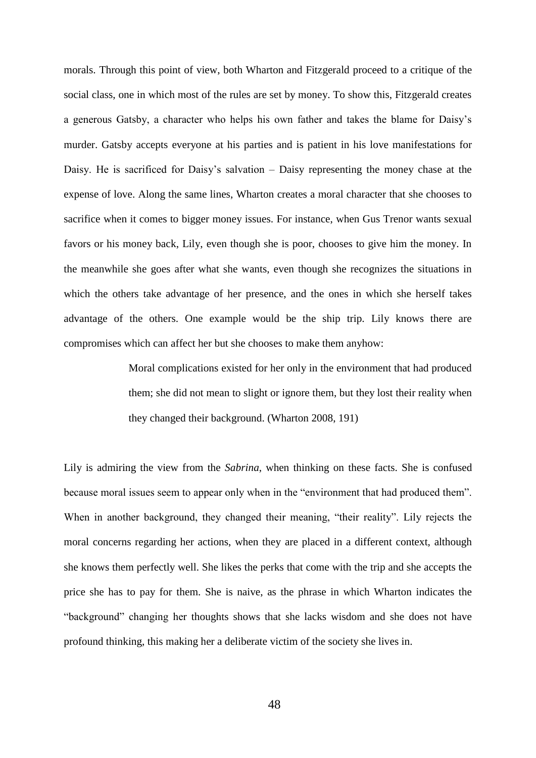morals. Through this point of view, both Wharton and Fitzgerald proceed to a critique of the social class, one in which most of the rules are set by money. To show this, Fitzgerald creates a generous Gatsby, a character who helps his own father and takes the blame for Daisy's murder. Gatsby accepts everyone at his parties and is patient in his love manifestations for Daisy. He is sacrificed for Daisy's salvation – Daisy representing the money chase at the expense of love. Along the same lines, Wharton creates a moral character that she chooses to sacrifice when it comes to bigger money issues. For instance, when Gus Trenor wants sexual favors or his money back, Lily, even though she is poor, chooses to give him the money. In the meanwhile she goes after what she wants, even though she recognizes the situations in which the others take advantage of her presence, and the ones in which she herself takes advantage of the others. One example would be the ship trip. Lily knows there are compromises which can affect her but she chooses to make them anyhow:

> Moral complications existed for her only in the environment that had produced them; she did not mean to slight or ignore them, but they lost their reality when they changed their background. (Wharton 2008, 191)

Lily is admiring the view from the *Sabrina*, when thinking on these facts. She is confused because moral issues seem to appear only when in the "environment that had produced them". When in another background, they changed their meaning, "their reality". Lily rejects the moral concerns regarding her actions, when they are placed in a different context, although she knows them perfectly well. She likes the perks that come with the trip and she accepts the price she has to pay for them. She is naive, as the phrase in which Wharton indicates the "background" changing her thoughts shows that she lacks wisdom and she does not have profound thinking, this making her a deliberate victim of the society she lives in.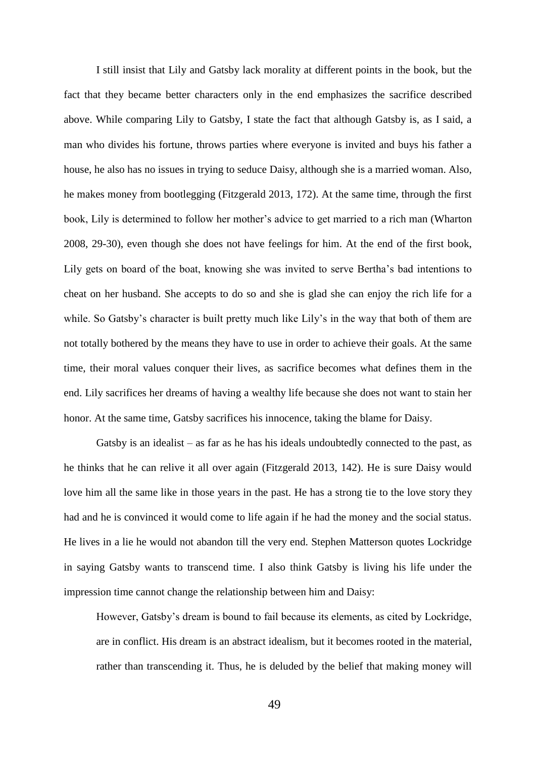I still insist that Lily and Gatsby lack morality at different points in the book, but the fact that they became better characters only in the end emphasizes the sacrifice described above. While comparing Lily to Gatsby, I state the fact that although Gatsby is, as I said, a man who divides his fortune, throws parties where everyone is invited and buys his father a house, he also has no issues in trying to seduce Daisy, although she is a married woman. Also, he makes money from bootlegging (Fitzgerald 2013, 172). At the same time, through the first book, Lily is determined to follow her mother's advice to get married to a rich man (Wharton 2008, 29-30), even though she does not have feelings for him. At the end of the first book, Lily gets on board of the boat, knowing she was invited to serve Bertha's bad intentions to cheat on her husband. She accepts to do so and she is glad she can enjoy the rich life for a while. So Gatsby's character is built pretty much like Lily's in the way that both of them are not totally bothered by the means they have to use in order to achieve their goals. At the same time, their moral values conquer their lives, as sacrifice becomes what defines them in the end. Lily sacrifices her dreams of having a wealthy life because she does not want to stain her honor. At the same time, Gatsby sacrifices his innocence, taking the blame for Daisy.

Gatsby is an idealist  $-$  as far as he has his ideals undoubtedly connected to the past, as he thinks that he can relive it all over again (Fitzgerald 2013, 142). He is sure Daisy would love him all the same like in those years in the past. He has a strong tie to the love story they had and he is convinced it would come to life again if he had the money and the social status. He lives in a lie he would not abandon till the very end. Stephen Matterson quotes Lockridge in saying Gatsby wants to transcend time. I also think Gatsby is living his life under the impression time cannot change the relationship between him and Daisy:

However, Gatsby's dream is bound to fail because its elements, as cited by Lockridge, are in conflict. His dream is an abstract idealism, but it becomes rooted in the material, rather than transcending it. Thus, he is deluded by the belief that making money will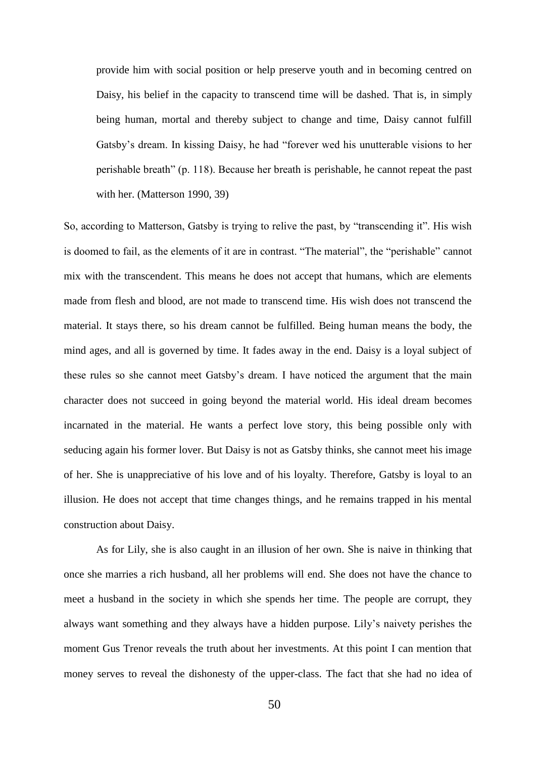provide him with social position or help preserve youth and in becoming centred on Daisy, his belief in the capacity to transcend time will be dashed. That is, in simply being human, mortal and thereby subject to change and time, Daisy cannot fulfill Gatsby's dream. In kissing Daisy, he had "forever wed his unutterable visions to her perishable breath" (p. 118). Because her breath is perishable, he cannot repeat the past with her. (Matterson 1990, 39)

So, according to Matterson, Gatsby is trying to relive the past, by "transcending it". His wish is doomed to fail, as the elements of it are in contrast. "The material", the "perishable" cannot mix with the transcendent. This means he does not accept that humans, which are elements made from flesh and blood, are not made to transcend time. His wish does not transcend the material. It stays there, so his dream cannot be fulfilled. Being human means the body, the mind ages, and all is governed by time. It fades away in the end. Daisy is a loyal subject of these rules so she cannot meet Gatsby's dream. I have noticed the argument that the main character does not succeed in going beyond the material world. His ideal dream becomes incarnated in the material. He wants a perfect love story, this being possible only with seducing again his former lover. But Daisy is not as Gatsby thinks, she cannot meet his image of her. She is unappreciative of his love and of his loyalty. Therefore, Gatsby is loyal to an illusion. He does not accept that time changes things, and he remains trapped in his mental construction about Daisy.

As for Lily, she is also caught in an illusion of her own. She is naive in thinking that once she marries a rich husband, all her problems will end. She does not have the chance to meet a husband in the society in which she spends her time. The people are corrupt, they always want something and they always have a hidden purpose. Lily's naivety perishes the moment Gus Trenor reveals the truth about her investments. At this point I can mention that money serves to reveal the dishonesty of the upper-class. The fact that she had no idea of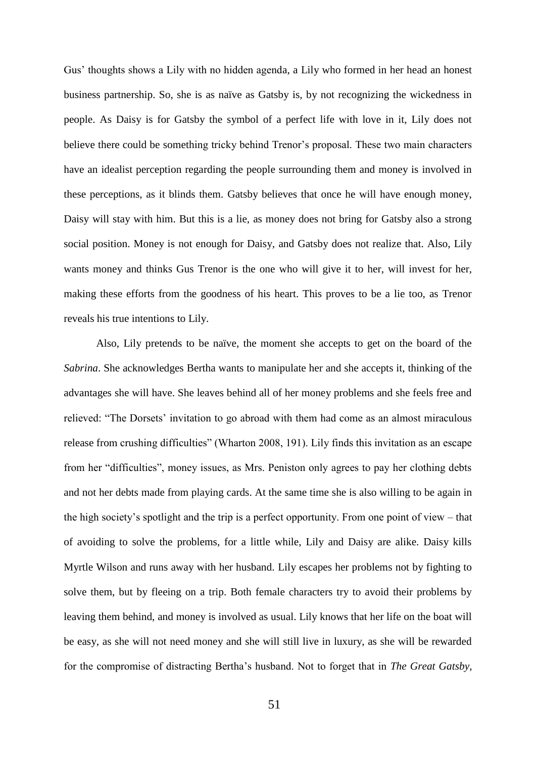Gus' thoughts shows a Lily with no hidden agenda, a Lily who formed in her head an honest business partnership. So, she is as naïve as Gatsby is, by not recognizing the wickedness in people. As Daisy is for Gatsby the symbol of a perfect life with love in it, Lily does not believe there could be something tricky behind Trenor's proposal. These two main characters have an idealist perception regarding the people surrounding them and money is involved in these perceptions, as it blinds them. Gatsby believes that once he will have enough money, Daisy will stay with him. But this is a lie, as money does not bring for Gatsby also a strong social position. Money is not enough for Daisy, and Gatsby does not realize that. Also, Lily wants money and thinks Gus Trenor is the one who will give it to her, will invest for her, making these efforts from the goodness of his heart. This proves to be a lie too, as Trenor reveals his true intentions to Lily.

Also, Lily pretends to be naïve, the moment she accepts to get on the board of the *Sabrina*. She acknowledges Bertha wants to manipulate her and she accepts it, thinking of the advantages she will have. She leaves behind all of her money problems and she feels free and relieved: "The Dorsets' invitation to go abroad with them had come as an almost miraculous release from crushing difficulties" (Wharton 2008, 191). Lily finds this invitation as an escape from her "difficulties", money issues, as Mrs. Peniston only agrees to pay her clothing debts and not her debts made from playing cards. At the same time she is also willing to be again in the high society's spotlight and the trip is a perfect opportunity. From one point of view – that of avoiding to solve the problems, for a little while, Lily and Daisy are alike. Daisy kills Myrtle Wilson and runs away with her husband. Lily escapes her problems not by fighting to solve them, but by fleeing on a trip. Both female characters try to avoid their problems by leaving them behind, and money is involved as usual. Lily knows that her life on the boat will be easy, as she will not need money and she will still live in luxury, as she will be rewarded for the compromise of distracting Bertha's husband. Not to forget that in *The Great Gatsby*,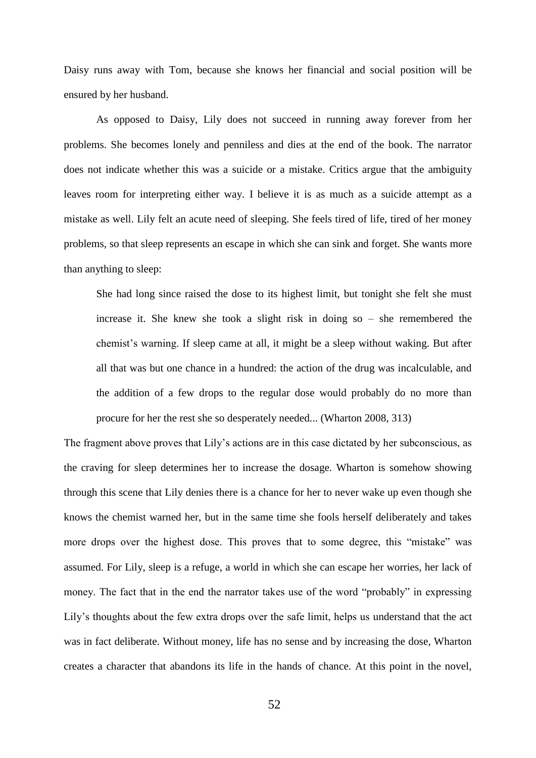Daisy runs away with Tom, because she knows her financial and social position will be ensured by her husband.

As opposed to Daisy, Lily does not succeed in running away forever from her problems. She becomes lonely and penniless and dies at the end of the book. The narrator does not indicate whether this was a suicide or a mistake. Critics argue that the ambiguity leaves room for interpreting either way. I believe it is as much as a suicide attempt as a mistake as well. Lily felt an acute need of sleeping. She feels tired of life, tired of her money problems, so that sleep represents an escape in which she can sink and forget. She wants more than anything to sleep:

She had long since raised the dose to its highest limit, but tonight she felt she must increase it. She knew she took a slight risk in doing so – she remembered the chemist's warning. If sleep came at all, it might be a sleep without waking. But after all that was but one chance in a hundred: the action of the drug was incalculable, and the addition of a few drops to the regular dose would probably do no more than procure for her the rest she so desperately needed... (Wharton 2008, 313)

The fragment above proves that Lily's actions are in this case dictated by her subconscious, as the craving for sleep determines her to increase the dosage. Wharton is somehow showing through this scene that Lily denies there is a chance for her to never wake up even though she knows the chemist warned her, but in the same time she fools herself deliberately and takes more drops over the highest dose. This proves that to some degree, this "mistake" was assumed. For Lily, sleep is a refuge, a world in which she can escape her worries, her lack of money. The fact that in the end the narrator takes use of the word "probably" in expressing Lily's thoughts about the few extra drops over the safe limit, helps us understand that the act was in fact deliberate. Without money, life has no sense and by increasing the dose, Wharton creates a character that abandons its life in the hands of chance. At this point in the novel,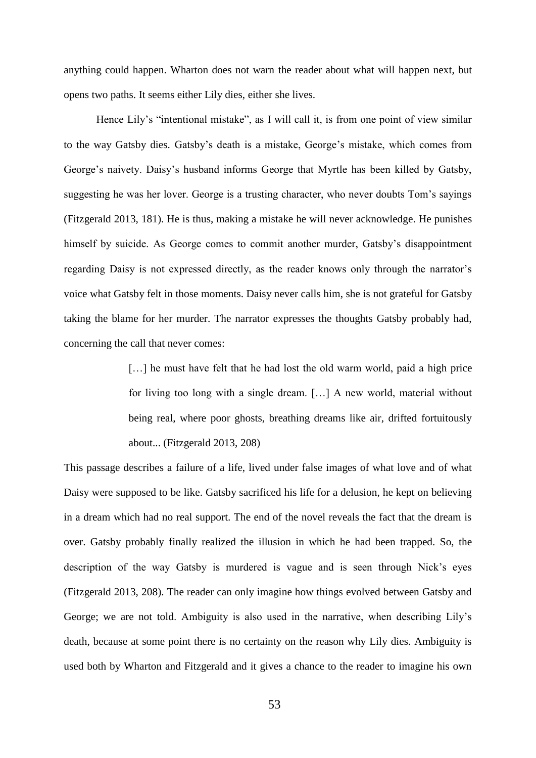anything could happen. Wharton does not warn the reader about what will happen next, but opens two paths. It seems either Lily dies, either she lives.

Hence Lily's "intentional mistake", as I will call it, is from one point of view similar to the way Gatsby dies. Gatsby's death is a mistake, George's mistake, which comes from George's naivety. Daisy's husband informs George that Myrtle has been killed by Gatsby, suggesting he was her lover. George is a trusting character, who never doubts Tom's sayings (Fitzgerald 2013, 181). He is thus, making a mistake he will never acknowledge. He punishes himself by suicide. As George comes to commit another murder, Gatsby's disappointment regarding Daisy is not expressed directly, as the reader knows only through the narrator's voice what Gatsby felt in those moments. Daisy never calls him, she is not grateful for Gatsby taking the blame for her murder. The narrator expresses the thoughts Gatsby probably had, concerning the call that never comes:

> [...] he must have felt that he had lost the old warm world, paid a high price for living too long with a single dream. […] A new world, material without being real, where poor ghosts, breathing dreams like air, drifted fortuitously about... (Fitzgerald 2013, 208)

This passage describes a failure of a life, lived under false images of what love and of what Daisy were supposed to be like. Gatsby sacrificed his life for a delusion, he kept on believing in a dream which had no real support. The end of the novel reveals the fact that the dream is over. Gatsby probably finally realized the illusion in which he had been trapped. So, the description of the way Gatsby is murdered is vague and is seen through Nick's eyes (Fitzgerald 2013, 208). The reader can only imagine how things evolved between Gatsby and George; we are not told. Ambiguity is also used in the narrative, when describing Lily's death, because at some point there is no certainty on the reason why Lily dies. Ambiguity is used both by Wharton and Fitzgerald and it gives a chance to the reader to imagine his own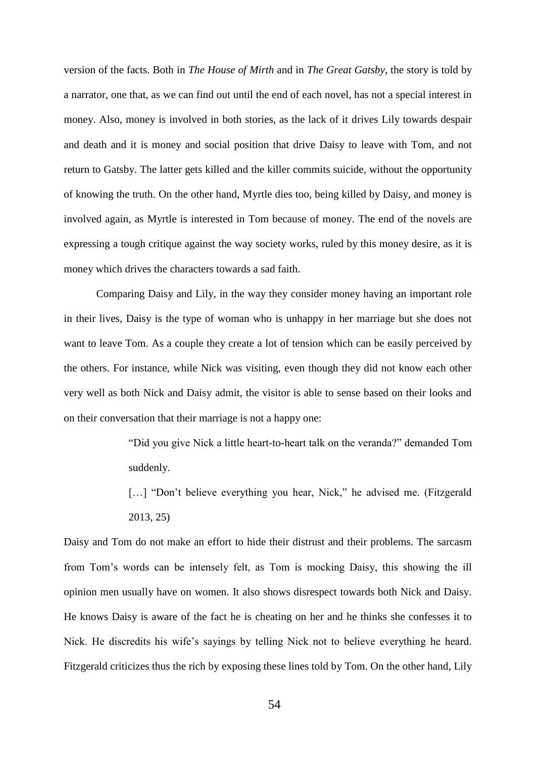version of the facts. Both in *The House of Mirth* and in *The Great Gatsby*, the story is told by a narrator, one that, as we can find out until the end of each novel, has not a special interest in money. Also, money is involved in both stories, as the lack of it drives Lily towards despair and death and it is money and social position that drive Daisy to leave with Tom, and not return to Gatsby. The latter gets killed and the killer commits suicide, without the opportunity of knowing the truth. On the other hand, Myrtle dies too, being killed by Daisy, and money is involved again, as Myrtle is interested in Tom because of money. The end of the novels are expressing a tough critique against the way society works, ruled by this money desire, as it is money which drives the characters towards a sad faith.

Comparing Daisy and Lily, in the way they consider money having an important role in their lives, Daisy is the type of woman who is unhappy in her marriage but she does not want to leave Tom. As a couple they create a lot of tension which can be easily perceived by the others. For instance, while Nick was visiting, even though they did not know each other very well as both Nick and Daisy admit, the visitor is able to sense based on their looks and on their conversation that their marriage is not a happy one:

> "Did you give Nick a little heart-to-heart talk on the veranda?" demanded Tom suddenly.

> [...] "Don't believe everything you hear, Nick," he advised me. (Fitzgerald 2013, 25)

Daisy and Tom do not make an effort to hide their distrust and their problems. The sarcasm from Tom's words can be intensely felt, as Tom is mocking Daisy, this showing the ill opinion men usually have on women. It also shows disrespect towards both Nick and Daisy. He knows Daisy is aware of the fact he is cheating on her and he thinks she confesses it to Nick. He discredits his wife's sayings by telling Nick not to believe everything he heard. Fitzgerald criticizes thus the rich by exposing these lines told by Tom. On the other hand, Lily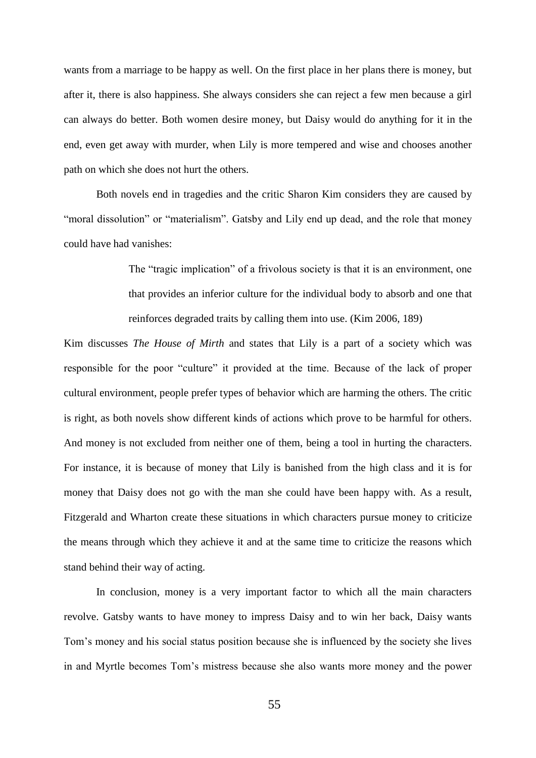wants from a marriage to be happy as well. On the first place in her plans there is money, but after it, there is also happiness. She always considers she can reject a few men because a girl can always do better. Both women desire money, but Daisy would do anything for it in the end, even get away with murder, when Lily is more tempered and wise and chooses another path on which she does not hurt the others.

Both novels end in tragedies and the critic Sharon Kim considers they are caused by "moral dissolution" or "materialism". Gatsby and Lily end up dead, and the role that money could have had vanishes:

> The "tragic implication" of a frivolous society is that it is an environment, one that provides an inferior culture for the individual body to absorb and one that reinforces degraded traits by calling them into use. (Kim 2006, 189)

Kim discusses *The House of Mirth* and states that Lily is a part of a society which was responsible for the poor "culture" it provided at the time. Because of the lack of proper cultural environment, people prefer types of behavior which are harming the others. The critic is right, as both novels show different kinds of actions which prove to be harmful for others. And money is not excluded from neither one of them, being a tool in hurting the characters. For instance, it is because of money that Lily is banished from the high class and it is for money that Daisy does not go with the man she could have been happy with. As a result, Fitzgerald and Wharton create these situations in which characters pursue money to criticize the means through which they achieve it and at the same time to criticize the reasons which stand behind their way of acting.

In conclusion, money is a very important factor to which all the main characters revolve. Gatsby wants to have money to impress Daisy and to win her back, Daisy wants Tom's money and his social status position because she is influenced by the society she lives in and Myrtle becomes Tom's mistress because she also wants more money and the power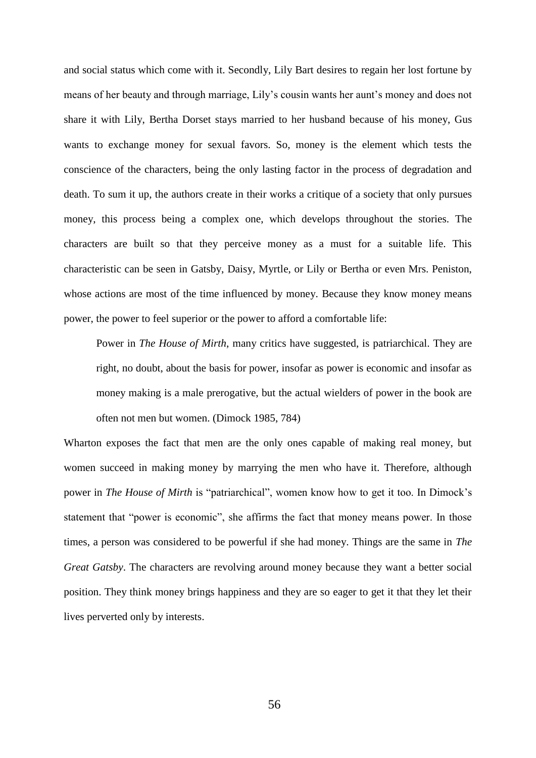and social status which come with it. Secondly, Lily Bart desires to regain her lost fortune by means of her beauty and through marriage, Lily's cousin wants her aunt's money and does not share it with Lily, Bertha Dorset stays married to her husband because of his money, Gus wants to exchange money for sexual favors. So, money is the element which tests the conscience of the characters, being the only lasting factor in the process of degradation and death. To sum it up, the authors create in their works a critique of a society that only pursues money, this process being a complex one, which develops throughout the stories. The characters are built so that they perceive money as a must for a suitable life. This characteristic can be seen in Gatsby, Daisy, Myrtle, or Lily or Bertha or even Mrs. Peniston, whose actions are most of the time influenced by money. Because they know money means power, the power to feel superior or the power to afford a comfortable life:

Power in *The House of Mirth*, many critics have suggested, is patriarchical. They are right, no doubt, about the basis for power, insofar as power is economic and insofar as money making is a male prerogative, but the actual wielders of power in the book are often not men but women. (Dimock 1985, 784)

Wharton exposes the fact that men are the only ones capable of making real money, but women succeed in making money by marrying the men who have it. Therefore, although power in *The House of Mirth* is "patriarchical", women know how to get it too. In Dimock's statement that "power is economic", she affirms the fact that money means power. In those times, a person was considered to be powerful if she had money. Things are the same in *The Great Gatsby*. The characters are revolving around money because they want a better social position. They think money brings happiness and they are so eager to get it that they let their lives perverted only by interests.

56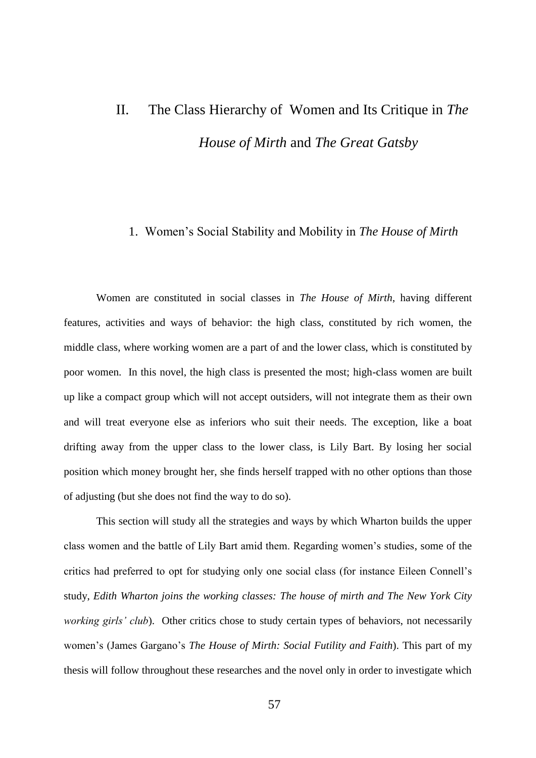## II. The Class Hierarchy of Women and Its Critique in *The House of Mirth* and *The Great Gatsby*

## 1. Women's Social Stability and Mobility in *The House of Mirth*

Women are constituted in social classes in *The House of Mirth*, having different features, activities and ways of behavior: the high class, constituted by rich women, the middle class, where working women are a part of and the lower class, which is constituted by poor women. In this novel, the high class is presented the most; high-class women are built up like a compact group which will not accept outsiders, will not integrate them as their own and will treat everyone else as inferiors who suit their needs. The exception, like a boat drifting away from the upper class to the lower class, is Lily Bart. By losing her social position which money brought her, she finds herself trapped with no other options than those of adjusting (but she does not find the way to do so).

This section will study all the strategies and ways by which Wharton builds the upper class women and the battle of Lily Bart amid them. Regarding women's studies, some of the critics had preferred to opt for studying only one social class (for instance Eileen Connell's study, *Edith Wharton joins the working classes: The house of mirth and The New York City working girls' club*). Other critics chose to study certain types of behaviors, not necessarily women's (James Gargano's *The House of Mirth: Social Futility and Faith*). This part of my thesis will follow throughout these researches and the novel only in order to investigate which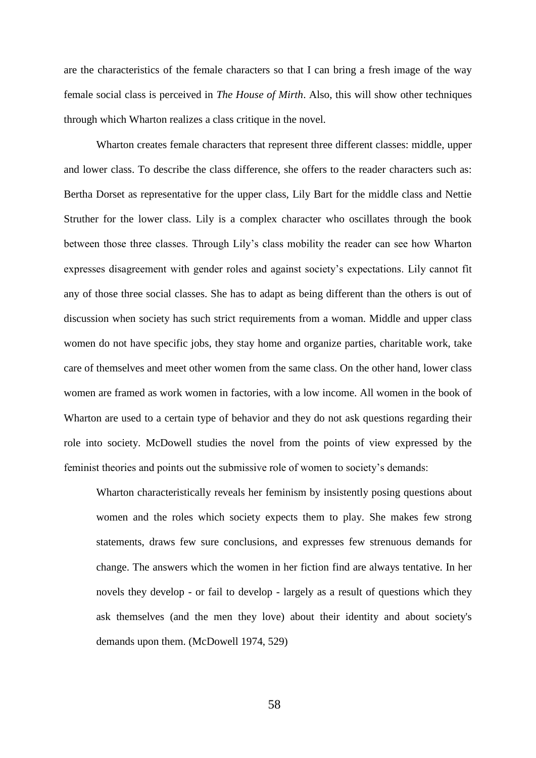are the characteristics of the female characters so that I can bring a fresh image of the way female social class is perceived in *The House of Mirth*. Also, this will show other techniques through which Wharton realizes a class critique in the novel.

Wharton creates female characters that represent three different classes: middle, upper and lower class. To describe the class difference, she offers to the reader characters such as: Bertha Dorset as representative for the upper class, Lily Bart for the middle class and Nettie Struther for the lower class. Lily is a complex character who oscillates through the book between those three classes. Through Lily's class mobility the reader can see how Wharton expresses disagreement with gender roles and against society's expectations. Lily cannot fit any of those three social classes. She has to adapt as being different than the others is out of discussion when society has such strict requirements from a woman. Middle and upper class women do not have specific jobs, they stay home and organize parties, charitable work, take care of themselves and meet other women from the same class. On the other hand, lower class women are framed as work women in factories, with a low income. All women in the book of Wharton are used to a certain type of behavior and they do not ask questions regarding their role into society. McDowell studies the novel from the points of view expressed by the feminist theories and points out the submissive role of women to society's demands:

Wharton characteristically reveals her feminism by insistently posing questions about women and the roles which society expects them to play. She makes few strong statements, draws few sure conclusions, and expresses few strenuous demands for change. The answers which the women in her fiction find are always tentative. In her novels they develop - or fail to develop - largely as a result of questions which they ask themselves (and the men they love) about their identity and about society's demands upon them. (McDowell 1974, 529)

58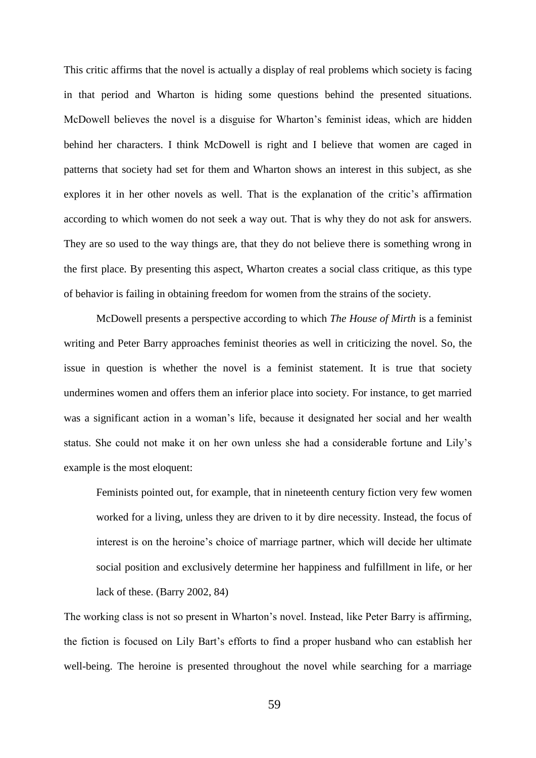This critic affirms that the novel is actually a display of real problems which society is facing in that period and Wharton is hiding some questions behind the presented situations. McDowell believes the novel is a disguise for Wharton's feminist ideas, which are hidden behind her characters. I think McDowell is right and I believe that women are caged in patterns that society had set for them and Wharton shows an interest in this subject, as she explores it in her other novels as well. That is the explanation of the critic's affirmation according to which women do not seek a way out. That is why they do not ask for answers. They are so used to the way things are, that they do not believe there is something wrong in the first place. By presenting this aspect, Wharton creates a social class critique, as this type of behavior is failing in obtaining freedom for women from the strains of the society.

McDowell presents a perspective according to which *The House of Mirth* is a feminist writing and Peter Barry approaches feminist theories as well in criticizing the novel. So, the issue in question is whether the novel is a feminist statement. It is true that society undermines women and offers them an inferior place into society. For instance, to get married was a significant action in a woman's life, because it designated her social and her wealth status. She could not make it on her own unless she had a considerable fortune and Lily's example is the most eloquent:

Feminists pointed out, for example, that in nineteenth century fiction very few women worked for a living, unless they are driven to it by dire necessity. Instead, the focus of interest is on the heroine's choice of marriage partner, which will decide her ultimate social position and exclusively determine her happiness and fulfillment in life, or her lack of these. (Barry 2002, 84)

The working class is not so present in Wharton's novel. Instead, like Peter Barry is affirming, the fiction is focused on Lily Bart's efforts to find a proper husband who can establish her well-being. The heroine is presented throughout the novel while searching for a marriage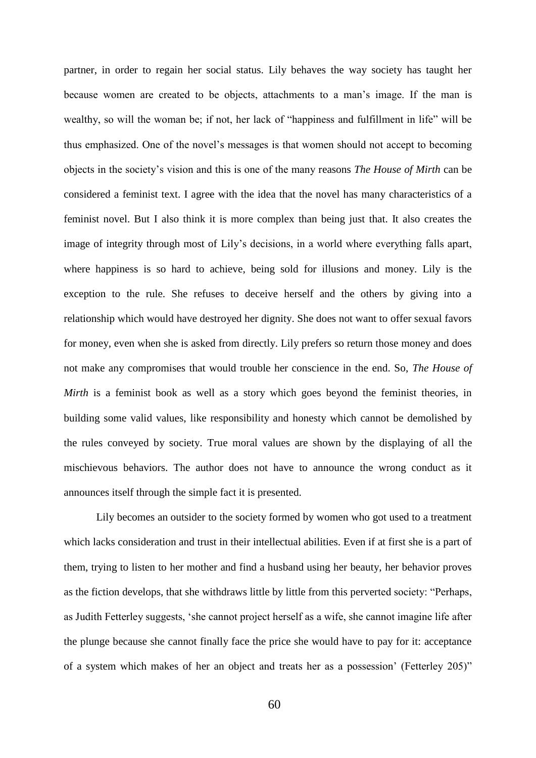partner, in order to regain her social status. Lily behaves the way society has taught her because women are created to be objects, attachments to a man's image. If the man is wealthy, so will the woman be; if not, her lack of "happiness and fulfillment in life" will be thus emphasized. One of the novel's messages is that women should not accept to becoming objects in the society's vision and this is one of the many reasons *The House of Mirth* can be considered a feminist text. I agree with the idea that the novel has many characteristics of a feminist novel. But I also think it is more complex than being just that. It also creates the image of integrity through most of Lily's decisions, in a world where everything falls apart, where happiness is so hard to achieve, being sold for illusions and money. Lily is the exception to the rule. She refuses to deceive herself and the others by giving into a relationship which would have destroyed her dignity. She does not want to offer sexual favors for money, even when she is asked from directly. Lily prefers so return those money and does not make any compromises that would trouble her conscience in the end. So, *The House of Mirth* is a feminist book as well as a story which goes beyond the feminist theories, in building some valid values, like responsibility and honesty which cannot be demolished by the rules conveyed by society. True moral values are shown by the displaying of all the mischievous behaviors. The author does not have to announce the wrong conduct as it announces itself through the simple fact it is presented.

Lily becomes an outsider to the society formed by women who got used to a treatment which lacks consideration and trust in their intellectual abilities. Even if at first she is a part of them, trying to listen to her mother and find a husband using her beauty, her behavior proves as the fiction develops, that she withdraws little by little from this perverted society: "Perhaps, as Judith Fetterley suggests, 'she cannot project herself as a wife, she cannot imagine life after the plunge because she cannot finally face the price she would have to pay for it: acceptance of a system which makes of her an object and treats her as a possession' (Fetterley 205)"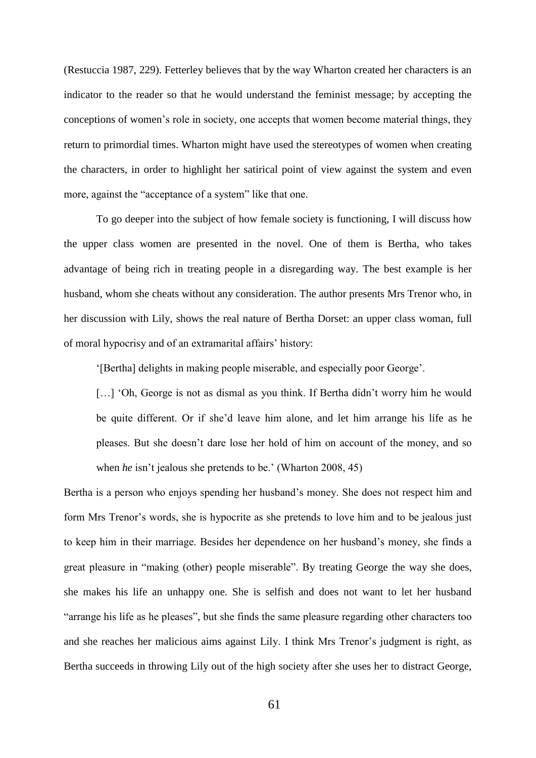(Restuccia 1987, 229). Fetterley believes that by the way Wharton created her characters is an indicator to the reader so that he would understand the feminist message; by accepting the conceptions of women's role in society, one accepts that women become material things, they return to primordial times. Wharton might have used the stereotypes of women when creating the characters, in order to highlight her satirical point of view against the system and even more, against the "acceptance of a system" like that one.

To go deeper into the subject of how female society is functioning, I will discuss how the upper class women are presented in the novel. One of them is Bertha, who takes advantage of being rich in treating people in a disregarding way. The best example is her husband, whom she cheats without any consideration. The author presents Mrs Trenor who, in her discussion with Lily, shows the real nature of Bertha Dorset: an upper class woman, full of moral hypocrisy and of an extramarital affairs' history:

'[Bertha] delights in making people miserable, and especially poor George'.

[...] 'Oh, George is not as dismal as you think. If Bertha didn't worry him he would be quite different. Or if she'd leave him alone, and let him arrange his life as he pleases. But she doesn't dare lose her hold of him on account of the money, and so when *he* isn't jealous she pretends to be.' (Wharton 2008, 45)

Bertha is a person who enjoys spending her husband's money. She does not respect him and form Mrs Trenor's words, she is hypocrite as she pretends to love him and to be jealous just to keep him in their marriage. Besides her dependence on her husband's money, she finds a great pleasure in "making (other) people miserable". By treating George the way she does, she makes his life an unhappy one. She is selfish and does not want to let her husband "arrange his life as he pleases", but she finds the same pleasure regarding other characters too and she reaches her malicious aims against Lily. I think Mrs Trenor's judgment is right, as Bertha succeeds in throwing Lily out of the high society after she uses her to distract George,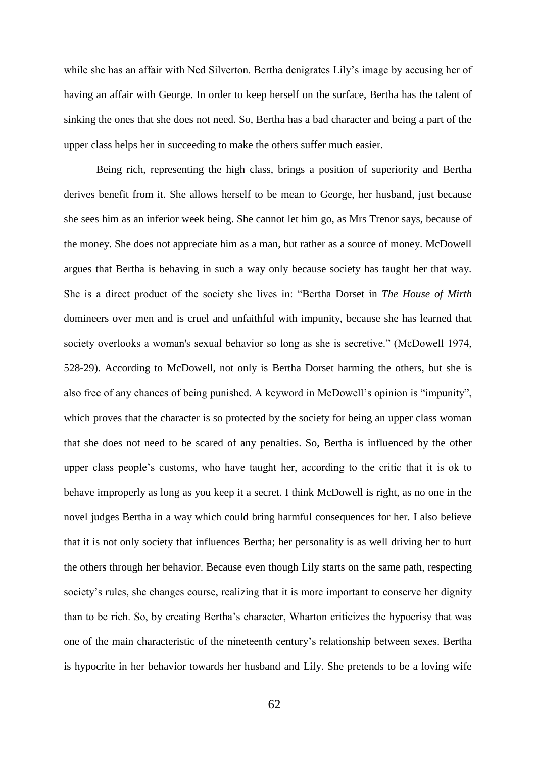while she has an affair with Ned Silverton. Bertha denigrates Lily's image by accusing her of having an affair with George. In order to keep herself on the surface, Bertha has the talent of sinking the ones that she does not need. So, Bertha has a bad character and being a part of the upper class helps her in succeeding to make the others suffer much easier.

Being rich, representing the high class, brings a position of superiority and Bertha derives benefit from it. She allows herself to be mean to George, her husband, just because she sees him as an inferior week being. She cannot let him go, as Mrs Trenor says, because of the money. She does not appreciate him as a man, but rather as a source of money. McDowell argues that Bertha is behaving in such a way only because society has taught her that way. She is a direct product of the society she lives in: "Bertha Dorset in *The House of Mirth* domineers over men and is cruel and unfaithful with impunity, because she has learned that society overlooks a woman's sexual behavior so long as she is secretive." (McDowell 1974, 528-29). According to McDowell, not only is Bertha Dorset harming the others, but she is also free of any chances of being punished. A keyword in McDowell's opinion is "impunity", which proves that the character is so protected by the society for being an upper class woman that she does not need to be scared of any penalties. So, Bertha is influenced by the other upper class people's customs, who have taught her, according to the critic that it is ok to behave improperly as long as you keep it a secret. I think McDowell is right, as no one in the novel judges Bertha in a way which could bring harmful consequences for her. I also believe that it is not only society that influences Bertha; her personality is as well driving her to hurt the others through her behavior. Because even though Lily starts on the same path, respecting society's rules, she changes course, realizing that it is more important to conserve her dignity than to be rich. So, by creating Bertha's character, Wharton criticizes the hypocrisy that was one of the main characteristic of the nineteenth century's relationship between sexes. Bertha is hypocrite in her behavior towards her husband and Lily. She pretends to be a loving wife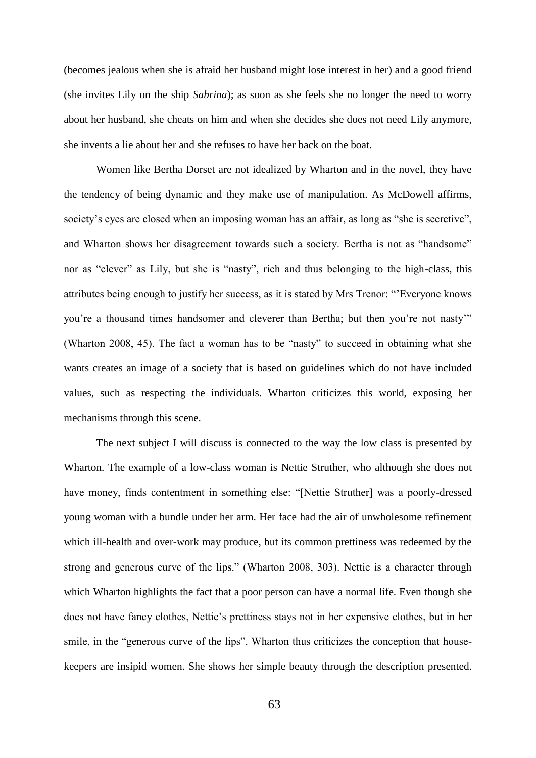(becomes jealous when she is afraid her husband might lose interest in her) and a good friend (she invites Lily on the ship *Sabrina*); as soon as she feels she no longer the need to worry about her husband, she cheats on him and when she decides she does not need Lily anymore, she invents a lie about her and she refuses to have her back on the boat.

Women like Bertha Dorset are not idealized by Wharton and in the novel, they have the tendency of being dynamic and they make use of manipulation. As McDowell affirms, society's eyes are closed when an imposing woman has an affair, as long as "she is secretive", and Wharton shows her disagreement towards such a society. Bertha is not as "handsome" nor as "clever" as Lily, but she is "nasty", rich and thus belonging to the high-class, this attributes being enough to justify her success, as it is stated by Mrs Trenor: "'Everyone knows you're a thousand times handsomer and cleverer than Bertha; but then you're not nasty'" (Wharton 2008, 45). The fact a woman has to be "nasty" to succeed in obtaining what she wants creates an image of a society that is based on guidelines which do not have included values, such as respecting the individuals. Wharton criticizes this world, exposing her mechanisms through this scene.

The next subject I will discuss is connected to the way the low class is presented by Wharton. The example of a low-class woman is Nettie Struther, who although she does not have money, finds contentment in something else: "[Nettie Struther] was a poorly-dressed young woman with a bundle under her arm. Her face had the air of unwholesome refinement which ill-health and over-work may produce, but its common prettiness was redeemed by the strong and generous curve of the lips." (Wharton 2008, 303). Nettie is a character through which Wharton highlights the fact that a poor person can have a normal life. Even though she does not have fancy clothes, Nettie's prettiness stays not in her expensive clothes, but in her smile, in the "generous curve of the lips". Wharton thus criticizes the conception that housekeepers are insipid women. She shows her simple beauty through the description presented.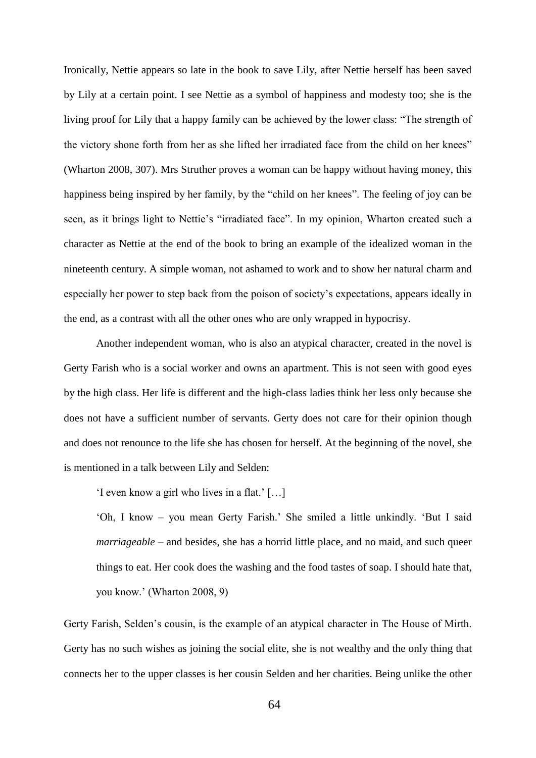Ironically, Nettie appears so late in the book to save Lily, after Nettie herself has been saved by Lily at a certain point. I see Nettie as a symbol of happiness and modesty too; she is the living proof for Lily that a happy family can be achieved by the lower class: "The strength of the victory shone forth from her as she lifted her irradiated face from the child on her knees" (Wharton 2008, 307). Mrs Struther proves a woman can be happy without having money, this happiness being inspired by her family, by the "child on her knees". The feeling of joy can be seen, as it brings light to Nettie's "irradiated face". In my opinion, Wharton created such a character as Nettie at the end of the book to bring an example of the idealized woman in the nineteenth century. A simple woman, not ashamed to work and to show her natural charm and especially her power to step back from the poison of society's expectations, appears ideally in the end, as a contrast with all the other ones who are only wrapped in hypocrisy.

Another independent woman, who is also an atypical character, created in the novel is Gerty Farish who is a social worker and owns an apartment. This is not seen with good eyes by the high class. Her life is different and the high-class ladies think her less only because she does not have a sufficient number of servants. Gerty does not care for their opinion though and does not renounce to the life she has chosen for herself. At the beginning of the novel, she is mentioned in a talk between Lily and Selden:

'I even know a girl who lives in a flat.' […]

'Oh, I know – you mean Gerty Farish.' She smiled a little unkindly. 'But I said *marriageable* – and besides, she has a horrid little place, and no maid, and such queer things to eat. Her cook does the washing and the food tastes of soap. I should hate that, you know.' (Wharton 2008, 9)

Gerty Farish, Selden's cousin, is the example of an atypical character in The House of Mirth. Gerty has no such wishes as joining the social elite, she is not wealthy and the only thing that connects her to the upper classes is her cousin Selden and her charities. Being unlike the other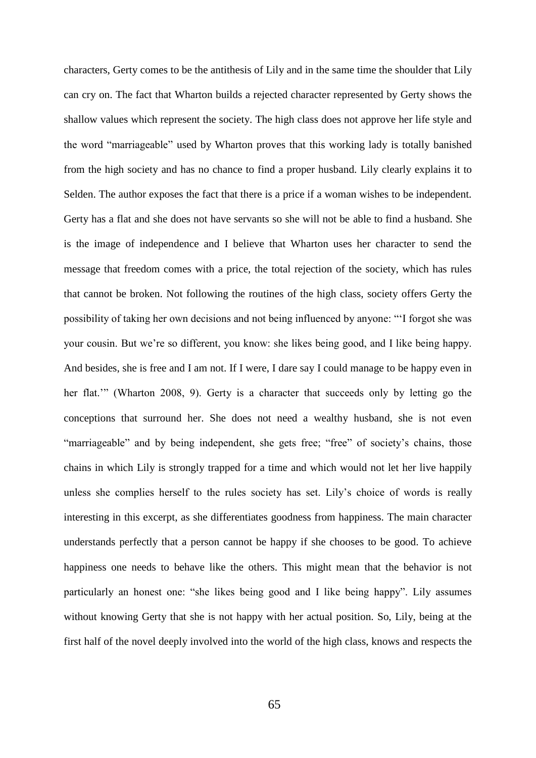characters, Gerty comes to be the antithesis of Lily and in the same time the shoulder that Lily can cry on. The fact that Wharton builds a rejected character represented by Gerty shows the shallow values which represent the society. The high class does not approve her life style and the word "marriageable" used by Wharton proves that this working lady is totally banished from the high society and has no chance to find a proper husband. Lily clearly explains it to Selden. The author exposes the fact that there is a price if a woman wishes to be independent. Gerty has a flat and she does not have servants so she will not be able to find a husband. She is the image of independence and I believe that Wharton uses her character to send the message that freedom comes with a price, the total rejection of the society, which has rules that cannot be broken. Not following the routines of the high class, society offers Gerty the possibility of taking her own decisions and not being influenced by anyone: "'I forgot she was your cousin. But we're so different, you know: she likes being good, and I like being happy. And besides, she is free and I am not. If I were, I dare say I could manage to be happy even in her flat.'" (Wharton 2008, 9). Gerty is a character that succeeds only by letting go the conceptions that surround her. She does not need a wealthy husband, she is not even "marriageable" and by being independent, she gets free; "free" of society's chains, those chains in which Lily is strongly trapped for a time and which would not let her live happily unless she complies herself to the rules society has set. Lily's choice of words is really interesting in this excerpt, as she differentiates goodness from happiness. The main character understands perfectly that a person cannot be happy if she chooses to be good. To achieve happiness one needs to behave like the others. This might mean that the behavior is not particularly an honest one: "she likes being good and I like being happy". Lily assumes without knowing Gerty that she is not happy with her actual position. So, Lily, being at the first half of the novel deeply involved into the world of the high class, knows and respects the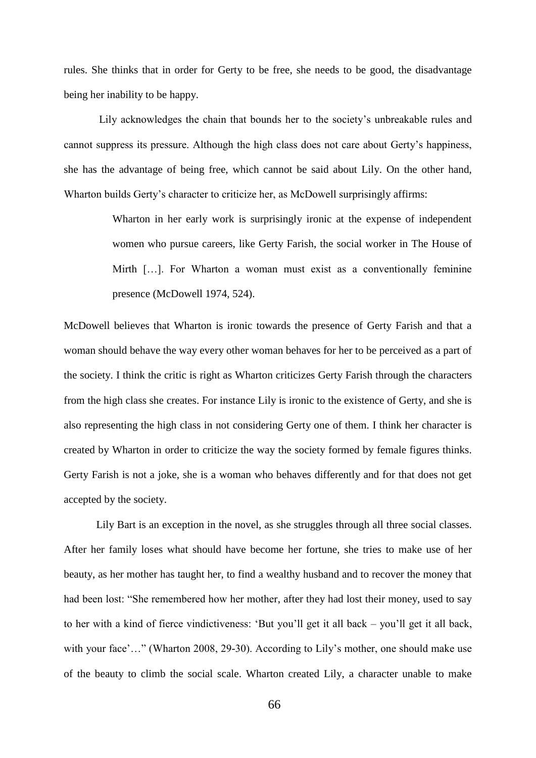rules. She thinks that in order for Gerty to be free, she needs to be good, the disadvantage being her inability to be happy.

Lily acknowledges the chain that bounds her to the society's unbreakable rules and cannot suppress its pressure. Although the high class does not care about Gerty's happiness, she has the advantage of being free, which cannot be said about Lily. On the other hand, Wharton builds Gerty's character to criticize her, as McDowell surprisingly affirms:

> Wharton in her early work is surprisingly ironic at the expense of independent women who pursue careers, like Gerty Farish, the social worker in The House of Mirth […]. For Wharton a woman must exist as a conventionally feminine presence (McDowell 1974, 524).

McDowell believes that Wharton is ironic towards the presence of Gerty Farish and that a woman should behave the way every other woman behaves for her to be perceived as a part of the society. I think the critic is right as Wharton criticizes Gerty Farish through the characters from the high class she creates. For instance Lily is ironic to the existence of Gerty, and she is also representing the high class in not considering Gerty one of them. I think her character is created by Wharton in order to criticize the way the society formed by female figures thinks. Gerty Farish is not a joke, she is a woman who behaves differently and for that does not get accepted by the society.

Lily Bart is an exception in the novel, as she struggles through all three social classes. After her family loses what should have become her fortune, she tries to make use of her beauty, as her mother has taught her, to find a wealthy husband and to recover the money that had been lost: "She remembered how her mother, after they had lost their money, used to say to her with a kind of fierce vindictiveness: 'But you'll get it all back – you'll get it all back, with your face'..." (Wharton 2008, 29-30). According to Lily's mother, one should make use of the beauty to climb the social scale. Wharton created Lily, a character unable to make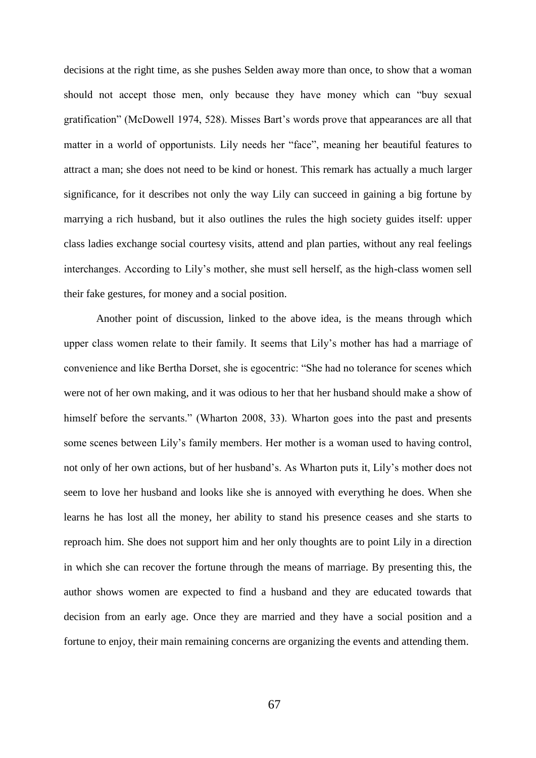decisions at the right time, as she pushes Selden away more than once, to show that a woman should not accept those men, only because they have money which can "buy sexual gratification" (McDowell 1974, 528). Misses Bart's words prove that appearances are all that matter in a world of opportunists. Lily needs her "face", meaning her beautiful features to attract a man; she does not need to be kind or honest. This remark has actually a much larger significance, for it describes not only the way Lily can succeed in gaining a big fortune by marrying a rich husband, but it also outlines the rules the high society guides itself: upper class ladies exchange social courtesy visits, attend and plan parties, without any real feelings interchanges. According to Lily's mother, she must sell herself, as the high-class women sell their fake gestures, for money and a social position.

Another point of discussion, linked to the above idea, is the means through which upper class women relate to their family. It seems that Lily's mother has had a marriage of convenience and like Bertha Dorset, she is egocentric: "She had no tolerance for scenes which were not of her own making, and it was odious to her that her husband should make a show of himself before the servants." (Wharton 2008, 33). Wharton goes into the past and presents some scenes between Lily's family members. Her mother is a woman used to having control, not only of her own actions, but of her husband's. As Wharton puts it, Lily's mother does not seem to love her husband and looks like she is annoyed with everything he does. When she learns he has lost all the money, her ability to stand his presence ceases and she starts to reproach him. She does not support him and her only thoughts are to point Lily in a direction in which she can recover the fortune through the means of marriage. By presenting this, the author shows women are expected to find a husband and they are educated towards that decision from an early age. Once they are married and they have a social position and a fortune to enjoy, their main remaining concerns are organizing the events and attending them.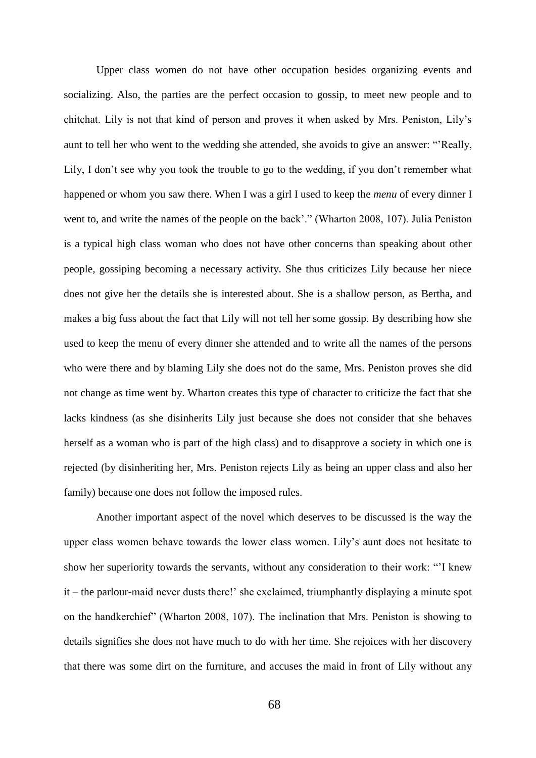Upper class women do not have other occupation besides organizing events and socializing. Also, the parties are the perfect occasion to gossip, to meet new people and to chitchat. Lily is not that kind of person and proves it when asked by Mrs. Peniston, Lily's aunt to tell her who went to the wedding she attended, she avoids to give an answer: "'Really, Lily, I don't see why you took the trouble to go to the wedding, if you don't remember what happened or whom you saw there. When I was a girl I used to keep the *menu* of every dinner I went to, and write the names of the people on the back'." (Wharton 2008, 107). Julia Peniston is a typical high class woman who does not have other concerns than speaking about other people, gossiping becoming a necessary activity. She thus criticizes Lily because her niece does not give her the details she is interested about. She is a shallow person, as Bertha, and makes a big fuss about the fact that Lily will not tell her some gossip. By describing how she used to keep the menu of every dinner she attended and to write all the names of the persons who were there and by blaming Lily she does not do the same, Mrs. Peniston proves she did not change as time went by. Wharton creates this type of character to criticize the fact that she lacks kindness (as she disinherits Lily just because she does not consider that she behaves herself as a woman who is part of the high class) and to disapprove a society in which one is rejected (by disinheriting her, Mrs. Peniston rejects Lily as being an upper class and also her family) because one does not follow the imposed rules.

Another important aspect of the novel which deserves to be discussed is the way the upper class women behave towards the lower class women. Lily's aunt does not hesitate to show her superiority towards the servants, without any consideration to their work: "'I knew it – the parlour-maid never dusts there!' she exclaimed, triumphantly displaying a minute spot on the handkerchief" (Wharton 2008, 107). The inclination that Mrs. Peniston is showing to details signifies she does not have much to do with her time. She rejoices with her discovery that there was some dirt on the furniture, and accuses the maid in front of Lily without any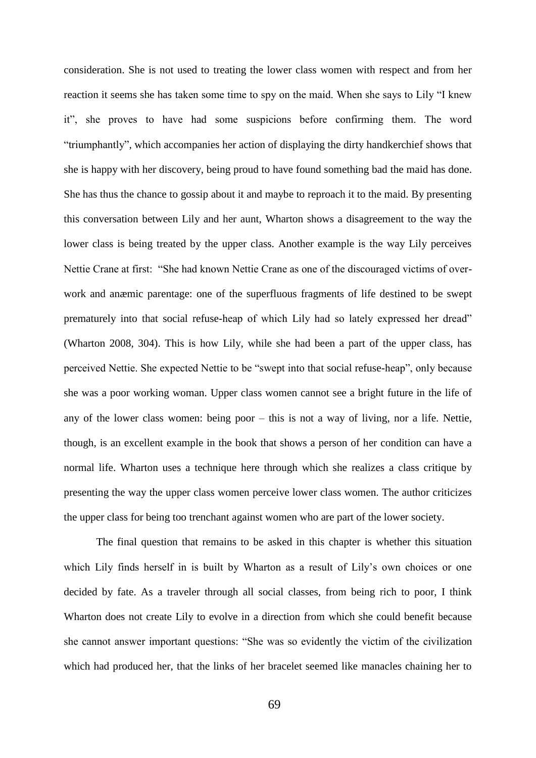consideration. She is not used to treating the lower class women with respect and from her reaction it seems she has taken some time to spy on the maid. When she says to Lily "I knew it", she proves to have had some suspicions before confirming them. The word "triumphantly"*,* which accompanies her action of displaying the dirty handkerchief shows that she is happy with her discovery, being proud to have found something bad the maid has done. She has thus the chance to gossip about it and maybe to reproach it to the maid. By presenting this conversation between Lily and her aunt, Wharton shows a disagreement to the way the lower class is being treated by the upper class. Another example is the way Lily perceives Nettie Crane at first: "She had known Nettie Crane as one of the discouraged victims of overwork and anæmic parentage: one of the superfluous fragments of life destined to be swept prematurely into that social refuse-heap of which Lily had so lately expressed her dread" (Wharton 2008, 304). This is how Lily, while she had been a part of the upper class, has perceived Nettie. She expected Nettie to be "swept into that social refuse-heap", only because she was a poor working woman. Upper class women cannot see a bright future in the life of any of the lower class women: being poor – this is not a way of living, nor a life. Nettie, though, is an excellent example in the book that shows a person of her condition can have a normal life. Wharton uses a technique here through which she realizes a class critique by presenting the way the upper class women perceive lower class women. The author criticizes the upper class for being too trenchant against women who are part of the lower society.

The final question that remains to be asked in this chapter is whether this situation which Lily finds herself in is built by Wharton as a result of Lily's own choices or one decided by fate. As a traveler through all social classes, from being rich to poor, I think Wharton does not create Lily to evolve in a direction from which she could benefit because she cannot answer important questions: "She was so evidently the victim of the civilization which had produced her, that the links of her bracelet seemed like manacles chaining her to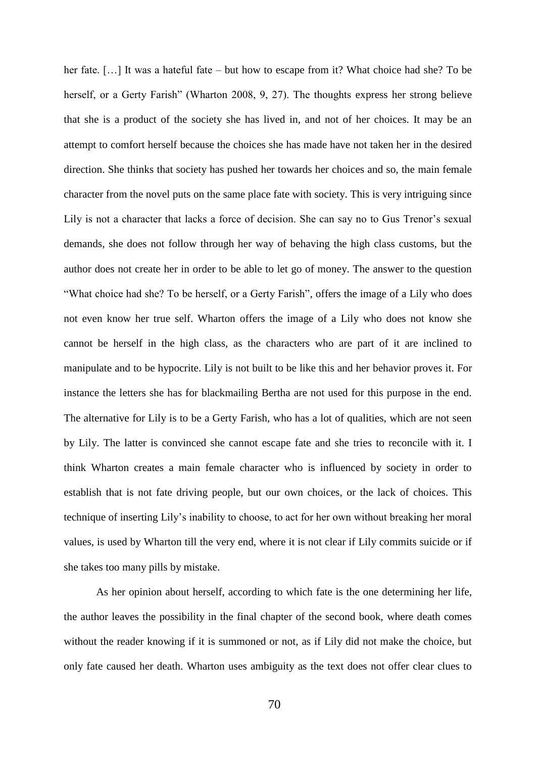her fate. [...] It was a hateful fate – but how to escape from it? What choice had she? To be herself, or a Gerty Farish" (Wharton 2008, 9, 27). The thoughts express her strong believe that she is a product of the society she has lived in, and not of her choices. It may be an attempt to comfort herself because the choices she has made have not taken her in the desired direction. She thinks that society has pushed her towards her choices and so, the main female character from the novel puts on the same place fate with society. This is very intriguing since Lily is not a character that lacks a force of decision. She can say no to Gus Trenor's sexual demands, she does not follow through her way of behaving the high class customs, but the author does not create her in order to be able to let go of money. The answer to the question "What choice had she? To be herself, or a Gerty Farish"*,* offers the image of a Lily who does not even know her true self. Wharton offers the image of a Lily who does not know she cannot be herself in the high class, as the characters who are part of it are inclined to manipulate and to be hypocrite. Lily is not built to be like this and her behavior proves it. For instance the letters she has for blackmailing Bertha are not used for this purpose in the end. The alternative for Lily is to be a Gerty Farish, who has a lot of qualities, which are not seen by Lily. The latter is convinced she cannot escape fate and she tries to reconcile with it. I think Wharton creates a main female character who is influenced by society in order to establish that is not fate driving people, but our own choices, or the lack of choices. This technique of inserting Lily's inability to choose, to act for her own without breaking her moral values, is used by Wharton till the very end, where it is not clear if Lily commits suicide or if she takes too many pills by mistake.

As her opinion about herself, according to which fate is the one determining her life, the author leaves the possibility in the final chapter of the second book, where death comes without the reader knowing if it is summoned or not, as if Lily did not make the choice, but only fate caused her death. Wharton uses ambiguity as the text does not offer clear clues to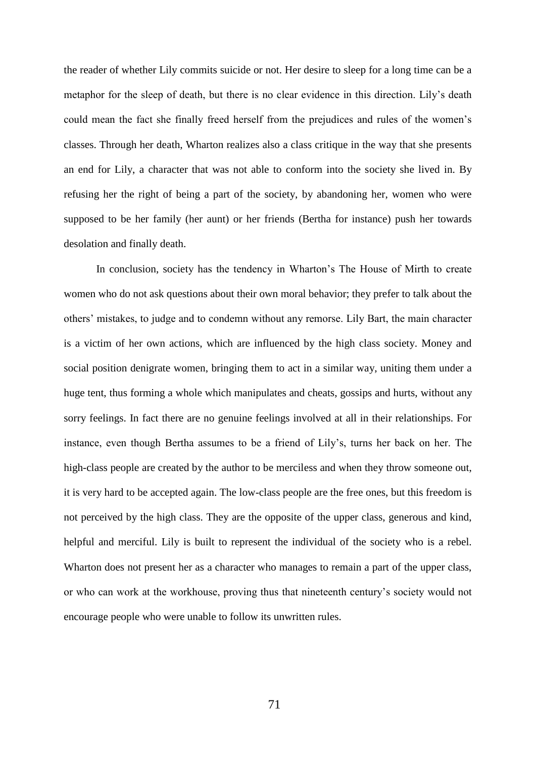the reader of whether Lily commits suicide or not. Her desire to sleep for a long time can be a metaphor for the sleep of death, but there is no clear evidence in this direction. Lily's death could mean the fact she finally freed herself from the prejudices and rules of the women's classes. Through her death, Wharton realizes also a class critique in the way that she presents an end for Lily, a character that was not able to conform into the society she lived in. By refusing her the right of being a part of the society, by abandoning her, women who were supposed to be her family (her aunt) or her friends (Bertha for instance) push her towards desolation and finally death.

In conclusion, society has the tendency in Wharton's The House of Mirth to create women who do not ask questions about their own moral behavior; they prefer to talk about the others' mistakes, to judge and to condemn without any remorse. Lily Bart, the main character is a victim of her own actions, which are influenced by the high class society. Money and social position denigrate women, bringing them to act in a similar way, uniting them under a huge tent, thus forming a whole which manipulates and cheats, gossips and hurts, without any sorry feelings. In fact there are no genuine feelings involved at all in their relationships. For instance, even though Bertha assumes to be a friend of Lily's, turns her back on her. The high-class people are created by the author to be merciless and when they throw someone out, it is very hard to be accepted again. The low-class people are the free ones, but this freedom is not perceived by the high class. They are the opposite of the upper class, generous and kind, helpful and merciful. Lily is built to represent the individual of the society who is a rebel. Wharton does not present her as a character who manages to remain a part of the upper class, or who can work at the workhouse, proving thus that nineteenth century's society would not encourage people who were unable to follow its unwritten rules.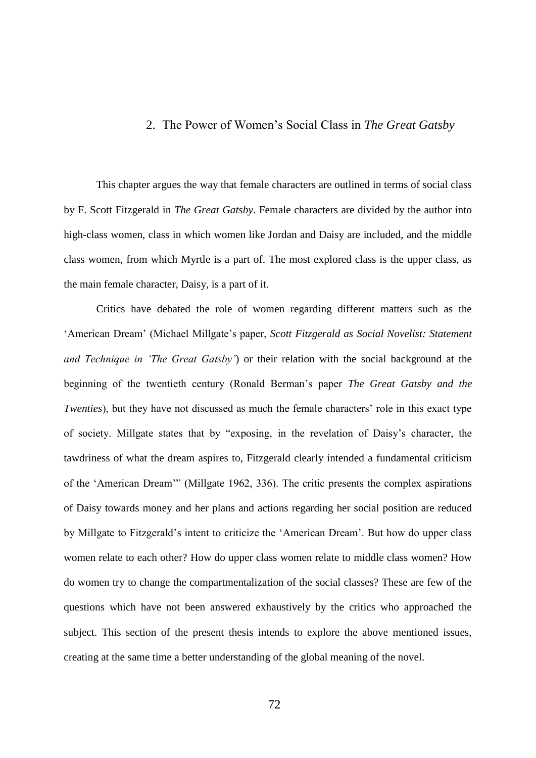## 2. The Power of Women's Social Class in *The Great Gatsby*

This chapter argues the way that female characters are outlined in terms of social class by F. Scott Fitzgerald in *The Great Gatsby*. Female characters are divided by the author into high-class women, class in which women like Jordan and Daisy are included, and the middle class women, from which Myrtle is a part of. The most explored class is the upper class, as the main female character, Daisy, is a part of it.

Critics have debated the role of women regarding different matters such as the 'American Dream' (Michael Millgate's paper, *Scott Fitzgerald as Social Novelist: Statement and Technique in 'The Great Gatsby'*) or their relation with the social background at the beginning of the twentieth century (Ronald Berman's paper *The Great Gatsby and the Twenties*), but they have not discussed as much the female characters' role in this exact type of society. Millgate states that by "exposing, in the revelation of Daisy's character, the tawdriness of what the dream aspires to, Fitzgerald clearly intended a fundamental criticism of the 'American Dream'" (Millgate 1962, 336). The critic presents the complex aspirations of Daisy towards money and her plans and actions regarding her social position are reduced by Millgate to Fitzgerald's intent to criticize the 'American Dream'. But how do upper class women relate to each other? How do upper class women relate to middle class women? How do women try to change the compartmentalization of the social classes? These are few of the questions which have not been answered exhaustively by the critics who approached the subject. This section of the present thesis intends to explore the above mentioned issues, creating at the same time a better understanding of the global meaning of the novel.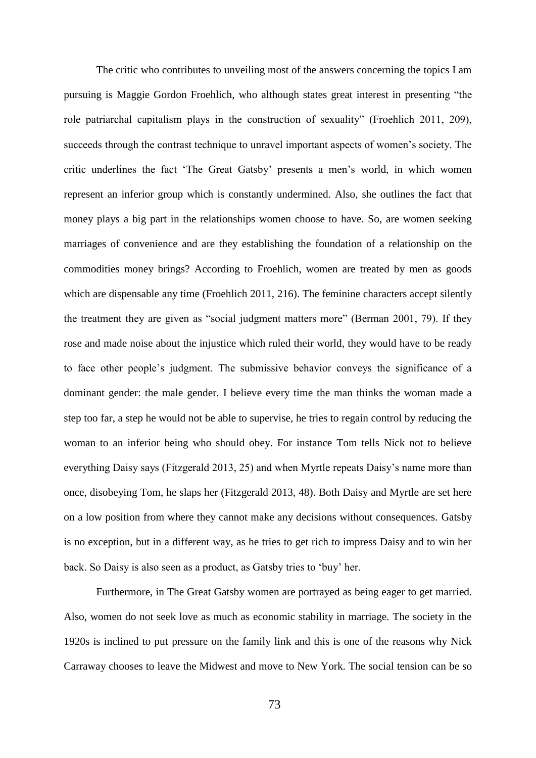The critic who contributes to unveiling most of the answers concerning the topics I am pursuing is Maggie Gordon Froehlich, who although states great interest in presenting "the role patriarchal capitalism plays in the construction of sexuality" (Froehlich 2011, 209), succeeds through the contrast technique to unravel important aspects of women's society. The critic underlines the fact 'The Great Gatsby' presents a men's world, in which women represent an inferior group which is constantly undermined. Also, she outlines the fact that money plays a big part in the relationships women choose to have. So, are women seeking marriages of convenience and are they establishing the foundation of a relationship on the commodities money brings? According to Froehlich, women are treated by men as goods which are dispensable any time (Froehlich 2011, 216). The feminine characters accept silently the treatment they are given as "social judgment matters more" (Berman 2001, 79). If they rose and made noise about the injustice which ruled their world, they would have to be ready to face other people's judgment. The submissive behavior conveys the significance of a dominant gender: the male gender. I believe every time the man thinks the woman made a step too far, a step he would not be able to supervise, he tries to regain control by reducing the woman to an inferior being who should obey. For instance Tom tells Nick not to believe everything Daisy says (Fitzgerald 2013, 25) and when Myrtle repeats Daisy's name more than once, disobeying Tom, he slaps her (Fitzgerald 2013, 48). Both Daisy and Myrtle are set here on a low position from where they cannot make any decisions without consequences. Gatsby is no exception, but in a different way, as he tries to get rich to impress Daisy and to win her back. So Daisy is also seen as a product, as Gatsby tries to 'buy' her.

Furthermore, in The Great Gatsby women are portrayed as being eager to get married. Also, women do not seek love as much as economic stability in marriage. The society in the 1920s is inclined to put pressure on the family link and this is one of the reasons why Nick Carraway chooses to leave the Midwest and move to New York. The social tension can be so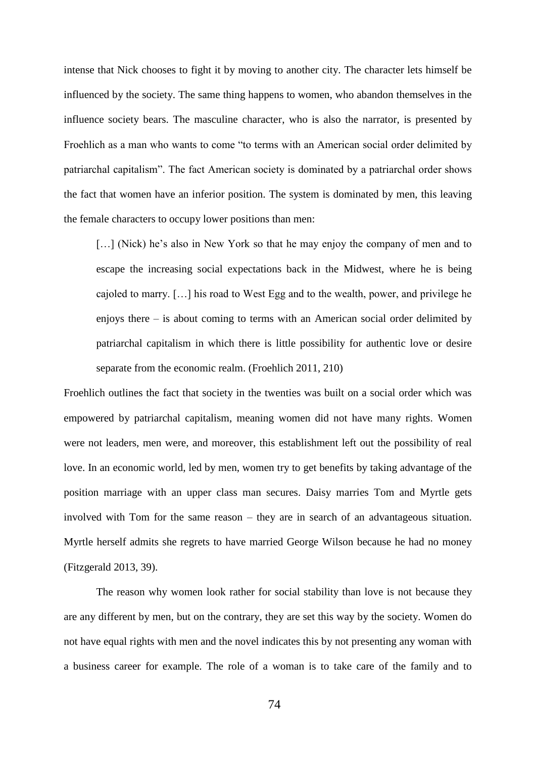intense that Nick chooses to fight it by moving to another city. The character lets himself be influenced by the society. The same thing happens to women, who abandon themselves in the influence society bears. The masculine character, who is also the narrator, is presented by Froehlich as a man who wants to come "to terms with an American social order delimited by patriarchal capitalism". The fact American society is dominated by a patriarchal order shows the fact that women have an inferior position. The system is dominated by men, this leaving the female characters to occupy lower positions than men:

[...] (Nick) he's also in New York so that he may enjoy the company of men and to escape the increasing social expectations back in the Midwest, where he is being cajoled to marry. […] his road to West Egg and to the wealth, power, and privilege he enjoys there – is about coming to terms with an American social order delimited by patriarchal capitalism in which there is little possibility for authentic love or desire separate from the economic realm. (Froehlich 2011, 210)

Froehlich outlines the fact that society in the twenties was built on a social order which was empowered by patriarchal capitalism, meaning women did not have many rights. Women were not leaders, men were, and moreover, this establishment left out the possibility of real love. In an economic world, led by men, women try to get benefits by taking advantage of the position marriage with an upper class man secures. Daisy marries Tom and Myrtle gets involved with Tom for the same reason – they are in search of an advantageous situation. Myrtle herself admits she regrets to have married George Wilson because he had no money (Fitzgerald 2013, 39).

The reason why women look rather for social stability than love is not because they are any different by men, but on the contrary, they are set this way by the society. Women do not have equal rights with men and the novel indicates this by not presenting any woman with a business career for example. The role of a woman is to take care of the family and to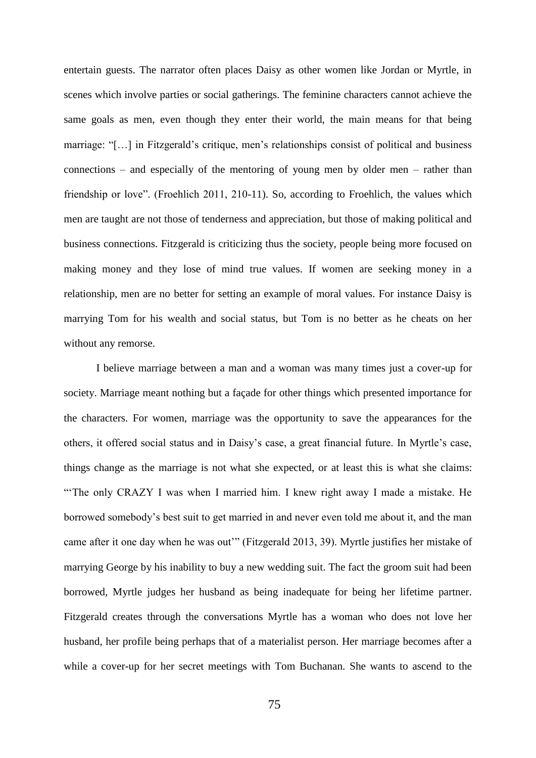entertain guests. The narrator often places Daisy as other women like Jordan or Myrtle, in scenes which involve parties or social gatherings. The feminine characters cannot achieve the same goals as men, even though they enter their world, the main means for that being marriage: "[…] in Fitzgerald's critique, men's relationships consist of political and business connections – and especially of the mentoring of young men by older men – rather than friendship or love". (Froehlich 2011, 210-11). So, according to Froehlich, the values which men are taught are not those of tenderness and appreciation, but those of making political and business connections. Fitzgerald is criticizing thus the society, people being more focused on making money and they lose of mind true values. If women are seeking money in a relationship, men are no better for setting an example of moral values. For instance Daisy is marrying Tom for his wealth and social status, but Tom is no better as he cheats on her without any remorse.

I believe marriage between a man and a woman was many times just a cover-up for society. Marriage meant nothing but a façade for other things which presented importance for the characters. For women, marriage was the opportunity to save the appearances for the others, it offered social status and in Daisy's case, a great financial future. In Myrtle's case, things change as the marriage is not what she expected, or at least this is what she claims: "'The only CRAZY I was when I married him. I knew right away I made a mistake. He borrowed somebody's best suit to get married in and never even told me about it, and the man came after it one day when he was out'" (Fitzgerald 2013, 39). Myrtle justifies her mistake of marrying George by his inability to buy a new wedding suit. The fact the groom suit had been borrowed, Myrtle judges her husband as being inadequate for being her lifetime partner. Fitzgerald creates through the conversations Myrtle has a woman who does not love her husband, her profile being perhaps that of a materialist person. Her marriage becomes after a while a cover-up for her secret meetings with Tom Buchanan. She wants to ascend to the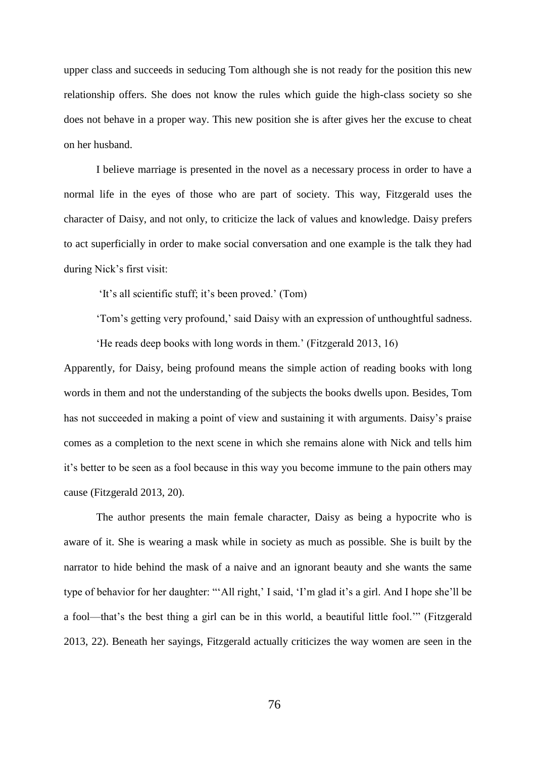upper class and succeeds in seducing Tom although she is not ready for the position this new relationship offers. She does not know the rules which guide the high-class society so she does not behave in a proper way. This new position she is after gives her the excuse to cheat on her husband.

I believe marriage is presented in the novel as a necessary process in order to have a normal life in the eyes of those who are part of society. This way, Fitzgerald uses the character of Daisy, and not only, to criticize the lack of values and knowledge. Daisy prefers to act superficially in order to make social conversation and one example is the talk they had during Nick's first visit:

'It's all scientific stuff; it's been proved.' (Tom)

'Tom's getting very profound,' said Daisy with an expression of unthoughtful sadness.

'He reads deep books with long words in them.' (Fitzgerald 2013, 16)

Apparently, for Daisy, being profound means the simple action of reading books with long words in them and not the understanding of the subjects the books dwells upon. Besides, Tom has not succeeded in making a point of view and sustaining it with arguments. Daisy's praise comes as a completion to the next scene in which she remains alone with Nick and tells him it's better to be seen as a fool because in this way you become immune to the pain others may cause (Fitzgerald 2013, 20).

The author presents the main female character, Daisy as being a hypocrite who is aware of it. She is wearing a mask while in society as much as possible. She is built by the narrator to hide behind the mask of a naive and an ignorant beauty and she wants the same type of behavior for her daughter: "'All right,' I said, 'I'm glad it's a girl. And I hope she'll be a fool—that's the best thing a girl can be in this world, a beautiful little fool.'" (Fitzgerald 2013, 22). Beneath her sayings, Fitzgerald actually criticizes the way women are seen in the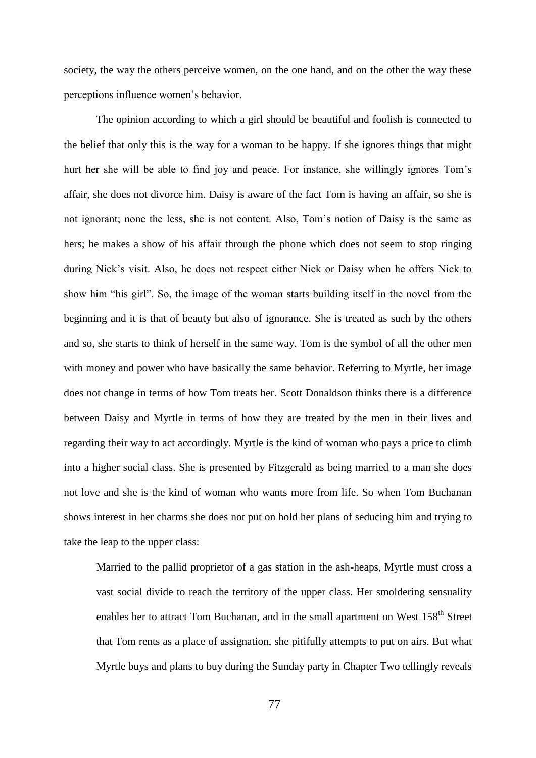society, the way the others perceive women, on the one hand, and on the other the way these perceptions influence women's behavior.

The opinion according to which a girl should be beautiful and foolish is connected to the belief that only this is the way for a woman to be happy. If she ignores things that might hurt her she will be able to find joy and peace. For instance, she willingly ignores Tom's affair, she does not divorce him. Daisy is aware of the fact Tom is having an affair, so she is not ignorant; none the less, she is not content. Also, Tom's notion of Daisy is the same as hers; he makes a show of his affair through the phone which does not seem to stop ringing during Nick's visit. Also, he does not respect either Nick or Daisy when he offers Nick to show him "his girl". So, the image of the woman starts building itself in the novel from the beginning and it is that of beauty but also of ignorance. She is treated as such by the others and so, she starts to think of herself in the same way. Tom is the symbol of all the other men with money and power who have basically the same behavior. Referring to Myrtle, her image does not change in terms of how Tom treats her. Scott Donaldson thinks there is a difference between Daisy and Myrtle in terms of how they are treated by the men in their lives and regarding their way to act accordingly. Myrtle is the kind of woman who pays a price to climb into a higher social class. She is presented by Fitzgerald as being married to a man she does not love and she is the kind of woman who wants more from life. So when Tom Buchanan shows interest in her charms she does not put on hold her plans of seducing him and trying to take the leap to the upper class:

Married to the pallid proprietor of a gas station in the ash-heaps, Myrtle must cross a vast social divide to reach the territory of the upper class. Her smoldering sensuality enables her to attract Tom Buchanan, and in the small apartment on West 158<sup>th</sup> Street that Tom rents as a place of assignation, she pitifully attempts to put on airs. But what Myrtle buys and plans to buy during the Sunday party in Chapter Two tellingly reveals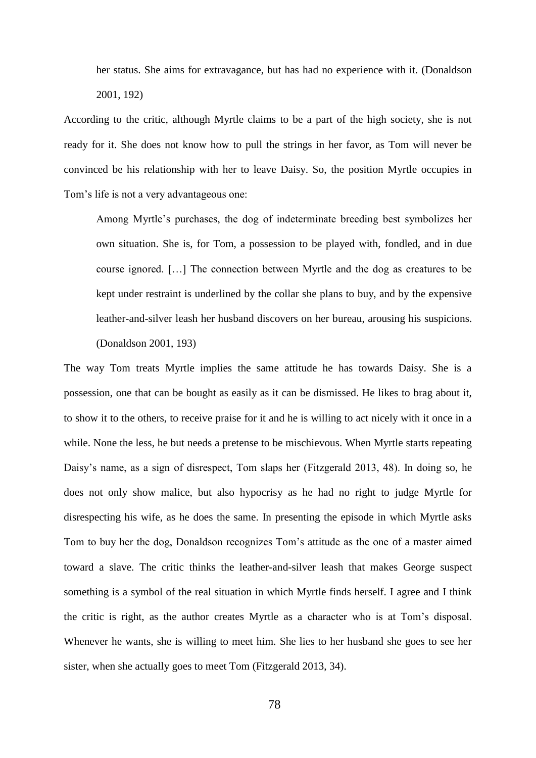her status. She aims for extravagance, but has had no experience with it. (Donaldson 2001, 192)

According to the critic, although Myrtle claims to be a part of the high society, she is not ready for it. She does not know how to pull the strings in her favor, as Tom will never be convinced be his relationship with her to leave Daisy. So, the position Myrtle occupies in Tom's life is not a very advantageous one:

Among Myrtle's purchases, the dog of indeterminate breeding best symbolizes her own situation. She is, for Tom, a possession to be played with, fondled, and in due course ignored. […] The connection between Myrtle and the dog as creatures to be kept under restraint is underlined by the collar she plans to buy, and by the expensive leather-and-silver leash her husband discovers on her bureau, arousing his suspicions. (Donaldson 2001, 193)

The way Tom treats Myrtle implies the same attitude he has towards Daisy. She is a possession, one that can be bought as easily as it can be dismissed. He likes to brag about it, to show it to the others, to receive praise for it and he is willing to act nicely with it once in a while. None the less, he but needs a pretense to be mischievous. When Myrtle starts repeating Daisy's name, as a sign of disrespect, Tom slaps her (Fitzgerald 2013, 48). In doing so, he does not only show malice, but also hypocrisy as he had no right to judge Myrtle for disrespecting his wife, as he does the same. In presenting the episode in which Myrtle asks Tom to buy her the dog, Donaldson recognizes Tom's attitude as the one of a master aimed toward a slave. The critic thinks the leather-and-silver leash that makes George suspect something is a symbol of the real situation in which Myrtle finds herself. I agree and I think the critic is right, as the author creates Myrtle as a character who is at Tom's disposal. Whenever he wants, she is willing to meet him. She lies to her husband she goes to see her sister, when she actually goes to meet Tom (Fitzgerald 2013, 34).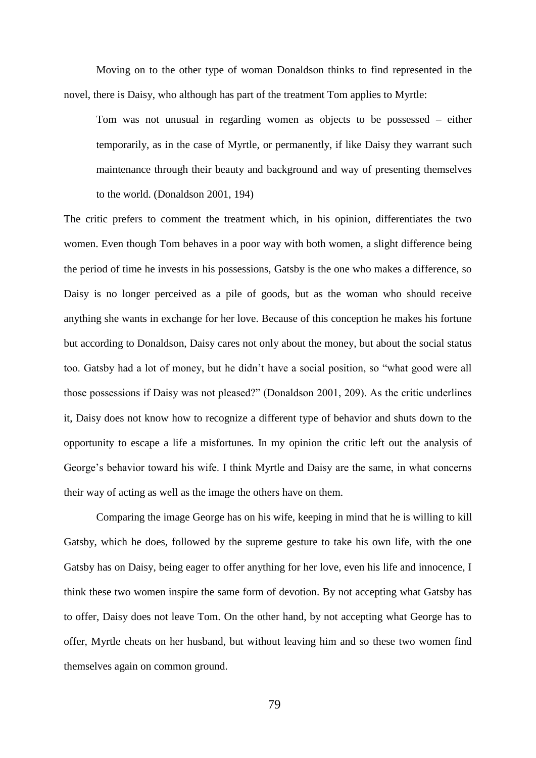Moving on to the other type of woman Donaldson thinks to find represented in the novel, there is Daisy, who although has part of the treatment Tom applies to Myrtle:

Tom was not unusual in regarding women as objects to be possessed – either temporarily, as in the case of Myrtle, or permanently, if like Daisy they warrant such maintenance through their beauty and background and way of presenting themselves to the world. (Donaldson 2001, 194)

The critic prefers to comment the treatment which, in his opinion, differentiates the two women. Even though Tom behaves in a poor way with both women, a slight difference being the period of time he invests in his possessions, Gatsby is the one who makes a difference, so Daisy is no longer perceived as a pile of goods, but as the woman who should receive anything she wants in exchange for her love. Because of this conception he makes his fortune but according to Donaldson, Daisy cares not only about the money, but about the social status too. Gatsby had a lot of money, but he didn't have a social position, so "what good were all those possessions if Daisy was not pleased?" (Donaldson 2001, 209). As the critic underlines it, Daisy does not know how to recognize a different type of behavior and shuts down to the opportunity to escape a life a misfortunes. In my opinion the critic left out the analysis of George's behavior toward his wife. I think Myrtle and Daisy are the same, in what concerns their way of acting as well as the image the others have on them.

Comparing the image George has on his wife, keeping in mind that he is willing to kill Gatsby, which he does, followed by the supreme gesture to take his own life, with the one Gatsby has on Daisy, being eager to offer anything for her love, even his life and innocence, I think these two women inspire the same form of devotion. By not accepting what Gatsby has to offer, Daisy does not leave Tom. On the other hand, by not accepting what George has to offer, Myrtle cheats on her husband, but without leaving him and so these two women find themselves again on common ground.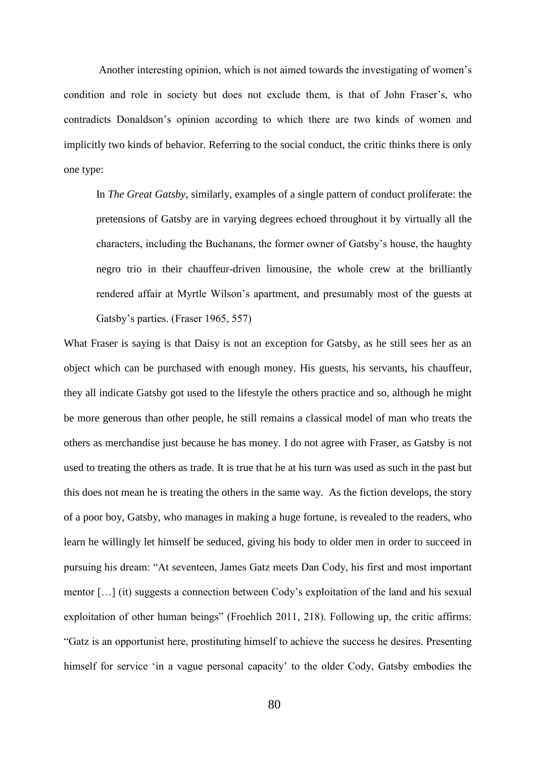Another interesting opinion, which is not aimed towards the investigating of women's condition and role in society but does not exclude them, is that of John Fraser's, who contradicts Donaldson's opinion according to which there are two kinds of women and implicitly two kinds of behavior. Referring to the social conduct, the critic thinks there is only one type:

In *The Great Gatsby*, similarly, examples of a single pattern of conduct proliferate: the pretensions of Gatsby are in varying degrees echoed throughout it by virtually all the characters, including the Buchanans, the former owner of Gatsby's house, the haughty negro trio in their chauffeur-driven limousine, the whole crew at the brilliantly rendered affair at Myrtle Wilson's apartment, and presumably most of the guests at Gatsby's parties. (Fraser 1965, 557)

What Fraser is saying is that Daisy is not an exception for Gatsby, as he still sees her as an object which can be purchased with enough money. His guests, his servants, his chauffeur, they all indicate Gatsby got used to the lifestyle the others practice and so, although he might be more generous than other people, he still remains a classical model of man who treats the others as merchandise just because he has money. I do not agree with Fraser, as Gatsby is not used to treating the others as trade. It is true that he at his turn was used as such in the past but this does not mean he is treating the others in the same way. As the fiction develops, the story of a poor boy, Gatsby, who manages in making a huge fortune, is revealed to the readers, who learn he willingly let himself be seduced, giving his body to older men in order to succeed in pursuing his dream: "At seventeen, James Gatz meets Dan Cody, his first and most important mentor […] (it) suggests a connection between Cody's exploitation of the land and his sexual exploitation of other human beings" (Froehlich 2011, 218). Following up, the critic affirms: "Gatz is an opportunist here, prostituting himself to achieve the success he desires. Presenting himself for service 'in a vague personal capacity' to the older Cody, Gatsby embodies the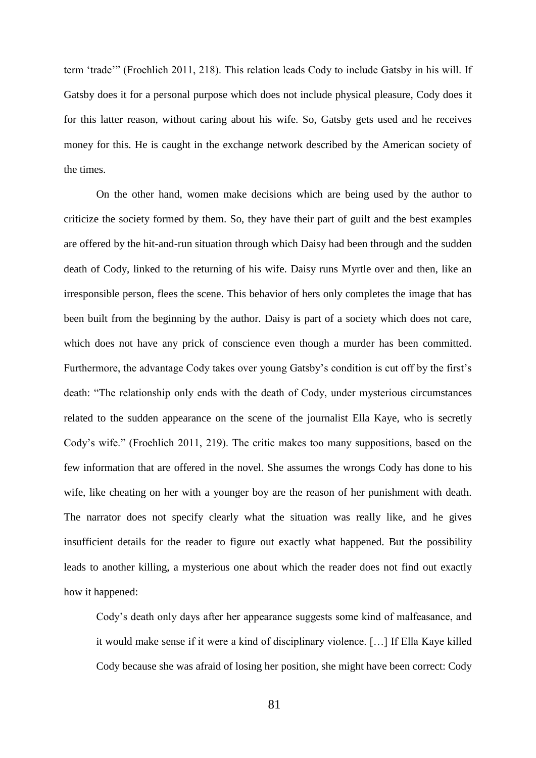term 'trade'" (Froehlich 2011, 218). This relation leads Cody to include Gatsby in his will. If Gatsby does it for a personal purpose which does not include physical pleasure, Cody does it for this latter reason, without caring about his wife. So, Gatsby gets used and he receives money for this. He is caught in the exchange network described by the American society of the times.

On the other hand, women make decisions which are being used by the author to criticize the society formed by them. So, they have their part of guilt and the best examples are offered by the hit-and-run situation through which Daisy had been through and the sudden death of Cody, linked to the returning of his wife. Daisy runs Myrtle over and then, like an irresponsible person, flees the scene. This behavior of hers only completes the image that has been built from the beginning by the author. Daisy is part of a society which does not care, which does not have any prick of conscience even though a murder has been committed. Furthermore, the advantage Cody takes over young Gatsby's condition is cut off by the first's death: "The relationship only ends with the death of Cody, under mysterious circumstances related to the sudden appearance on the scene of the journalist Ella Kaye, who is secretly Cody's wife." (Froehlich 2011, 219). The critic makes too many suppositions, based on the few information that are offered in the novel. She assumes the wrongs Cody has done to his wife, like cheating on her with a younger boy are the reason of her punishment with death. The narrator does not specify clearly what the situation was really like, and he gives insufficient details for the reader to figure out exactly what happened. But the possibility leads to another killing, a mysterious one about which the reader does not find out exactly how it happened:

Cody's death only days after her appearance suggests some kind of malfeasance, and it would make sense if it were a kind of disciplinary violence. […] If Ella Kaye killed Cody because she was afraid of losing her position, she might have been correct: Cody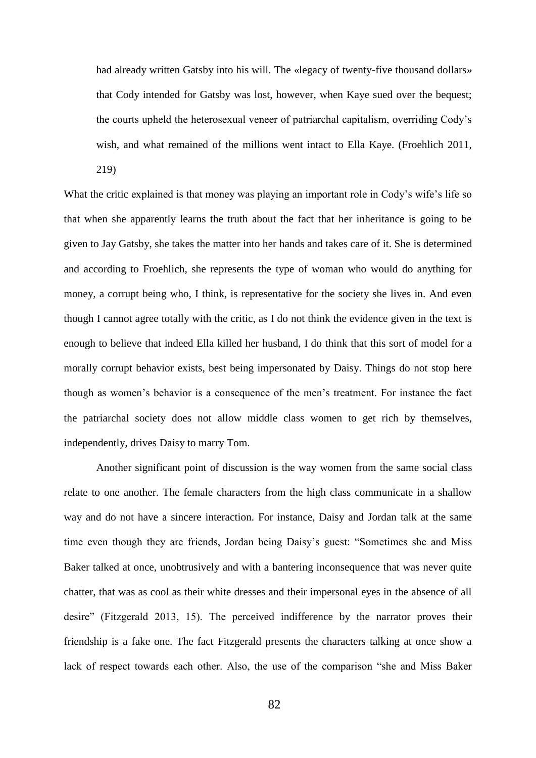had already written Gatsby into his will. The «legacy of twenty-five thousand dollars» that Cody intended for Gatsby was lost, however, when Kaye sued over the bequest; the courts upheld the heterosexual veneer of patriarchal capitalism, overriding Cody's wish, and what remained of the millions went intact to Ella Kaye. (Froehlich 2011,

219)

What the critic explained is that money was playing an important role in Cody's wife's life so that when she apparently learns the truth about the fact that her inheritance is going to be given to Jay Gatsby, she takes the matter into her hands and takes care of it. She is determined and according to Froehlich, she represents the type of woman who would do anything for money, a corrupt being who, I think, is representative for the society she lives in. And even though I cannot agree totally with the critic, as I do not think the evidence given in the text is enough to believe that indeed Ella killed her husband, I do think that this sort of model for a morally corrupt behavior exists, best being impersonated by Daisy. Things do not stop here though as women's behavior is a consequence of the men's treatment. For instance the fact the patriarchal society does not allow middle class women to get rich by themselves, independently, drives Daisy to marry Tom.

Another significant point of discussion is the way women from the same social class relate to one another. The female characters from the high class communicate in a shallow way and do not have a sincere interaction. For instance, Daisy and Jordan talk at the same time even though they are friends, Jordan being Daisy's guest: "Sometimes she and Miss Baker talked at once, unobtrusively and with a bantering inconsequence that was never quite chatter, that was as cool as their white dresses and their impersonal eyes in the absence of all desire" (Fitzgerald 2013, 15). The perceived indifference by the narrator proves their friendship is a fake one. The fact Fitzgerald presents the characters talking at once show a lack of respect towards each other. Also, the use of the comparison "she and Miss Baker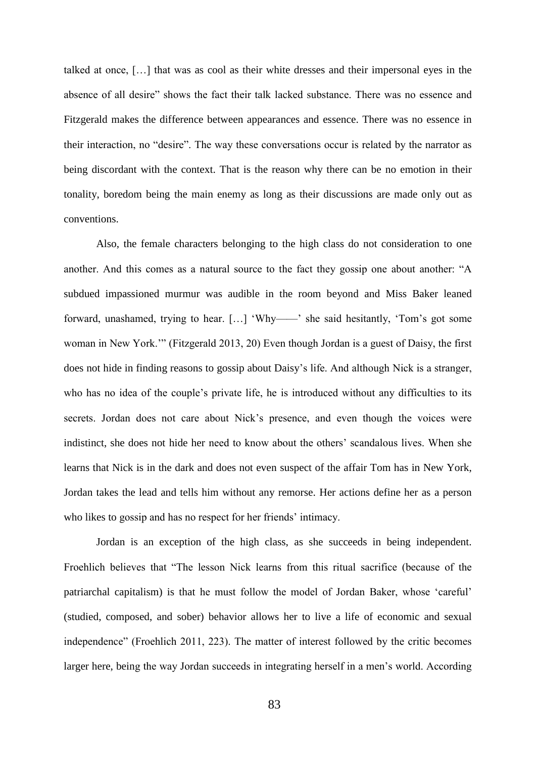talked at once, […] that was as cool as their white dresses and their impersonal eyes in the absence of all desire" shows the fact their talk lacked substance. There was no essence and Fitzgerald makes the difference between appearances and essence. There was no essence in their interaction, no "desire". The way these conversations occur is related by the narrator as being discordant with the context. That is the reason why there can be no emotion in their tonality, boredom being the main enemy as long as their discussions are made only out as conventions.

Also, the female characters belonging to the high class do not consideration to one another. And this comes as a natural source to the fact they gossip one about another: "A subdued impassioned murmur was audible in the room beyond and Miss Baker leaned forward, unashamed, trying to hear. […] 'Why——' she said hesitantly, 'Tom's got some woman in New York.'" (Fitzgerald 2013, 20) Even though Jordan is a guest of Daisy, the first does not hide in finding reasons to gossip about Daisy's life. And although Nick is a stranger, who has no idea of the couple's private life, he is introduced without any difficulties to its secrets. Jordan does not care about Nick's presence, and even though the voices were indistinct, she does not hide her need to know about the others' scandalous lives. When she learns that Nick is in the dark and does not even suspect of the affair Tom has in New York, Jordan takes the lead and tells him without any remorse. Her actions define her as a person who likes to gossip and has no respect for her friends' intimacy.

Jordan is an exception of the high class, as she succeeds in being independent. Froehlich believes that "The lesson Nick learns from this ritual sacrifice (because of the patriarchal capitalism) is that he must follow the model of Jordan Baker, whose 'careful' (studied, composed, and sober) behavior allows her to live a life of economic and sexual independence" (Froehlich 2011, 223). The matter of interest followed by the critic becomes larger here, being the way Jordan succeeds in integrating herself in a men's world. According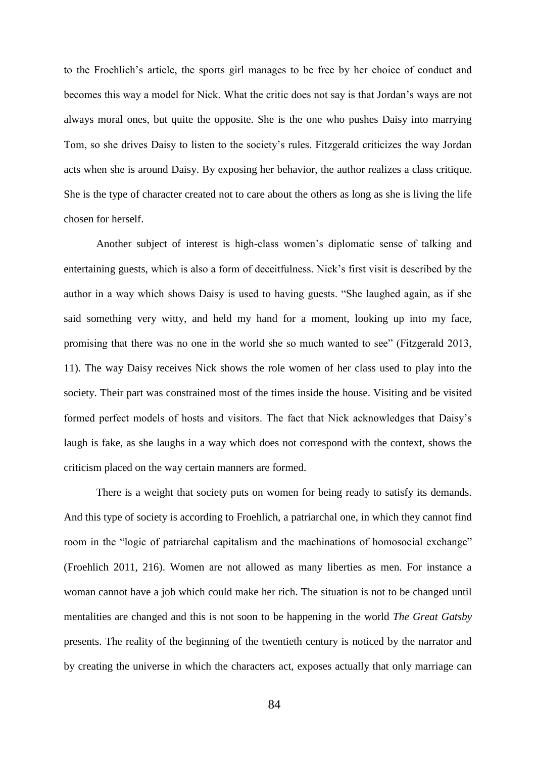to the Froehlich's article, the sports girl manages to be free by her choice of conduct and becomes this way a model for Nick. What the critic does not say is that Jordan's ways are not always moral ones, but quite the opposite. She is the one who pushes Daisy into marrying Tom, so she drives Daisy to listen to the society's rules. Fitzgerald criticizes the way Jordan acts when she is around Daisy. By exposing her behavior, the author realizes a class critique. She is the type of character created not to care about the others as long as she is living the life chosen for herself.

Another subject of interest is high-class women's diplomatic sense of talking and entertaining guests, which is also a form of deceitfulness. Nick's first visit is described by the author in a way which shows Daisy is used to having guests. "She laughed again, as if she said something very witty, and held my hand for a moment, looking up into my face, promising that there was no one in the world she so much wanted to see" (Fitzgerald 2013, 11). The way Daisy receives Nick shows the role women of her class used to play into the society. Their part was constrained most of the times inside the house. Visiting and be visited formed perfect models of hosts and visitors. The fact that Nick acknowledges that Daisy's laugh is fake, as she laughs in a way which does not correspond with the context, shows the criticism placed on the way certain manners are formed.

There is a weight that society puts on women for being ready to satisfy its demands. And this type of society is according to Froehlich, a patriarchal one, in which they cannot find room in the "logic of patriarchal capitalism and the machinations of homosocial exchange" (Froehlich 2011, 216). Women are not allowed as many liberties as men. For instance a woman cannot have a job which could make her rich. The situation is not to be changed until mentalities are changed and this is not soon to be happening in the world *The Great Gatsby*  presents. The reality of the beginning of the twentieth century is noticed by the narrator and by creating the universe in which the characters act, exposes actually that only marriage can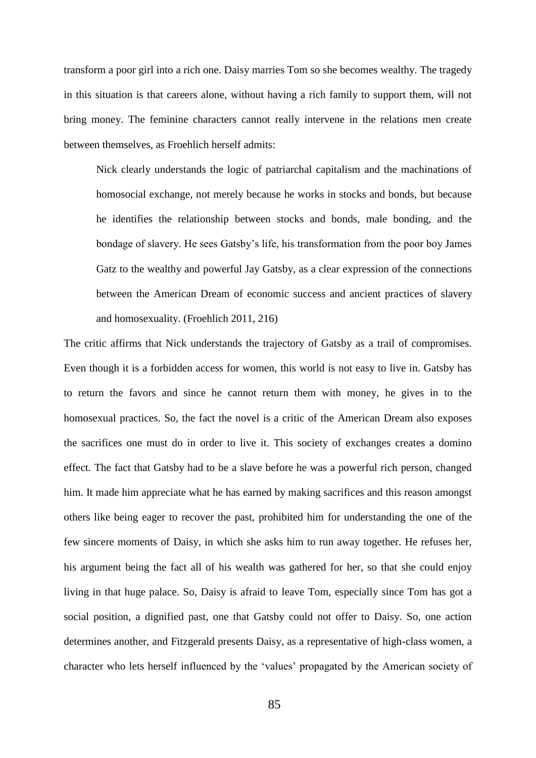transform a poor girl into a rich one. Daisy marries Tom so she becomes wealthy. The tragedy in this situation is that careers alone, without having a rich family to support them, will not bring money. The feminine characters cannot really intervene in the relations men create between themselves, as Froehlich herself admits:

Nick clearly understands the logic of patriarchal capitalism and the machinations of homosocial exchange, not merely because he works in stocks and bonds, but because he identifies the relationship between stocks and bonds, male bonding, and the bondage of slavery. He sees Gatsby's life, his transformation from the poor boy James Gatz to the wealthy and powerful Jay Gatsby, as a clear expression of the connections between the American Dream of economic success and ancient practices of slavery and homosexuality. (Froehlich 2011, 216)

The critic affirms that Nick understands the trajectory of Gatsby as a trail of compromises. Even though it is a forbidden access for women, this world is not easy to live in. Gatsby has to return the favors and since he cannot return them with money, he gives in to the homosexual practices. So, the fact the novel is a critic of the American Dream also exposes the sacrifices one must do in order to live it. This society of exchanges creates a domino effect. The fact that Gatsby had to be a slave before he was a powerful rich person, changed him. It made him appreciate what he has earned by making sacrifices and this reason amongst others like being eager to recover the past, prohibited him for understanding the one of the few sincere moments of Daisy, in which she asks him to run away together. He refuses her, his argument being the fact all of his wealth was gathered for her, so that she could enjoy living in that huge palace. So, Daisy is afraid to leave Tom, especially since Tom has got a social position, a dignified past, one that Gatsby could not offer to Daisy. So, one action determines another, and Fitzgerald presents Daisy, as a representative of high-class women, a character who lets herself influenced by the 'values' propagated by the American society of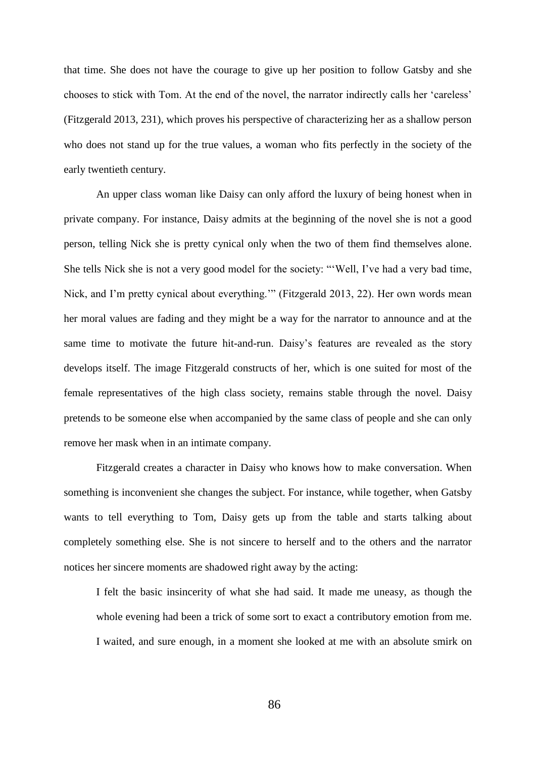that time. She does not have the courage to give up her position to follow Gatsby and she chooses to stick with Tom. At the end of the novel, the narrator indirectly calls her 'careless' (Fitzgerald 2013, 231), which proves his perspective of characterizing her as a shallow person who does not stand up for the true values, a woman who fits perfectly in the society of the early twentieth century.

An upper class woman like Daisy can only afford the luxury of being honest when in private company. For instance, Daisy admits at the beginning of the novel she is not a good person, telling Nick she is pretty cynical only when the two of them find themselves alone. She tells Nick she is not a very good model for the society: "'Well, I've had a very bad time, Nick, and I'm pretty cynical about everything.'" (Fitzgerald 2013, 22). Her own words mean her moral values are fading and they might be a way for the narrator to announce and at the same time to motivate the future hit-and-run. Daisy's features are revealed as the story develops itself. The image Fitzgerald constructs of her, which is one suited for most of the female representatives of the high class society, remains stable through the novel. Daisy pretends to be someone else when accompanied by the same class of people and she can only remove her mask when in an intimate company.

Fitzgerald creates a character in Daisy who knows how to make conversation. When something is inconvenient she changes the subject. For instance, while together, when Gatsby wants to tell everything to Tom, Daisy gets up from the table and starts talking about completely something else. She is not sincere to herself and to the others and the narrator notices her sincere moments are shadowed right away by the acting:

I felt the basic insincerity of what she had said. It made me uneasy, as though the whole evening had been a trick of some sort to exact a contributory emotion from me. I waited, and sure enough, in a moment she looked at me with an absolute smirk on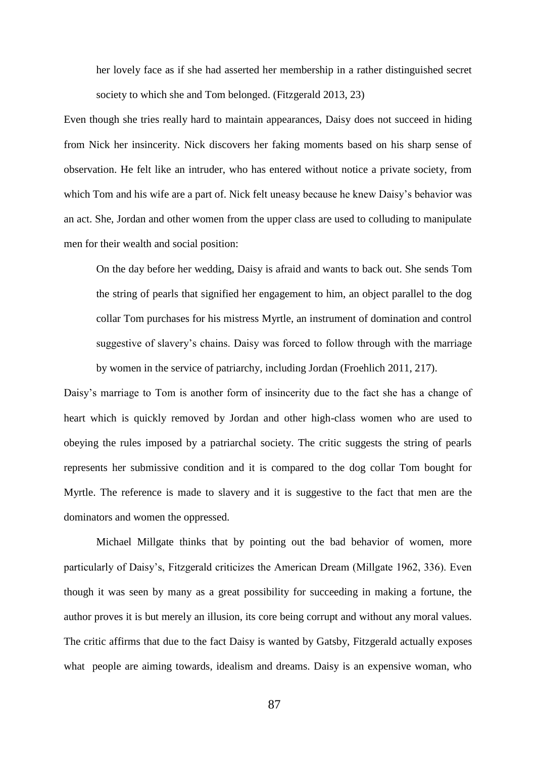her lovely face as if she had asserted her membership in a rather distinguished secret society to which she and Tom belonged. (Fitzgerald 2013, 23)

Even though she tries really hard to maintain appearances, Daisy does not succeed in hiding from Nick her insincerity. Nick discovers her faking moments based on his sharp sense of observation. He felt like an intruder, who has entered without notice a private society, from which Tom and his wife are a part of. Nick felt uneasy because he knew Daisy's behavior was an act. She, Jordan and other women from the upper class are used to colluding to manipulate men for their wealth and social position:

On the day before her wedding, Daisy is afraid and wants to back out. She sends Tom the string of pearls that signified her engagement to him, an object parallel to the dog collar Tom purchases for his mistress Myrtle, an instrument of domination and control suggestive of slavery's chains. Daisy was forced to follow through with the marriage by women in the service of patriarchy, including Jordan (Froehlich 2011, 217).

Daisy's marriage to Tom is another form of insincerity due to the fact she has a change of heart which is quickly removed by Jordan and other high-class women who are used to obeying the rules imposed by a patriarchal society. The critic suggests the string of pearls represents her submissive condition and it is compared to the dog collar Tom bought for Myrtle. The reference is made to slavery and it is suggestive to the fact that men are the dominators and women the oppressed.

Michael Millgate thinks that by pointing out the bad behavior of women, more particularly of Daisy's, Fitzgerald criticizes the American Dream (Millgate 1962, 336). Even though it was seen by many as a great possibility for succeeding in making a fortune, the author proves it is but merely an illusion, its core being corrupt and without any moral values. The critic affirms that due to the fact Daisy is wanted by Gatsby, Fitzgerald actually exposes what people are aiming towards, idealism and dreams. Daisy is an expensive woman, who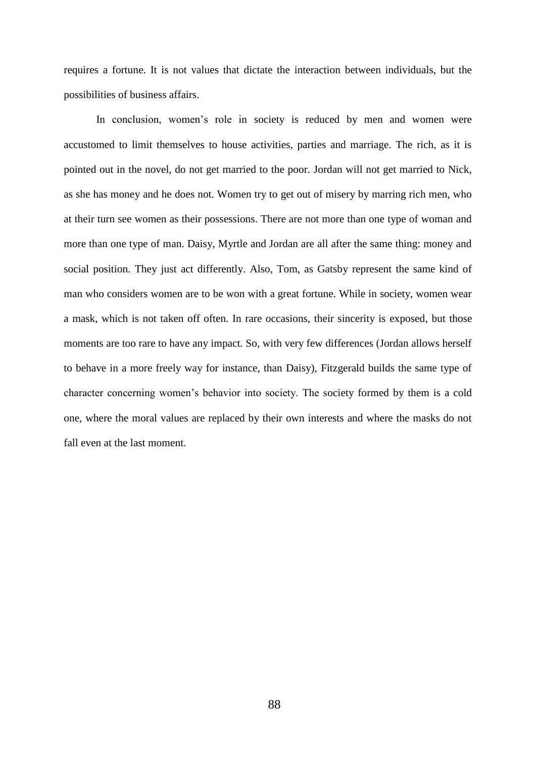requires a fortune. It is not values that dictate the interaction between individuals, but the possibilities of business affairs.

In conclusion, women's role in society is reduced by men and women were accustomed to limit themselves to house activities, parties and marriage. The rich, as it is pointed out in the novel, do not get married to the poor. Jordan will not get married to Nick, as she has money and he does not. Women try to get out of misery by marring rich men, who at their turn see women as their possessions. There are not more than one type of woman and more than one type of man. Daisy, Myrtle and Jordan are all after the same thing: money and social position. They just act differently. Also, Tom, as Gatsby represent the same kind of man who considers women are to be won with a great fortune. While in society, women wear a mask, which is not taken off often. In rare occasions, their sincerity is exposed, but those moments are too rare to have any impact. So, with very few differences (Jordan allows herself to behave in a more freely way for instance, than Daisy), Fitzgerald builds the same type of character concerning women's behavior into society. The society formed by them is a cold one, where the moral values are replaced by their own interests and where the masks do not fall even at the last moment.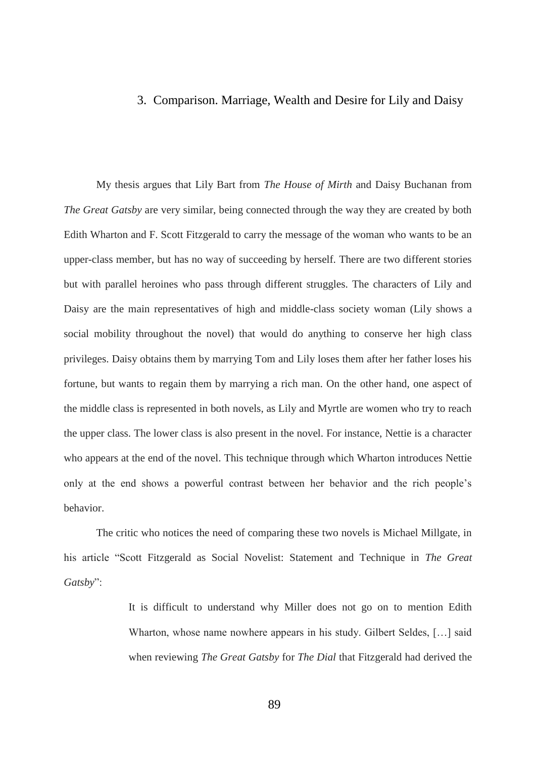## 3. Comparison. Marriage, Wealth and Desire for Lily and Daisy

My thesis argues that Lily Bart from *The House of Mirth* and Daisy Buchanan from *The Great Gatsby* are very similar, being connected through the way they are created by both Edith Wharton and F. Scott Fitzgerald to carry the message of the woman who wants to be an upper-class member, but has no way of succeeding by herself. There are two different stories but with parallel heroines who pass through different struggles. The characters of Lily and Daisy are the main representatives of high and middle-class society woman (Lily shows a social mobility throughout the novel) that would do anything to conserve her high class privileges. Daisy obtains them by marrying Tom and Lily loses them after her father loses his fortune, but wants to regain them by marrying a rich man. On the other hand, one aspect of the middle class is represented in both novels, as Lily and Myrtle are women who try to reach the upper class. The lower class is also present in the novel. For instance, Nettie is a character who appears at the end of the novel. This technique through which Wharton introduces Nettie only at the end shows a powerful contrast between her behavior and the rich people's behavior.

The critic who notices the need of comparing these two novels is Michael Millgate, in his article "Scott Fitzgerald as Social Novelist: Statement and Technique in *The Great Gatsby*":

> It is difficult to understand why Miller does not go on to mention Edith Wharton, whose name nowhere appears in his study. Gilbert Seldes, […] said when reviewing *The Great Gatsby* for *The Dial* that Fitzgerald had derived the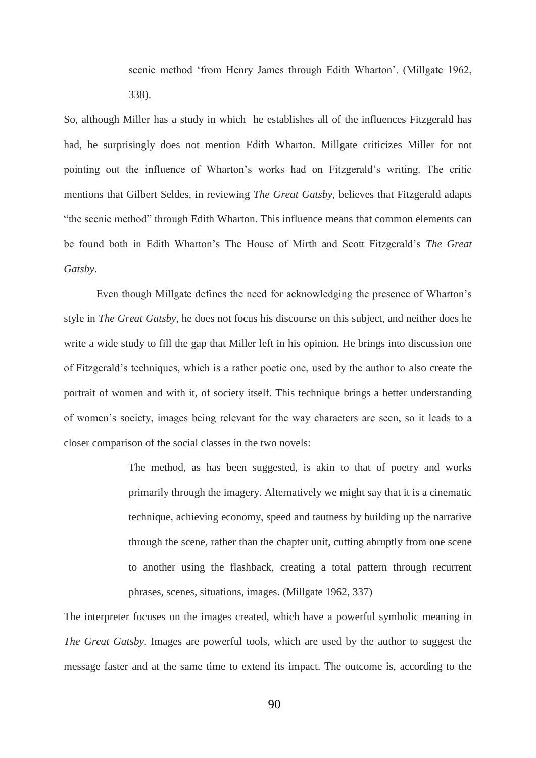scenic method 'from Henry James through Edith Wharton'. (Millgate 1962, 338).

So, although Miller has a study in which he establishes all of the influences Fitzgerald has had, he surprisingly does not mention Edith Wharton. Millgate criticizes Miller for not pointing out the influence of Wharton's works had on Fitzgerald's writing. The critic mentions that Gilbert Seldes, in reviewing *The Great Gatsby*, believes that Fitzgerald adapts "the scenic method" through Edith Wharton. This influence means that common elements can be found both in Edith Wharton's The House of Mirth and Scott Fitzgerald's *The Great Gatsby*.

Even though Millgate defines the need for acknowledging the presence of Wharton's style in *The Great Gatsby*, he does not focus his discourse on this subject, and neither does he write a wide study to fill the gap that Miller left in his opinion. He brings into discussion one of Fitzgerald's techniques, which is a rather poetic one, used by the author to also create the portrait of women and with it, of society itself. This technique brings a better understanding of women's society, images being relevant for the way characters are seen, so it leads to a closer comparison of the social classes in the two novels:

> The method, as has been suggested, is akin to that of poetry and works primarily through the imagery. Alternatively we might say that it is a cinematic technique, achieving economy, speed and tautness by building up the narrative through the scene, rather than the chapter unit, cutting abruptly from one scene to another using the flashback, creating a total pattern through recurrent phrases, scenes, situations, images. (Millgate 1962, 337)

The interpreter focuses on the images created, which have a powerful symbolic meaning in *The Great Gatsby*. Images are powerful tools, which are used by the author to suggest the message faster and at the same time to extend its impact. The outcome is, according to the

90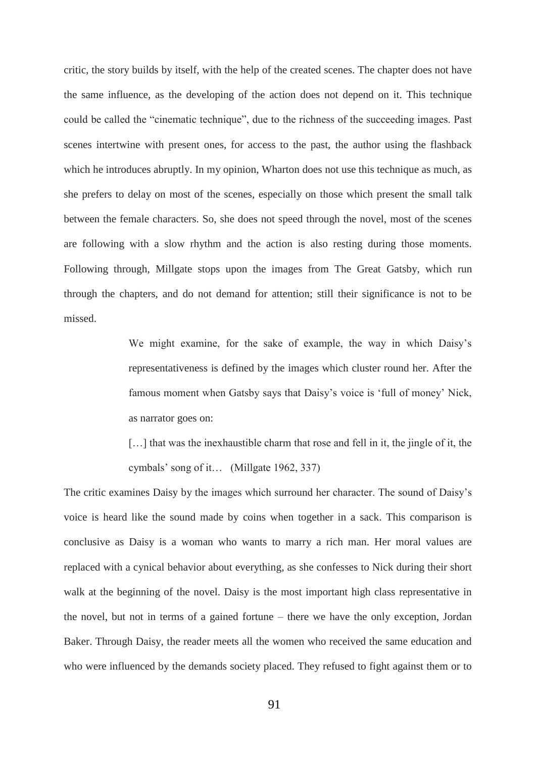critic, the story builds by itself, with the help of the created scenes. The chapter does not have the same influence, as the developing of the action does not depend on it. This technique could be called the "cinematic technique", due to the richness of the succeeding images. Past scenes intertwine with present ones, for access to the past, the author using the flashback which he introduces abruptly. In my opinion, Wharton does not use this technique as much, as she prefers to delay on most of the scenes, especially on those which present the small talk between the female characters. So, she does not speed through the novel, most of the scenes are following with a slow rhythm and the action is also resting during those moments. Following through, Millgate stops upon the images from The Great Gatsby, which run through the chapters, and do not demand for attention; still their significance is not to be missed.

> We might examine, for the sake of example, the way in which Daisy's representativeness is defined by the images which cluster round her. After the famous moment when Gatsby says that Daisy's voice is 'full of money' Nick, as narrator goes on:

> [...] that was the inexhaustible charm that rose and fell in it, the jingle of it, the cymbals' song of it… (Millgate 1962, 337)

The critic examines Daisy by the images which surround her character. The sound of Daisy's voice is heard like the sound made by coins when together in a sack. This comparison is conclusive as Daisy is a woman who wants to marry a rich man. Her moral values are replaced with a cynical behavior about everything, as she confesses to Nick during their short walk at the beginning of the novel. Daisy is the most important high class representative in the novel, but not in terms of a gained fortune – there we have the only exception, Jordan Baker. Through Daisy, the reader meets all the women who received the same education and who were influenced by the demands society placed. They refused to fight against them or to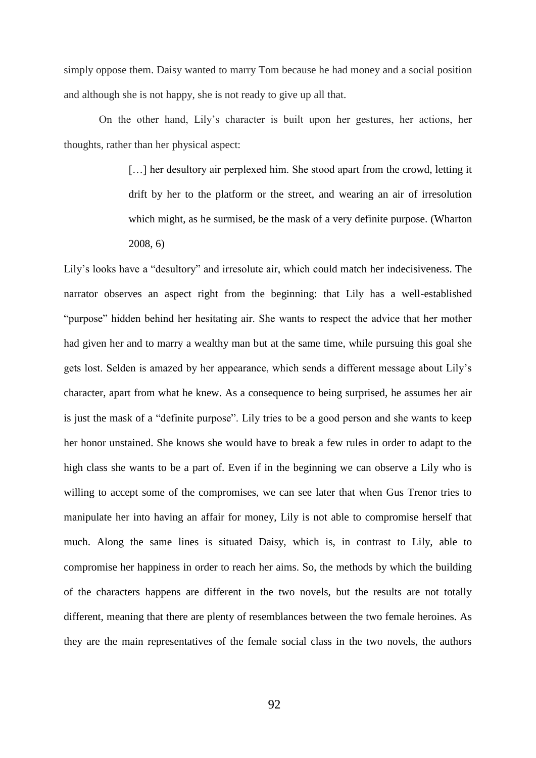simply oppose them. Daisy wanted to marry Tom because he had money and a social position and although she is not happy, she is not ready to give up all that.

On the other hand, Lily's character is built upon her gestures, her actions, her thoughts, rather than her physical aspect:

> [...] her desultory air perplexed him. She stood apart from the crowd, letting it drift by her to the platform or the street, and wearing an air of irresolution which might, as he surmised, be the mask of a very definite purpose. (Wharton 2008, 6)

Lily's looks have a "desultory" and irresolute air, which could match her indecisiveness. The narrator observes an aspect right from the beginning: that Lily has a well-established "purpose" hidden behind her hesitating air. She wants to respect the advice that her mother had given her and to marry a wealthy man but at the same time, while pursuing this goal she gets lost. Selden is amazed by her appearance, which sends a different message about Lily's character, apart from what he knew. As a consequence to being surprised, he assumes her air is just the mask of a "definite purpose". Lily tries to be a good person and she wants to keep her honor unstained. She knows she would have to break a few rules in order to adapt to the high class she wants to be a part of. Even if in the beginning we can observe a Lily who is willing to accept some of the compromises, we can see later that when Gus Trenor tries to manipulate her into having an affair for money, Lily is not able to compromise herself that much. Along the same lines is situated Daisy, which is, in contrast to Lily, able to compromise her happiness in order to reach her aims. So, the methods by which the building of the characters happens are different in the two novels, but the results are not totally different, meaning that there are plenty of resemblances between the two female heroines. As they are the main representatives of the female social class in the two novels, the authors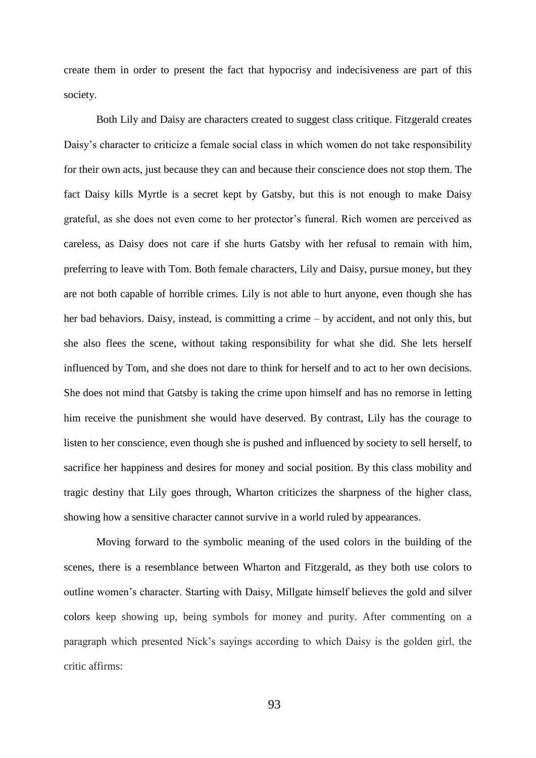create them in order to present the fact that hypocrisy and indecisiveness are part of this society.

Both Lily and Daisy are characters created to suggest class critique. Fitzgerald creates Daisy's character to criticize a female social class in which women do not take responsibility for their own acts, just because they can and because their conscience does not stop them. The fact Daisy kills Myrtle is a secret kept by Gatsby, but this is not enough to make Daisy grateful, as she does not even come to her protector's funeral. Rich women are perceived as careless, as Daisy does not care if she hurts Gatsby with her refusal to remain with him, preferring to leave with Tom. Both female characters, Lily and Daisy, pursue money, but they are not both capable of horrible crimes. Lily is not able to hurt anyone, even though she has her bad behaviors. Daisy, instead, is committing a crime – by accident, and not only this, but she also flees the scene, without taking responsibility for what she did. She lets herself influenced by Tom, and she does not dare to think for herself and to act to her own decisions. She does not mind that Gatsby is taking the crime upon himself and has no remorse in letting him receive the punishment she would have deserved. By contrast, Lily has the courage to listen to her conscience, even though she is pushed and influenced by society to sell herself, to sacrifice her happiness and desires for money and social position. By this class mobility and tragic destiny that Lily goes through, Wharton criticizes the sharpness of the higher class, showing how a sensitive character cannot survive in a world ruled by appearances.

Moving forward to the symbolic meaning of the used colors in the building of the scenes, there is a resemblance between Wharton and Fitzgerald, as they both use colors to outline women's character. Starting with Daisy, Millgate himself believes the gold and silver colors keep showing up, being symbols for money and purity. After commenting on a paragraph which presented Nick's sayings according to which Daisy is the golden girl, the critic affirms: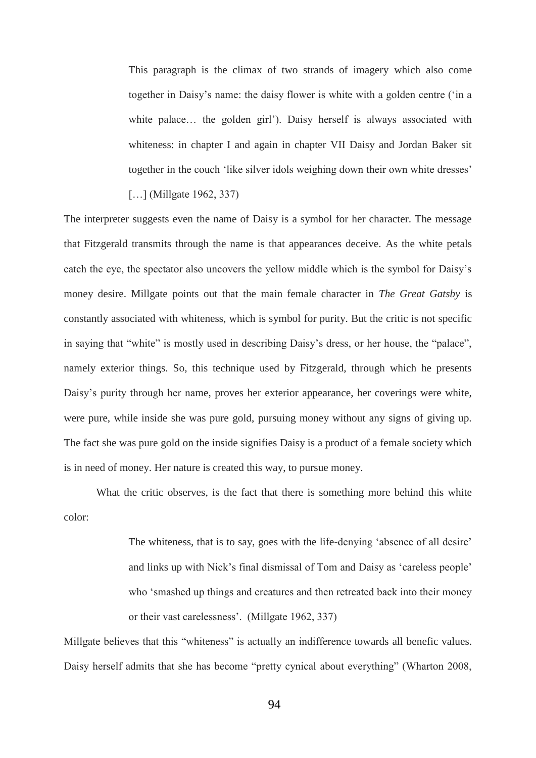This paragraph is the climax of two strands of imagery which also come together in Daisy's name: the daisy flower is white with a golden centre ('in a white palace… the golden girl'). Daisy herself is always associated with whiteness: in chapter I and again in chapter VII Daisy and Jordan Baker sit together in the couch 'like silver idols weighing down their own white dresses'

[...] (Millgate 1962, 337)

The interpreter suggests even the name of Daisy is a symbol for her character. The message that Fitzgerald transmits through the name is that appearances deceive. As the white petals catch the eye, the spectator also uncovers the yellow middle which is the symbol for Daisy's money desire. Millgate points out that the main female character in *The Great Gatsby* is constantly associated with whiteness, which is symbol for purity. But the critic is not specific in saying that "white" is mostly used in describing Daisy's dress, or her house, the "palace", namely exterior things. So, this technique used by Fitzgerald, through which he presents Daisy's purity through her name, proves her exterior appearance, her coverings were white, were pure, while inside she was pure gold, pursuing money without any signs of giving up. The fact she was pure gold on the inside signifies Daisy is a product of a female society which is in need of money. Her nature is created this way, to pursue money.

What the critic observes, is the fact that there is something more behind this white color:

> The whiteness, that is to say, goes with the life-denying 'absence of all desire' and links up with Nick's final dismissal of Tom and Daisy as 'careless people' who 'smashed up things and creatures and then retreated back into their money or their vast carelessness'. (Millgate 1962, 337)

Millgate believes that this "whiteness" is actually an indifference towards all benefic values. Daisy herself admits that she has become "pretty cynical about everything" (Wharton 2008,

94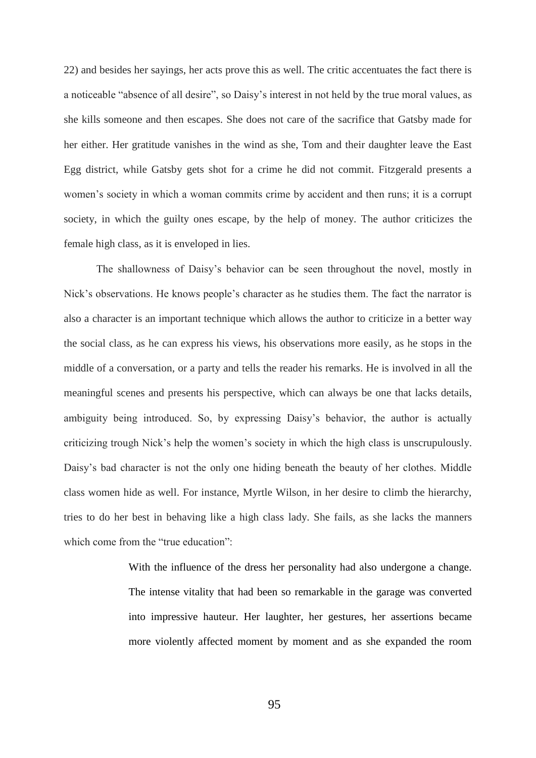22) and besides her sayings, her acts prove this as well. The critic accentuates the fact there is a noticeable "absence of all desire", so Daisy's interest in not held by the true moral values, as she kills someone and then escapes. She does not care of the sacrifice that Gatsby made for her either. Her gratitude vanishes in the wind as she, Tom and their daughter leave the East Egg district, while Gatsby gets shot for a crime he did not commit. Fitzgerald presents a women's society in which a woman commits crime by accident and then runs; it is a corrupt society, in which the guilty ones escape, by the help of money. The author criticizes the female high class, as it is enveloped in lies.

The shallowness of Daisy's behavior can be seen throughout the novel, mostly in Nick's observations. He knows people's character as he studies them. The fact the narrator is also a character is an important technique which allows the author to criticize in a better way the social class, as he can express his views, his observations more easily, as he stops in the middle of a conversation, or a party and tells the reader his remarks. He is involved in all the meaningful scenes and presents his perspective, which can always be one that lacks details, ambiguity being introduced. So, by expressing Daisy's behavior, the author is actually criticizing trough Nick's help the women's society in which the high class is unscrupulously. Daisy's bad character is not the only one hiding beneath the beauty of her clothes. Middle class women hide as well. For instance, Myrtle Wilson, in her desire to climb the hierarchy, tries to do her best in behaving like a high class lady. She fails, as she lacks the manners which come from the "true education":

> With the influence of the dress her personality had also undergone a change. The intense vitality that had been so remarkable in the garage was converted into impressive hauteur. Her laughter, her gestures, her assertions became more violently affected moment by moment and as she expanded the room

> > 95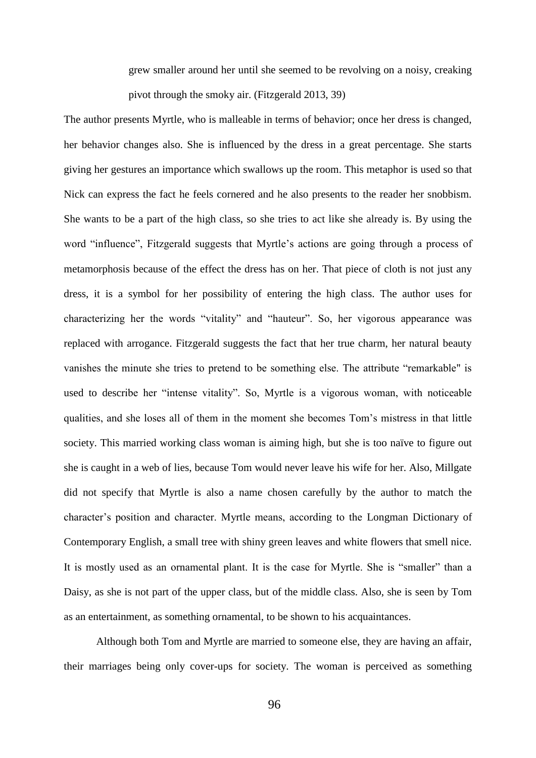grew smaller around her until she seemed to be revolving on a noisy, creaking pivot through the smoky air. (Fitzgerald 2013, 39)

The author presents Myrtle, who is malleable in terms of behavior; once her dress is changed, her behavior changes also. She is influenced by the dress in a great percentage. She starts giving her gestures an importance which swallows up the room. This metaphor is used so that Nick can express the fact he feels cornered and he also presents to the reader her snobbism. She wants to be a part of the high class, so she tries to act like she already is. By using the word "influence", Fitzgerald suggests that Myrtle's actions are going through a process of metamorphosis because of the effect the dress has on her. That piece of cloth is not just any dress, it is a symbol for her possibility of entering the high class. The author uses for characterizing her the words "vitality" and "hauteur". So, her vigorous appearance was replaced with arrogance. Fitzgerald suggests the fact that her true charm, her natural beauty vanishes the minute she tries to pretend to be something else. The attribute "remarkable" is used to describe her "intense vitality". So, Myrtle is a vigorous woman, with noticeable qualities, and she loses all of them in the moment she becomes Tom's mistress in that little society. This married working class woman is aiming high, but she is too naïve to figure out she is caught in a web of lies, because Tom would never leave his wife for her. Also, Millgate did not specify that Myrtle is also a name chosen carefully by the author to match the character's position and character. Myrtle means, according to the Longman Dictionary of Contemporary English, a small tree with shiny green leaves and white flowers that smell nice. It is mostly used as an ornamental plant. It is the case for Myrtle. She is "smaller" than a Daisy, as she is not part of the upper class, but of the middle class. Also, she is seen by Tom as an entertainment, as something ornamental, to be shown to his acquaintances.

Although both Tom and Myrtle are married to someone else, they are having an affair, their marriages being only cover-ups for society. The woman is perceived as something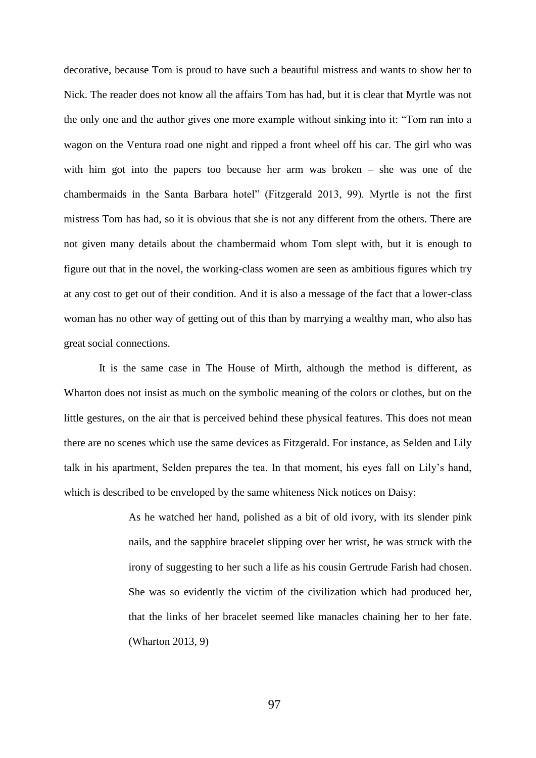decorative, because Tom is proud to have such a beautiful mistress and wants to show her to Nick. The reader does not know all the affairs Tom has had, but it is clear that Myrtle was not the only one and the author gives one more example without sinking into it: "Tom ran into a wagon on the Ventura road one night and ripped a front wheel off his car. The girl who was with him got into the papers too because her arm was broken – she was one of the chambermaids in the Santa Barbara hotel" (Fitzgerald 2013, 99). Myrtle is not the first mistress Tom has had, so it is obvious that she is not any different from the others. There are not given many details about the chambermaid whom Tom slept with, but it is enough to figure out that in the novel, the working-class women are seen as ambitious figures which try at any cost to get out of their condition. And it is also a message of the fact that a lower-class woman has no other way of getting out of this than by marrying a wealthy man, who also has great social connections.

It is the same case in The House of Mirth, although the method is different, as Wharton does not insist as much on the symbolic meaning of the colors or clothes, but on the little gestures, on the air that is perceived behind these physical features. This does not mean there are no scenes which use the same devices as Fitzgerald. For instance, as Selden and Lily talk in his apartment, Selden prepares the tea. In that moment, his eyes fall on Lily's hand, which is described to be enveloped by the same whiteness Nick notices on Daisy:

> As he watched her hand, polished as a bit of old ivory, with its slender pink nails, and the sapphire bracelet slipping over her wrist, he was struck with the irony of suggesting to her such a life as his cousin Gertrude Farish had chosen. She was so evidently the victim of the civilization which had produced her, that the links of her bracelet seemed like manacles chaining her to her fate. (Wharton 2013, 9)

> > 97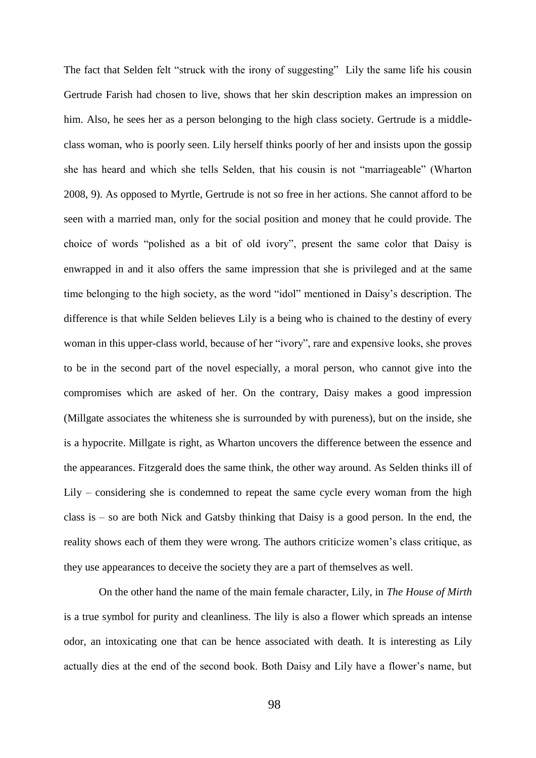The fact that Selden felt "struck with the irony of suggesting" Lily the same life his cousin Gertrude Farish had chosen to live, shows that her skin description makes an impression on him. Also, he sees her as a person belonging to the high class society. Gertrude is a middleclass woman, who is poorly seen. Lily herself thinks poorly of her and insists upon the gossip she has heard and which she tells Selden, that his cousin is not "marriageable" (Wharton 2008, 9). As opposed to Myrtle, Gertrude is not so free in her actions. She cannot afford to be seen with a married man, only for the social position and money that he could provide. The choice of words "polished as a bit of old ivory", present the same color that Daisy is enwrapped in and it also offers the same impression that she is privileged and at the same time belonging to the high society, as the word "idol" mentioned in Daisy's description. The difference is that while Selden believes Lily is a being who is chained to the destiny of every woman in this upper-class world, because of her "ivory", rare and expensive looks, she proves to be in the second part of the novel especially, a moral person, who cannot give into the compromises which are asked of her. On the contrary, Daisy makes a good impression (Millgate associates the whiteness she is surrounded by with pureness), but on the inside, she is a hypocrite. Millgate is right, as Wharton uncovers the difference between the essence and the appearances. Fitzgerald does the same think, the other way around. As Selden thinks ill of Lily – considering she is condemned to repeat the same cycle every woman from the high class is – so are both Nick and Gatsby thinking that Daisy is a good person. In the end, the reality shows each of them they were wrong. The authors criticize women's class critique, as they use appearances to deceive the society they are a part of themselves as well.

On the other hand the name of the main female character, Lily, in *The House of Mirth* is a true symbol for purity and cleanliness. The lily is also a flower which spreads an intense odor, an intoxicating one that can be hence associated with death. It is interesting as Lily actually dies at the end of the second book. Both Daisy and Lily have a flower's name, but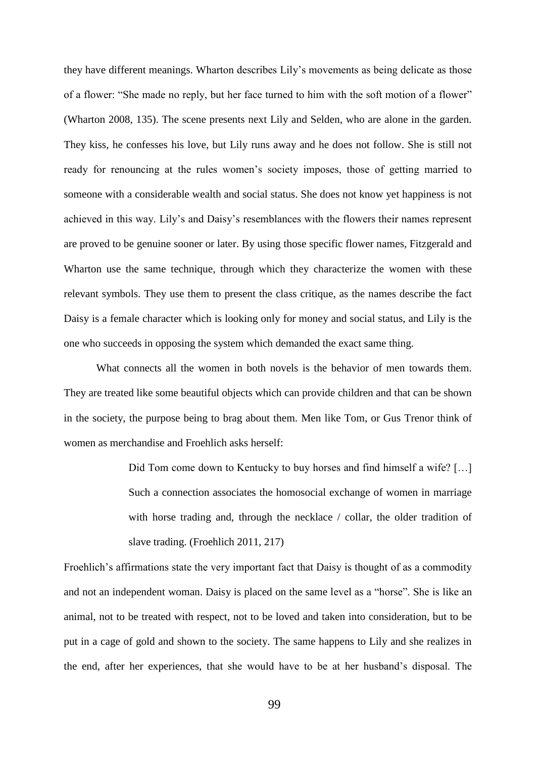they have different meanings. Wharton describes Lily's movements as being delicate as those of a flower: "She made no reply, but her face turned to him with the soft motion of a flower" (Wharton 2008, 135). The scene presents next Lily and Selden, who are alone in the garden. They kiss, he confesses his love, but Lily runs away and he does not follow. She is still not ready for renouncing at the rules women's society imposes, those of getting married to someone with a considerable wealth and social status. She does not know yet happiness is not achieved in this way. Lily's and Daisy's resemblances with the flowers their names represent are proved to be genuine sooner or later. By using those specific flower names, Fitzgerald and Wharton use the same technique, through which they characterize the women with these relevant symbols. They use them to present the class critique, as the names describe the fact Daisy is a female character which is looking only for money and social status, and Lily is the one who succeeds in opposing the system which demanded the exact same thing.

What connects all the women in both novels is the behavior of men towards them. They are treated like some beautiful objects which can provide children and that can be shown in the society, the purpose being to brag about them. Men like Tom, or Gus Trenor think of women as merchandise and Froehlich asks herself:

> Did Tom come down to Kentucky to buy horses and find himself a wife? […] Such a connection associates the homosocial exchange of women in marriage with horse trading and, through the necklace / collar, the older tradition of slave trading. (Froehlich 2011, 217)

Froehlich's affirmations state the very important fact that Daisy is thought of as a commodity and not an independent woman. Daisy is placed on the same level as a "horse". She is like an animal, not to be treated with respect, not to be loved and taken into consideration, but to be put in a cage of gold and shown to the society. The same happens to Lily and she realizes in the end, after her experiences, that she would have to be at her husband's disposal. The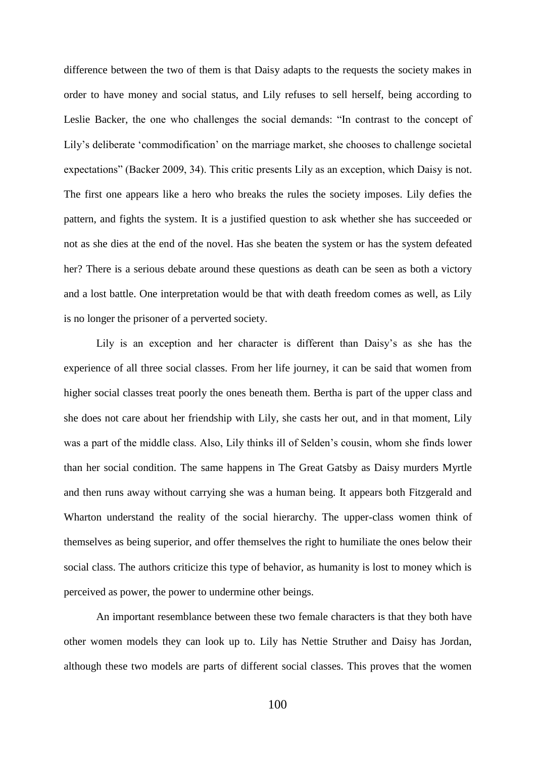difference between the two of them is that Daisy adapts to the requests the society makes in order to have money and social status, and Lily refuses to sell herself, being according to Leslie Backer, the one who challenges the social demands: "In contrast to the concept of Lily's deliberate 'commodification' on the marriage market, she chooses to challenge societal expectations" (Backer 2009, 34). This critic presents Lily as an exception, which Daisy is not. The first one appears like a hero who breaks the rules the society imposes. Lily defies the pattern, and fights the system. It is a justified question to ask whether she has succeeded or not as she dies at the end of the novel. Has she beaten the system or has the system defeated her? There is a serious debate around these questions as death can be seen as both a victory and a lost battle. One interpretation would be that with death freedom comes as well, as Lily is no longer the prisoner of a perverted society.

Lily is an exception and her character is different than Daisy's as she has the experience of all three social classes. From her life journey, it can be said that women from higher social classes treat poorly the ones beneath them. Bertha is part of the upper class and she does not care about her friendship with Lily, she casts her out, and in that moment, Lily was a part of the middle class. Also, Lily thinks ill of Selden's cousin, whom she finds lower than her social condition. The same happens in The Great Gatsby as Daisy murders Myrtle and then runs away without carrying she was a human being. It appears both Fitzgerald and Wharton understand the reality of the social hierarchy. The upper-class women think of themselves as being superior, and offer themselves the right to humiliate the ones below their social class. The authors criticize this type of behavior, as humanity is lost to money which is perceived as power, the power to undermine other beings.

An important resemblance between these two female characters is that they both have other women models they can look up to. Lily has Nettie Struther and Daisy has Jordan, although these two models are parts of different social classes. This proves that the women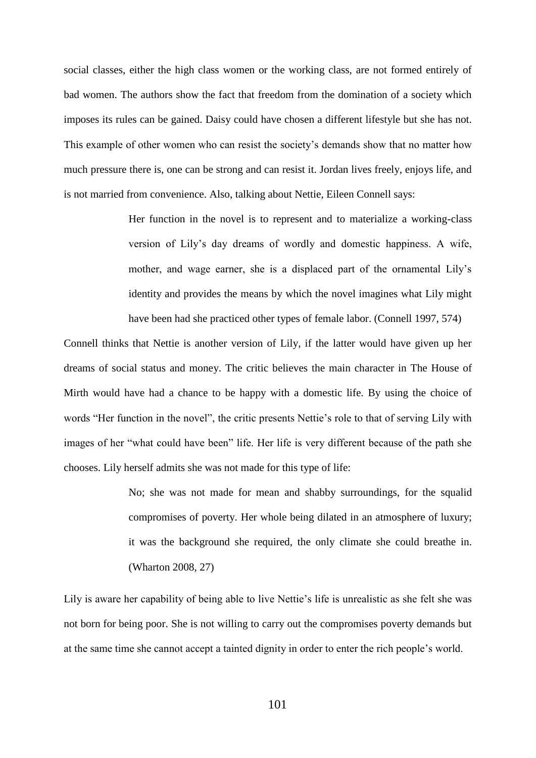social classes, either the high class women or the working class, are not formed entirely of bad women. The authors show the fact that freedom from the domination of a society which imposes its rules can be gained. Daisy could have chosen a different lifestyle but she has not. This example of other women who can resist the society's demands show that no matter how much pressure there is, one can be strong and can resist it. Jordan lives freely, enjoys life, and is not married from convenience. Also, talking about Nettie, Eileen Connell says:

> Her function in the novel is to represent and to materialize a working-class version of Lily's day dreams of wordly and domestic happiness. A wife, mother, and wage earner, she is a displaced part of the ornamental Lily's identity and provides the means by which the novel imagines what Lily might have been had she practiced other types of female labor. (Connell 1997, 574)

Connell thinks that Nettie is another version of Lily, if the latter would have given up her dreams of social status and money. The critic believes the main character in The House of Mirth would have had a chance to be happy with a domestic life. By using the choice of words "Her function in the novel", the critic presents Nettie's role to that of serving Lily with images of her "what could have been" life. Her life is very different because of the path she chooses. Lily herself admits she was not made for this type of life:

> No; she was not made for mean and shabby surroundings, for the squalid compromises of poverty. Her whole being dilated in an atmosphere of luxury; it was the background she required, the only climate she could breathe in. (Wharton 2008, 27)

Lily is aware her capability of being able to live Nettie's life is unrealistic as she felt she was not born for being poor. She is not willing to carry out the compromises poverty demands but at the same time she cannot accept a tainted dignity in order to enter the rich people's world.

101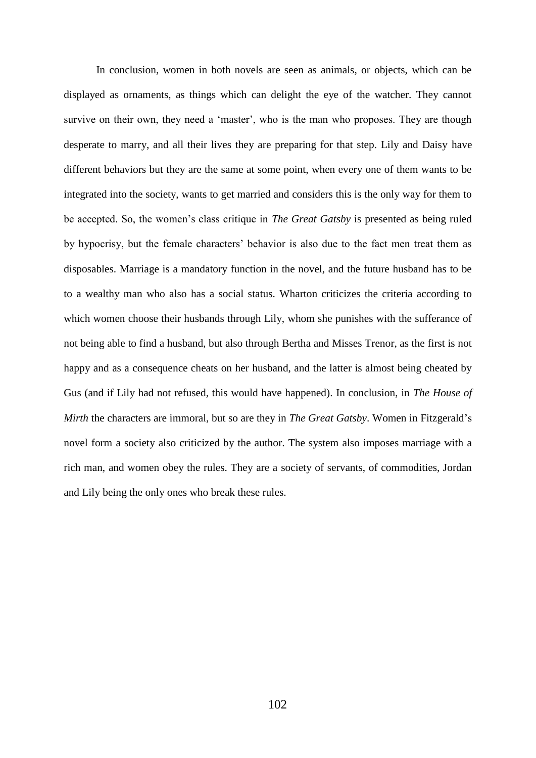In conclusion, women in both novels are seen as animals, or objects, which can be displayed as ornaments, as things which can delight the eye of the watcher. They cannot survive on their own, they need a 'master', who is the man who proposes. They are though desperate to marry, and all their lives they are preparing for that step. Lily and Daisy have different behaviors but they are the same at some point, when every one of them wants to be integrated into the society, wants to get married and considers this is the only way for them to be accepted. So, the women's class critique in *The Great Gatsby* is presented as being ruled by hypocrisy, but the female characters' behavior is also due to the fact men treat them as disposables. Marriage is a mandatory function in the novel, and the future husband has to be to a wealthy man who also has a social status. Wharton criticizes the criteria according to which women choose their husbands through Lily, whom she punishes with the sufferance of not being able to find a husband, but also through Bertha and Misses Trenor, as the first is not happy and as a consequence cheats on her husband, and the latter is almost being cheated by Gus (and if Lily had not refused, this would have happened). In conclusion, in *The House of Mirth* the characters are immoral, but so are they in *The Great Gatsby*. Women in Fitzgerald's novel form a society also criticized by the author. The system also imposes marriage with a rich man, and women obey the rules. They are a society of servants, of commodities, Jordan and Lily being the only ones who break these rules.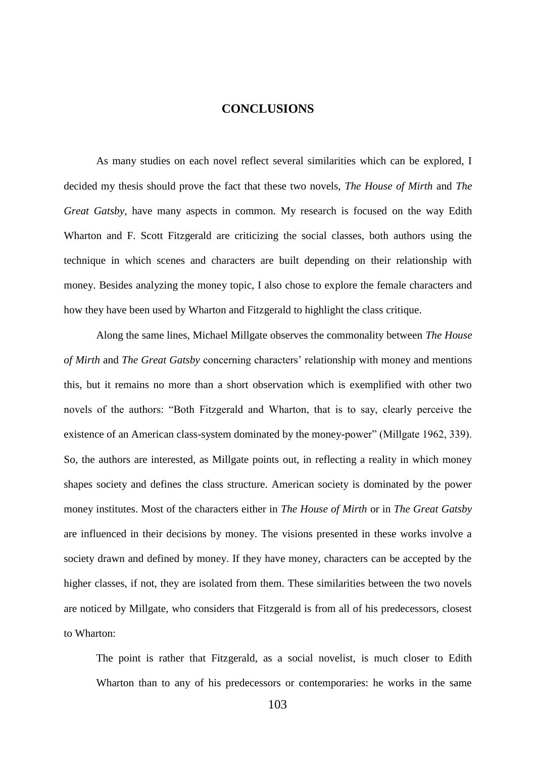## **CONCLUSIONS**

As many studies on each novel reflect several similarities which can be explored, I decided my thesis should prove the fact that these two novels, *The House of Mirth* and *The Great Gatsby*, have many aspects in common. My research is focused on the way Edith Wharton and F. Scott Fitzgerald are criticizing the social classes, both authors using the technique in which scenes and characters are built depending on their relationship with money. Besides analyzing the money topic, I also chose to explore the female characters and how they have been used by Wharton and Fitzgerald to highlight the class critique.

Along the same lines, Michael Millgate observes the commonality between *The House of Mirth* and *The Great Gatsby* concerning characters' relationship with money and mentions this, but it remains no more than a short observation which is exemplified with other two novels of the authors: "Both Fitzgerald and Wharton, that is to say, clearly perceive the existence of an American class-system dominated by the money-power" (Millgate 1962, 339). So, the authors are interested, as Millgate points out, in reflecting a reality in which money shapes society and defines the class structure. American society is dominated by the power money institutes. Most of the characters either in *The House of Mirth* or in *The Great Gatsby*  are influenced in their decisions by money. The visions presented in these works involve a society drawn and defined by money. If they have money, characters can be accepted by the higher classes, if not, they are isolated from them. These similarities between the two novels are noticed by Millgate, who considers that Fitzgerald is from all of his predecessors, closest to Wharton:

The point is rather that Fitzgerald, as a social novelist, is much closer to Edith Wharton than to any of his predecessors or contemporaries: he works in the same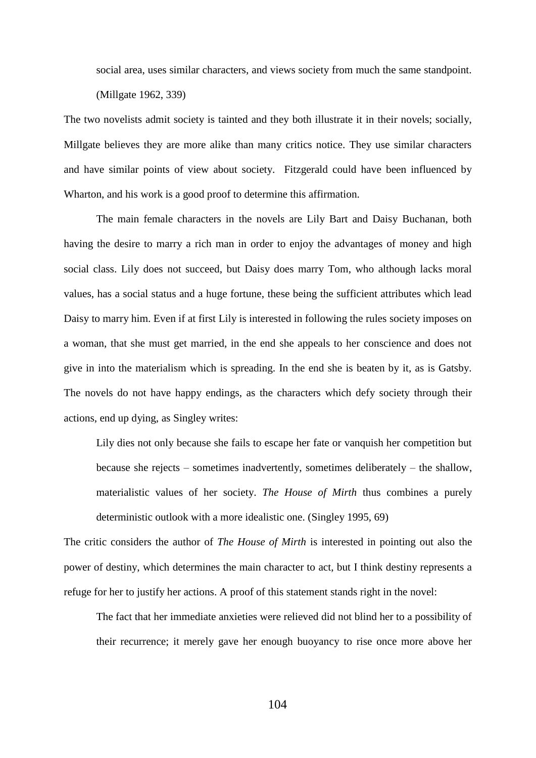social area, uses similar characters, and views society from much the same standpoint. (Millgate 1962, 339)

The two novelists admit society is tainted and they both illustrate it in their novels; socially, Millgate believes they are more alike than many critics notice. They use similar characters and have similar points of view about society. Fitzgerald could have been influenced by Wharton, and his work is a good proof to determine this affirmation.

The main female characters in the novels are Lily Bart and Daisy Buchanan, both having the desire to marry a rich man in order to enjoy the advantages of money and high social class. Lily does not succeed, but Daisy does marry Tom, who although lacks moral values, has a social status and a huge fortune, these being the sufficient attributes which lead Daisy to marry him. Even if at first Lily is interested in following the rules society imposes on a woman, that she must get married, in the end she appeals to her conscience and does not give in into the materialism which is spreading. In the end she is beaten by it, as is Gatsby. The novels do not have happy endings, as the characters which defy society through their actions, end up dying, as Singley writes:

Lily dies not only because she fails to escape her fate or vanquish her competition but because she rejects – sometimes inadvertently, sometimes deliberately – the shallow, materialistic values of her society. *The House of Mirth* thus combines a purely deterministic outlook with a more idealistic one. (Singley 1995, 69)

The critic considers the author of *The House of Mirth* is interested in pointing out also the power of destiny, which determines the main character to act, but I think destiny represents a refuge for her to justify her actions. A proof of this statement stands right in the novel:

The fact that her immediate anxieties were relieved did not blind her to a possibility of their recurrence; it merely gave her enough buoyancy to rise once more above her

104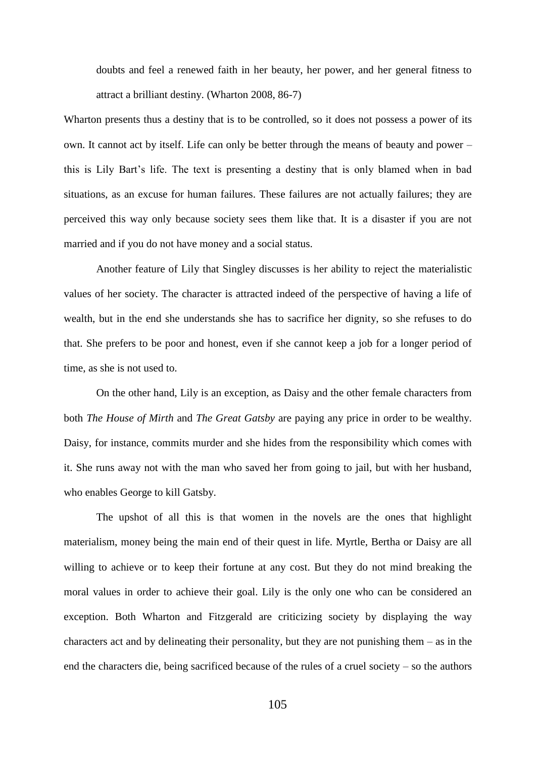doubts and feel a renewed faith in her beauty, her power, and her general fitness to attract a brilliant destiny. (Wharton 2008, 86-7)

Wharton presents thus a destiny that is to be controlled, so it does not possess a power of its own. It cannot act by itself. Life can only be better through the means of beauty and power – this is Lily Bart's life. The text is presenting a destiny that is only blamed when in bad situations, as an excuse for human failures. These failures are not actually failures; they are perceived this way only because society sees them like that. It is a disaster if you are not married and if you do not have money and a social status.

Another feature of Lily that Singley discusses is her ability to reject the materialistic values of her society. The character is attracted indeed of the perspective of having a life of wealth, but in the end she understands she has to sacrifice her dignity, so she refuses to do that. She prefers to be poor and honest, even if she cannot keep a job for a longer period of time, as she is not used to.

On the other hand, Lily is an exception, as Daisy and the other female characters from both *The House of Mirth* and *The Great Gatsby* are paying any price in order to be wealthy. Daisy, for instance, commits murder and she hides from the responsibility which comes with it. She runs away not with the man who saved her from going to jail, but with her husband, who enables George to kill Gatsby.

The upshot of all this is that women in the novels are the ones that highlight materialism, money being the main end of their quest in life. Myrtle, Bertha or Daisy are all willing to achieve or to keep their fortune at any cost. But they do not mind breaking the moral values in order to achieve their goal. Lily is the only one who can be considered an exception. Both Wharton and Fitzgerald are criticizing society by displaying the way characters act and by delineating their personality, but they are not punishing them – as in the end the characters die, being sacrificed because of the rules of a cruel society – so the authors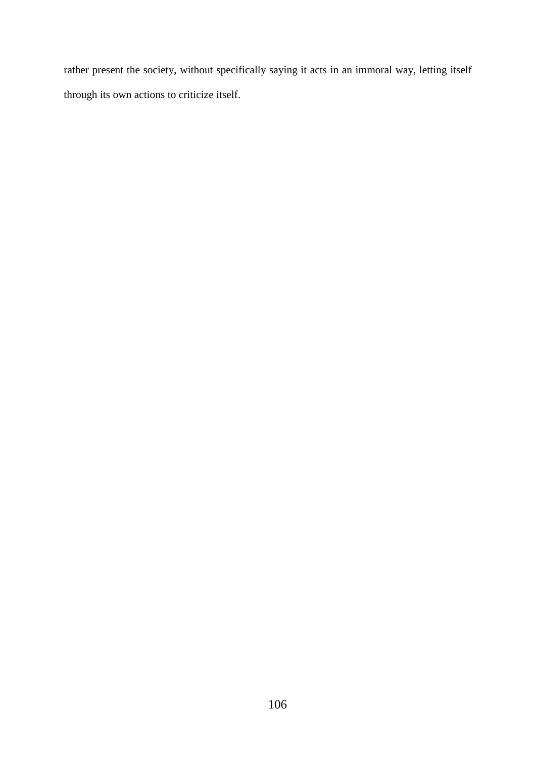rather present the society, without specifically saying it acts in an immoral way, letting itself through its own actions to criticize itself.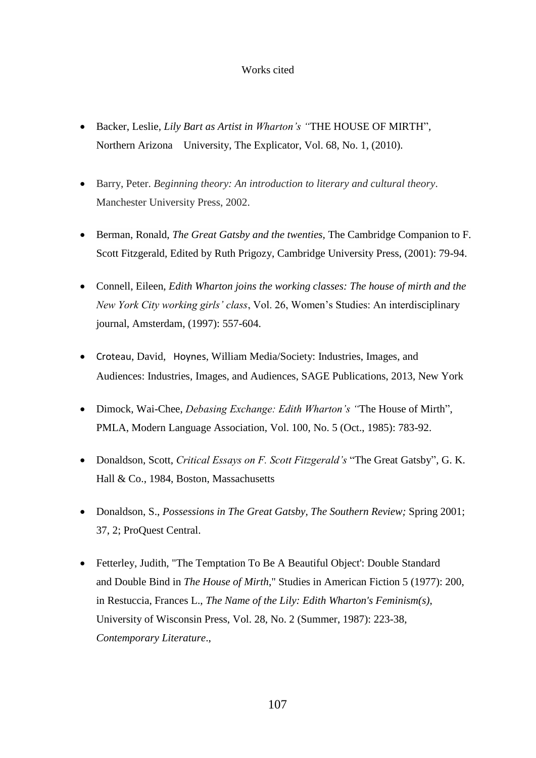## Works cited

- Backer, Leslie, *Lily Bart as Artist in Wharton's "*THE HOUSE OF MIRTH"*,* Northern Arizona University, The Explicator, Vol. 68, No. 1, (2010).
- Barry, Peter. *Beginning theory: An introduction to literary and cultural theory*. Manchester University Press, 2002.
- Berman, Ronald, *The Great Gatsby and the twenties,* The Cambridge Companion to F. Scott Fitzgerald, Edited by Ruth Prigozy, Cambridge University Press, (2001): 79-94.
- Connell, Eileen, *Edith Wharton joins the working classes: The house of mirth and the New York City working girls' class*, Vol. 26, Women's Studies: An interdisciplinary journal, Amsterdam, (1997): 557-604.
- [Croteau](https://www.google.no/search?tbo=p&tbm=bks&q=inauthor:%22David+Croteau%22), David, [Hoynes](https://www.google.no/search?tbo=p&tbm=bks&q=inauthor:%22William+Hoynes%22), William Media/Society: Industries, Images, and Audiences: Industries, Images, and Audiences, SAGE Publications, 2013, New York
- Dimock, Wai-Chee, *Debasing Exchange: Edith Wharton's "*The House of Mirth", PMLA, Modern Language Association, Vol. 100, No. 5 (Oct., 1985): 783-92.
- Donaldson, Scott, *Critical Essays on F. Scott Fitzgerald's* "The Great Gatsby", G. K. Hall & Co., 1984, Boston, Massachusetts
- Donaldson, S., *Possessions in The Great Gatsby, The Southern Review;* Spring 2001; 37, 2; ProQuest Central.
- Fetterley, Judith, "The Temptation To Be A Beautiful Object': Double Standard and Double Bind in *The House of Mirth*," Studies in American Fiction 5 (1977): 200, in Restuccia, Frances L., *The Name of the Lily: Edith Wharton's Feminism(s)*, University of Wisconsin Press, Vol. 28, No. 2 (Summer, 1987): 223-38, *Contemporary Literature*.,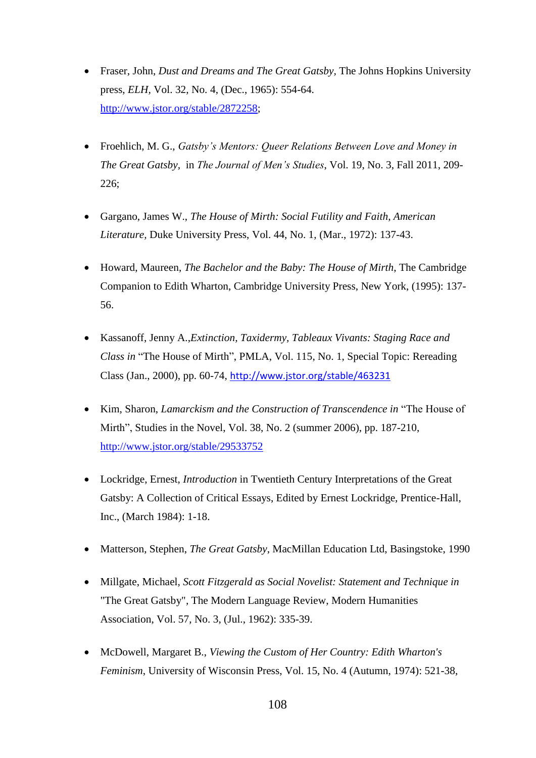- Fraser, John, *Dust and Dreams and The Great Gatsby,* The Johns Hopkins University press, *ELH,* Vol. 32, No. 4, (Dec., 1965): 554-64. [http://www.jstor.org/stable/2872258;](http://www.jstor.org/stable/2872258)
- Froehlich, M. G., *Gatsby's Mentors: Queer Relations Between Love and Money in The Great Gatsby,* in *The Journal of Men's Studies*, Vol. 19, No. 3, Fall 2011, 209- 226;
- Gargano, James W., *The House of Mirth: Social Futility and Faith, American Literature,* Duke University Press, Vol. 44, No. 1, (Mar., 1972): 137-43.
- Howard, Maureen, *The Bachelor and the Baby: The House of Mirth*, The Cambridge Companion to Edith Wharton, Cambridge University Press, New York, (1995): 137- 56.
- Kassanoff, Jenny A.,*Extinction, Taxidermy, Tableaux Vivants: Staging Race and Class in* "The House of Mirth", PMLA, Vol. 115, No. 1, Special Topic: Rereading Class (Jan., 2000), pp. 60-74, <http://www.jstor.org/stable/463231>
- Kim, Sharon, *Lamarckism and the Construction of Transcendence in* "The House of Mirth", Studies in the Novel, Vol. 38, No. 2 (summer 2006), pp. 187-210, <http://www.jstor.org/stable/29533752>
- Lockridge, Ernest, *Introduction* in Twentieth Century Interpretations of the Great Gatsby: A Collection of Critical Essays, Edited by Ernest Lockridge, Prentice-Hall, Inc., (March 1984): 1-18.
- Matterson, Stephen, *The Great Gatsby*, MacMillan Education Ltd, Basingstoke, 1990
- Millgate, Michael, *Scott Fitzgerald as Social Novelist: Statement and Technique in*  "The Great Gatsby"*,* The Modern Language Review, Modern Humanities Association, Vol. 57, No. 3, (Jul., 1962): 335-39.
- McDowell, Margaret B., *Viewing the Custom of Her Country: Edith Wharton's Feminism*, University of Wisconsin Press, Vol. 15, No. 4 (Autumn, 1974): 521-38,